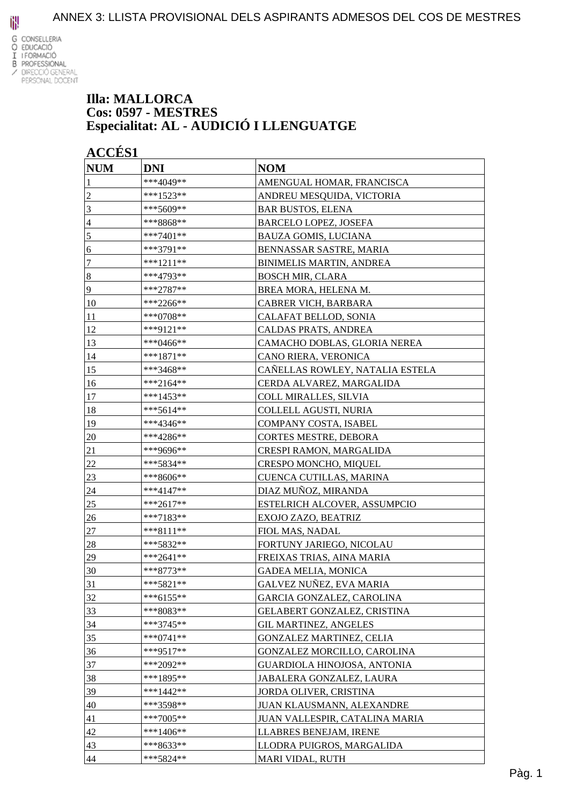

#### **Illa: MALLORCA Cos: 0597 - MESTRES Especialitat: AL - AUDICIÓ I LLENGUATGE**

| <b>NUM</b>       | <b>DNI</b>  | <b>NOM</b>                      |
|------------------|-------------|---------------------------------|
|                  | ***4049**   | AMENGUAL HOMAR, FRANCISCA       |
| $\boldsymbol{2}$ | ***1523**   | ANDREU MESQUIDA, VICTORIA       |
| 3                | ***5609**   | <b>BAR BUSTOS, ELENA</b>        |
| 4                | ***8868**   | <b>BARCELO LOPEZ, JOSEFA</b>    |
| 5                | $***7401**$ | <b>BAUZA GOMIS, LUCIANA</b>     |
| 6                | ***3791**   | BENNASSAR SASTRE, MARIA         |
| 7                | $***1211**$ | <b>BINIMELIS MARTIN, ANDREA</b> |
| $\boldsymbol{8}$ | ***4793**   | <b>BOSCH MIR, CLARA</b>         |
| 9                | ***2787**   | BREA MORA, HELENA M.            |
| 10               | ***2266**   | CABRER VICH, BARBARA            |
| 11               | ***0708**   | CALAFAT BELLOD, SONIA           |
| 12               | ***9121**   | CALDAS PRATS, ANDREA            |
| 13               | ***0466**   | CAMACHO DOBLAS, GLORIA NEREA    |
| 14               | $***1871**$ | CANO RIERA, VERONICA            |
| 15               | ***3468**   | CAÑELLAS ROWLEY, NATALIA ESTELA |
| 16               | $***2164**$ | CERDA ALVAREZ, MARGALIDA        |
| 17               | $***1453**$ | COLL MIRALLES, SILVIA           |
| 18               | ***5614**   | <b>COLLELL AGUSTI, NURIA</b>    |
| 19               | ***4346**   | COMPANY COSTA, ISABEL           |
| 20               | ***4286**   | CORTES MESTRE, DEBORA           |
| 21               | ***9696**   | CRESPI RAMON, MARGALIDA         |
| 22               | ***5834**   | CRESPO MONCHO, MIQUEL           |
| 23               | ***8606**   | CUENCA CUTILLAS, MARINA         |
| 24               | ***4147**   | DIAZ MUÑOZ, MIRANDA             |
| 25               | ***2617**   | ESTELRICH ALCOVER, ASSUMPCIO    |
| 26               | ***7183**   | EXOJO ZAZO, BEATRIZ             |
| 27               | ***8111**   | FIOL MAS, NADAL                 |
| 28               | ***5832**   | FORTUNY JARIEGO, NICOLAU        |
| 29               | $***2641**$ | FREIXAS TRIAS, AINA MARIA       |
| 30               | ***8773**   | GADEA MELIA, MONICA             |
| 31               | $***5821**$ | GALVEZ NUÑEZ, EVA MARIA         |
| 32               | $***6155**$ | GARCIA GONZALEZ, CAROLINA       |
| 33               | ***8083**   | GELABERT GONZALEZ, CRISTINA     |
| 34               | $***3745**$ | <b>GIL MARTINEZ, ANGELES</b>    |
| 35               | $***0741**$ | GONZALEZ MARTINEZ, CELIA        |
| 36               | $***9517**$ | GONZALEZ MORCILLO, CAROLINA     |
| 37               | ***2092**   | GUARDIOLA HINOJOSA, ANTONIA     |
| 38               | ***1895**   | JABALERA GONZALEZ, LAURA        |
| 39               | $***1442**$ | JORDA OLIVER, CRISTINA          |
| 40               | ***3598**   | JUAN KLAUSMANN, ALEXANDRE       |
| 41               | $***7005**$ | JUAN VALLESPIR, CATALINA MARIA  |
| 42               | ***1406**   | LLABRES BENEJAM, IRENE          |
| 43               | ***8633**   | LLODRA PUIGROS, MARGALIDA       |
| 44               | ***5824**   | MARI VIDAL, RUTH                |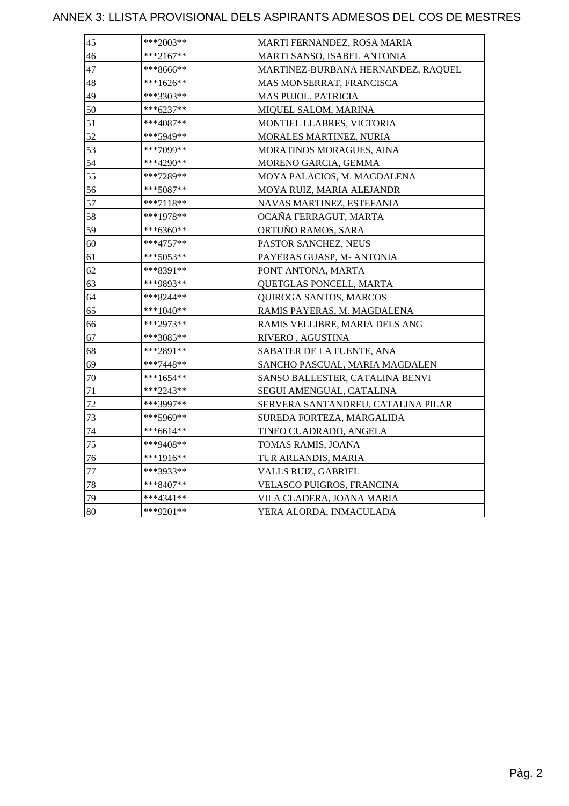| 45 | ***2003**   | MARTI FERNANDEZ, ROSA MARIA        |
|----|-------------|------------------------------------|
| 46 | $***2167**$ | MARTI SANSO, ISABEL ANTONIA        |
| 47 | ***8666**   | MARTINEZ-BURBANA HERNANDEZ, RAQUEL |
| 48 | ***1626**   | MAS MONSERRAT, FRANCISCA           |
| 49 | ***3303**   | <b>MAS PUJOL, PATRICIA</b>         |
| 50 | ***6237**   | MIQUEL SALOM, MARINA               |
| 51 | ***4087**   | MONTIEL LLABRES, VICTORIA          |
| 52 | ***5949**   | MORALES MARTINEZ, NURIA            |
| 53 | ***7099**   | MORATINOS MORAGUES, AINA           |
| 54 | ***4290**   | MORENO GARCIA, GEMMA               |
| 55 | ***7289**   | MOYA PALACIOS, M. MAGDALENA        |
| 56 | ***5087**   | MOYA RUIZ, MARIA ALEJANDR          |
| 57 | ***7118**   | NAVAS MARTINEZ, ESTEFANIA          |
| 58 | ***1978**   | OCAÑA FERRAGUT, MARTA              |
| 59 | ***6360**   | ORTUÑO RAMOS, SARA                 |
| 60 | ***4757**   | PASTOR SANCHEZ, NEUS               |
| 61 | ***5053**   | PAYERAS GUASP, M- ANTONIA          |
| 62 | ***8391**   | PONT ANTONA, MARTA                 |
| 63 | ***9893**   | QUETGLAS PONCELL, MARTA            |
| 64 | ***8244**   | QUIROGA SANTOS, MARCOS             |
| 65 | $***1040**$ | RAMIS PAYERAS, M. MAGDALENA        |
| 66 | ***2973**   | RAMIS VELLIBRE, MARIA DELS ANG     |
| 67 | ***3085**   | RIVERO, AGUSTINA                   |
| 68 | ***2891**   | SABATER DE LA FUENTE, ANA          |
| 69 | ***7448**   | SANCHO PASCUAL, MARIA MAGDALEN     |
| 70 | ***1654**   | SANSO BALLESTER, CATALINA BENVI    |
| 71 | ***2243**   | SEGUI AMENGUAL, CATALINA           |
| 72 | ***3997**   | SERVERA SANTANDREU, CATALINA PILAR |
| 73 | ***5969**   | SUREDA FORTEZA, MARGALIDA          |
| 74 | ***6614**   | TINEO CUADRADO, ANGELA             |
| 75 | ***9408**   | TOMAS RAMIS, JOANA                 |
| 76 | ***1916**   | TUR ARLANDIS, MARIA                |
| 77 | ***3933**   | VALLS RUIZ, GABRIEL                |
| 78 | ***8407**   | VELASCO PUIGROS, FRANCINA          |
| 79 | $***4341**$ | VILA CLADERA, JOANA MARIA          |
| 80 | ***9201**   | YERA ALORDA, INMACULADA            |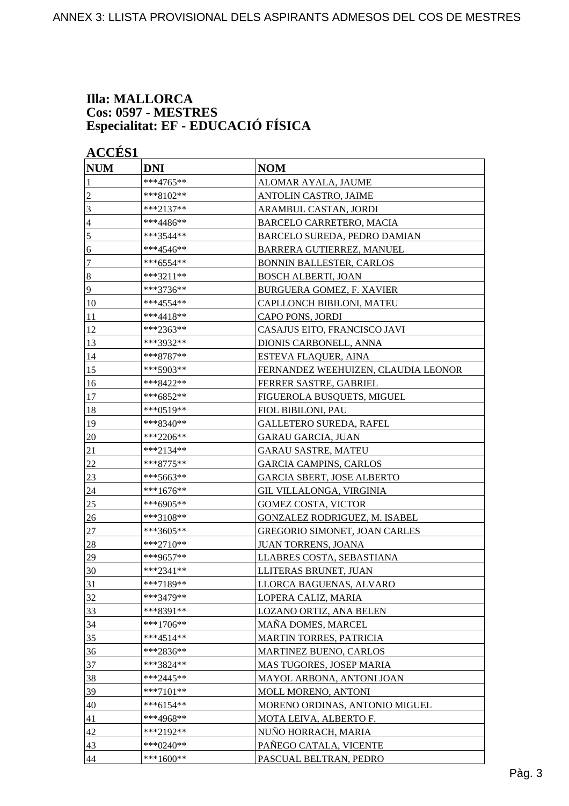#### **Illa: MALLORCA Cos: 0597 - MESTRES Especialitat: EF - EDUCACIÓ FÍSICA**

| <b>NUM</b>       | <b>DNI</b>   | <b>NOM</b>                          |
|------------------|--------------|-------------------------------------|
| 1                | ***4765**    | ALOMAR AYALA, JAUME                 |
| $\overline{c}$   | ***8102**    | ANTOLIN CASTRO, JAIME               |
| 3                | ***2137**    | ARAMBUL CASTAN, JORDI               |
| 4                | ***4486**    | BARCELO CARRETERO, MACIA            |
| 5                | ***3544**    | BARCELO SUREDA, PEDRO DAMIAN        |
| 6                | ***4546**    | BARRERA GUTIERREZ, MANUEL           |
| 7                | ***6554**    | <b>BONNIN BALLESTER, CARLOS</b>     |
| $\boldsymbol{8}$ | ***3211**    | <b>BOSCH ALBERTI, JOAN</b>          |
| 9                | ***3736**    | BURGUERA GOMEZ, F. XAVIER           |
| 10               | ***4554**    | CAPLLONCH BIBILONI, MATEU           |
| 11               | ***4418**    | CAPO PONS, JORDI                    |
| 12               | ***2363**    | CASAJUS EITO, FRANCISCO JAVI        |
| 13               | ***3932**    | DIONIS CARBONELL, ANNA              |
| 14               | ***8787**    | ESTEVA FLAQUER, AINA                |
| 15               | ***5903**    | FERNANDEZ WEEHUIZEN, CLAUDIA LEONOR |
| 16               | ***8422**    | FERRER SASTRE, GABRIEL              |
| 17               | ***6852**    | FIGUEROLA BUSQUETS, MIGUEL          |
| 18               | ***0519**    | FIOL BIBILONI, PAU                  |
| 19               | ***8340**    | <b>GALLETERO SUREDA, RAFEL</b>      |
| 20               | ***2206**    | <b>GARAU GARCIA, JUAN</b>           |
| 21               | ***2134**    | <b>GARAU SASTRE, MATEU</b>          |
| 22               | ***8775**    | <b>GARCIA CAMPINS, CARLOS</b>       |
| 23               | ***5663**    | <b>GARCIA SBERT, JOSE ALBERTO</b>   |
| 24               | ***1676**    | GIL VILLALONGA, VIRGINIA            |
| 25               | ***6905**    | <b>GOMEZ COSTA, VICTOR</b>          |
| 26               | ***3108**    | GONZALEZ RODRIGUEZ, M. ISABEL       |
| $27\,$           | ***3605**    | GREGORIO SIMONET, JOAN CARLES       |
| 28               | $***2710**$  | JUAN TORRENS, JOANA                 |
| 29               | ***9657**    | LLABRES COSTA, SEBASTIANA           |
| 30               | ***2341**    | LLITERAS BRUNET. JUAN               |
| 31               | ***7189**    | LLORCA BAGUENAS, ALVARO             |
| 32               | ***3479**    | LOPERA CALIZ, MARIA                 |
| 33               | ***8391**    | LOZANO ORTIZ, ANA BELEN             |
| 34               | ***1706**    | MAÑA DOMES, MARCEL                  |
| 35               | $***4514**$  | MARTIN TORRES, PATRICIA             |
| 36               | ***2836**    | <b>MARTINEZ BUENO, CARLOS</b>       |
| 37               | ***3824**    | MAS TUGORES, JOSEP MARIA            |
| 38               | ***2445**    | MAYOL ARBONA, ANTONI JOAN           |
| 39               | $***7101**$  | MOLL MORENO, ANTONI                 |
| 40               | ***6154**    | MORENO ORDINAS, ANTONIO MIGUEL      |
| 41               | ***4968**    | MOTA LEIVA, ALBERTO F.              |
| 42               | ***2192**    | NUÑO HORRACH, MARIA                 |
| 43               | *** $0240**$ | PAÑEGO CATALA, VICENTE              |
| 44               | ***1600**    | PASCUAL BELTRAN, PEDRO              |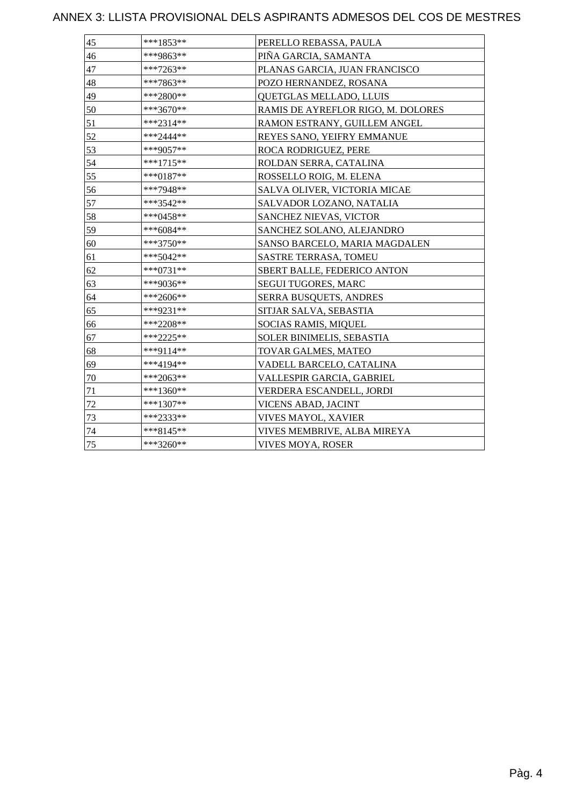| 45 | $***1853**$ | PERELLO REBASSA, PAULA             |
|----|-------------|------------------------------------|
| 46 | ***9863**   | PIÑA GARCIA, SAMANTA               |
| 47 | $***7263**$ | PLANAS GARCIA, JUAN FRANCISCO      |
| 48 | ***7863**   | POZO HERNANDEZ, ROSANA             |
| 49 | $***2800**$ | <b>QUETGLAS MELLADO, LLUIS</b>     |
| 50 | ***3670**   | RAMIS DE AYREFLOR RIGO, M. DOLORES |
| 51 | ***2314**   | RAMON ESTRANY, GUILLEM ANGEL       |
| 52 | $***2444**$ | REYES SANO, YEIFRY EMMANUE         |
| 53 | ***9057**   | ROCA RODRIGUEZ, PERE               |
| 54 | ***1715**   | ROLDAN SERRA, CATALINA             |
| 55 | $***0187**$ | ROSSELLO ROIG, M. ELENA            |
| 56 | ***7948**   | SALVA OLIVER, VICTORIA MICAE       |
| 57 | ***3542**   | SALVADOR LOZANO, NATALIA           |
| 58 | ***0458**   | <b>SANCHEZ NIEVAS, VICTOR</b>      |
| 59 | $***6084**$ | SANCHEZ SOLANO, ALEJANDRO          |
| 60 | ***3750**   | SANSO BARCELO, MARIA MAGDALEN      |
| 61 | $***5042**$ | <b>SASTRE TERRASA, TOMEU</b>       |
| 62 | $***0731**$ | SBERT BALLE, FEDERICO ANTON        |
| 63 | ***9036**   | <b>SEGUI TUGORES, MARC</b>         |
| 64 | ***2606**   | SERRA BUSQUETS, ANDRES             |
| 65 | ***9231**   | SITJAR SALVA, SEBASTIA             |
| 66 | ***2208**   | SOCIAS RAMIS, MIQUEL               |
| 67 | ***2225**   | SOLER BINIMELIS, SEBASTIA          |
| 68 | ***9114**   | TOVAR GALMES, MATEO                |
| 69 | ***4194**   | VADELL BARCELO, CATALINA           |
| 70 | ***2063**   | VALLESPIR GARCIA, GABRIEL          |
| 71 | $***1360**$ | VERDERA ESCANDELL, JORDI           |
| 72 | $***1307**$ | <b>VICENS ABAD, JACINT</b>         |
| 73 | ***2333**   | VIVES MAYOL, XAVIER                |
| 74 | ***8145**   | VIVES MEMBRIVE, ALBA MIREYA        |
| 75 | $***3260**$ | <b>VIVES MOYA, ROSER</b>           |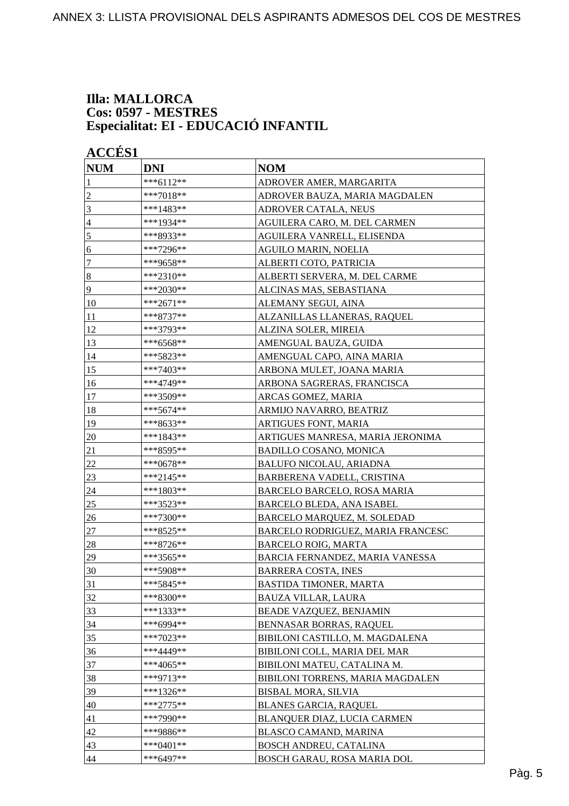#### **Illa: MALLORCA Cos: 0597 - MESTRES Especialitat: EI - EDUCACIÓ INFANTIL**

| <b>NUM</b>       | <b>DNI</b>    | <b>NOM</b>                        |
|------------------|---------------|-----------------------------------|
| 1                | ***6112**     | ADROVER AMER, MARGARITA           |
| $\overline{c}$   | ***7018**     | ADROVER BAUZA, MARIA MAGDALEN     |
| 3                | ***1483**     | <b>ADROVER CATALA, NEUS</b>       |
| 4                | ***1934**     | AGUILERA CARO, M. DEL CARMEN      |
| 5                | ***8933**     | AGUILERA VANRELL, ELISENDA        |
| 6                | ***7296**     | <b>AGUILO MARIN, NOELIA</b>       |
| 7                | ***9658**     | ALBERTI COTO, PATRICIA            |
| $\boldsymbol{8}$ | ***2310**     | ALBERTI SERVERA, M. DEL CARME     |
| 9                | ***2030**     | ALCINAS MAS, SEBASTIANA           |
| 10               | ***2671**     | ALEMANY SEGUI, AINA               |
| 11               | ***8737**     | ALZANILLAS LLANERAS, RAQUEL       |
| 12               | ***3793**     | ALZINA SOLER, MIREIA              |
| 13               | ***6568**     | AMENGUAL BAUZA, GUIDA             |
| 14               | ***5823**     | AMENGUAL CAPO, AINA MARIA         |
| 15               | ***7403**     | ARBONA MULET, JOANA MARIA         |
| 16               | ***4749**     | ARBONA SAGRERAS, FRANCISCA        |
| 17               | ***3509**     | ARCAS GOMEZ, MARIA                |
| 18               | ***5674**     | ARMIJO NAVARRO, BEATRIZ           |
| 19               | ***8633**     | ARTIGUES FONT, MARIA              |
| 20               | ***1843**     | ARTIGUES MANRESA, MARIA JERONIMA  |
| 21               | ***8595**     | <b>BADILLO COSANO, MONICA</b>     |
| 22               | ***0678**     | <b>BALUFO NICOLAU, ARIADNA</b>    |
| 23               | ***2145**     | BARBERENA VADELL, CRISTINA        |
| 24               | ***1803**     | BARCELO BARCELO, ROSA MARIA       |
| 25               | ***3523**     | BARCELO BLEDA, ANA ISABEL         |
| 26               | ***7300**     | BARCELO MARQUEZ, M. SOLEDAD       |
| 27               | ***8525**     | BARCELO RODRIGUEZ, MARIA FRANCESC |
| 28               | ***8726**     | BARCELO ROIG, MARTA               |
| 29               | ***3565**     | BARCIA FERNANDEZ, MARIA VANESSA   |
| 30               | ***5908**     | BARRERA COSTA, INES               |
| 31               | ***5845**     | BASTIDA TIMONER, MARTA            |
| 32               | ***8300**     | BAUZA VILLAR, LAURA               |
| 33               | $***1333**$   | BEADE VAZQUEZ, BENJAMIN           |
| 34               | ***6994**     | BENNASAR BORRAS, RAQUEL           |
| 35               | ***7023**     | BIBILONI CASTILLO, M. MAGDALENA   |
| 36               | ***4449**     | BIBILONI COLL, MARIA DEL MAR      |
| 37               | ***4065**     | BIBILONI MATEU, CATALINA M.       |
| 38               | ***9713**     | BIBILONI TORRENS, MARIA MAGDALEN  |
| 39               | ***1326**     | <b>BISBAL MORA, SILVIA</b>        |
| 40               | $***2775**$   | <b>BLANES GARCIA, RAQUEL</b>      |
| 41               | ***7990**     | BLANQUER DIAZ, LUCIA CARMEN       |
| 42               | ***9886**     | BLASCO CAMAND, MARINA             |
| 43               | *** $0401$ ** | BOSCH ANDREU, CATALINA            |
| 44               | $***6497**$   | BOSCH GARAU, ROSA MARIA DOL       |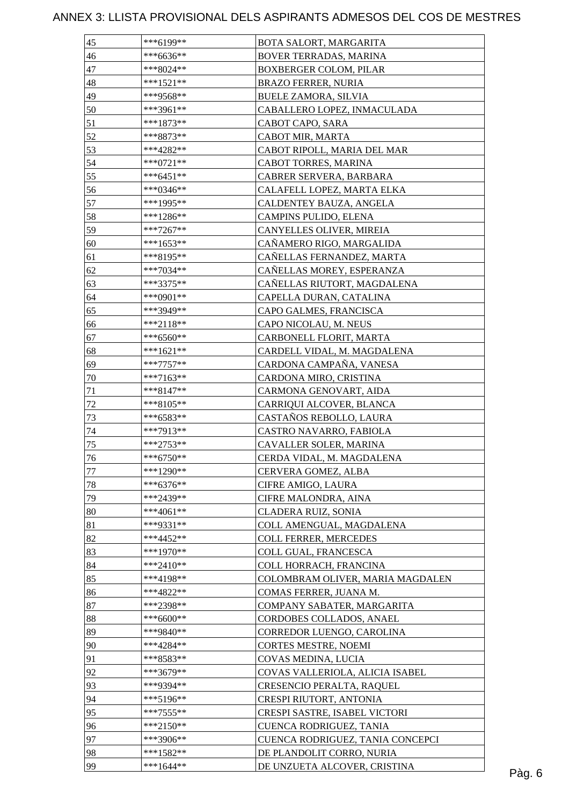| 45     | ***6199**                | BOTA SALORT, MARGARITA           |        |
|--------|--------------------------|----------------------------------|--------|
| 46     | $***6636**$              | BOVER TERRADAS, MARINA           |        |
| 47     | ***8024**                | <b>BOXBERGER COLOM, PILAR</b>    |        |
| 48     | $***1521**$              | <b>BRAZO FERRER, NURIA</b>       |        |
| 49     | ***9568**                | <b>BUELE ZAMORA, SILVIA</b>      |        |
| 50     | ***3961**                | CABALLERO LOPEZ, INMACULADA      |        |
| 51     | $***1873**$              | CABOT CAPO, SARA                 |        |
| 52     | ***8873**                | CABOT MIR, MARTA                 |        |
| 53     | ***4282**                | CABOT RIPOLL, MARIA DEL MAR      |        |
| 54     | $***0721**$              | CABOT TORRES, MARINA             |        |
| 55     | $***6451**$              | CABRER SERVERA, BARBARA          |        |
| 56     | ***0346**                | CALAFELL LOPEZ, MARTA ELKA       |        |
| 57     | ***1995**                | CALDENTEY BAUZA, ANGELA          |        |
| 58     | $***1286**$              | CAMPINS PULIDO, ELENA            |        |
| 59     | $***7267**$              | CANYELLES OLIVER, MIREIA         |        |
| 60     | $***1653**$              | CAÑAMERO RIGO, MARGALIDA         |        |
| 61     | ***8195**                | CAÑELLAS FERNANDEZ, MARTA        |        |
| 62     | ***7034**                | CAÑELLAS MOREY, ESPERANZA        |        |
| 63     | ***3375**                | CAÑELLAS RIUTORT, MAGDALENA      |        |
| 64     | ***0901**                | CAPELLA DURAN, CATALINA          |        |
| 65     | ***3949**                | CAPO GALMES, FRANCISCA           |        |
| 66     | ***2118**                | CAPO NICOLAU, M. NEUS            |        |
| 67     | $***6560**$              | CARBONELL FLORIT, MARTA          |        |
| 68     |                          |                                  |        |
| 69     | ***1621**<br>$***7757**$ | CARDELL VIDAL, M. MAGDALENA      |        |
|        |                          | CARDONA CAMPAÑA, VANESA          |        |
| $70\,$ | ***7163**                | CARDONA MIRO, CRISTINA           |        |
| 71     | $***8147**$              | CARMONA GENOVART, AIDA           |        |
| 72     | $***8105**$              | CARRIQUI ALCOVER, BLANCA         |        |
| 73     | ***6583**                | CASTAÑOS REBOLLO, LAURA          |        |
| 74     | ***7913**                | CASTRO NAVARRO, FABIOLA          |        |
| 75     | ***2753**                | CAVALLER SOLER, MARINA           |        |
| 76     | ***6750**                | CERDA VIDAL, M. MAGDALENA        |        |
| 77     | $***1290**$              | CERVERA GOMEZ, ALBA              |        |
| 78     | $***6376**$              | CIFRE AMIGO, LAURA               |        |
| 79     | ***2439**                | CIFRE MALONDRA, AINA             |        |
| 80     | $***4061**$              | CLADERA RUIZ, SONIA              |        |
| 81     | ***9331**                | COLL AMENGUAL, MAGDALENA         |        |
| 82     | ***4452**                | <b>COLL FERRER, MERCEDES</b>     |        |
| 83     | ***1970**                | COLL GUAL, FRANCESCA             |        |
| 84     | ***2410**                | COLL HORRACH, FRANCINA           |        |
| 85     | ***4198**                | COLOMBRAM OLIVER, MARIA MAGDALEN |        |
| 86     | ***4822**                | COMAS FERRER, JUANA M.           |        |
| 87     | ***2398**                | COMPANY SABATER, MARGARITA       |        |
| 88     | ***6600**                | CORDOBES COLLADOS, ANAEL         |        |
| 89     | ***9840**                | CORREDOR LUENGO, CAROLINA        |        |
| 90     | ***4284**                | CORTES MESTRE, NOEMI             |        |
| 91     | ***8583**                | COVAS MEDINA, LUCIA              |        |
| 92     | ***3679**                | COVAS VALLERIOLA, ALICIA ISABEL  |        |
| 93     | ***9394**                | CRESENCIO PERALTA, RAQUEL        |        |
| 94     | ***5196**                | CRESPI RIUTORT, ANTONIA          |        |
| 95     | ***7555**                | CRESPI SASTRE, ISABEL VICTORI    |        |
| 96     | ***2150**                | CUENCA RODRIGUEZ, TANIA          |        |
| 97     | ***3906**                | CUENCA RODRIGUEZ, TANIA CONCEPCI |        |
| 98     | $***1582**$              | DE PLANDOLIT CORRO, NURIA        |        |
| 99     | $***1644**$              | DE UNZUETA ALCOVER, CRISTINA     | Pàg. 6 |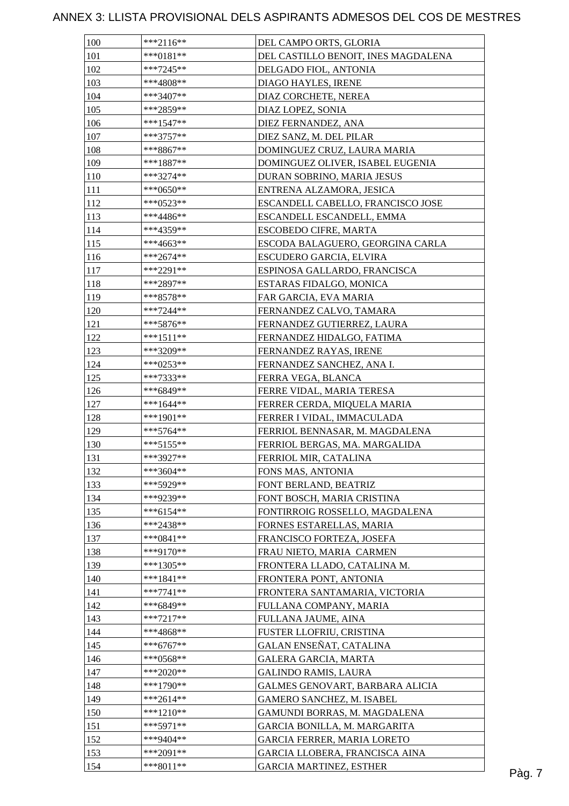| 100        | $***2116**$            | DEL CAMPO ORTS, GLORIA                                           |  |
|------------|------------------------|------------------------------------------------------------------|--|
| 101        | ***0181**              | DEL CASTILLO BENOIT, INES MAGDALENA                              |  |
| 102        | ***7245**              | DELGADO FIOL, ANTONIA                                            |  |
| 103        | ***4808**              | DIAGO HAYLES, IRENE                                              |  |
| 104        | $***3407**$            | DIAZ CORCHETE, NEREA                                             |  |
| 105        | ***2859**              | DIAZ LOPEZ, SONIA                                                |  |
| 106        | $***1547**$            | DIEZ FERNANDEZ, ANA                                              |  |
| 107        | $***3757**$            | DIEZ SANZ, M. DEL PILAR                                          |  |
| 108        | $***8867**$            | DOMINGUEZ CRUZ, LAURA MARIA                                      |  |
| 109        | $***1887**$            | DOMINGUEZ OLIVER, ISABEL EUGENIA                                 |  |
| 110        | ***3274**              | DURAN SOBRINO, MARIA JESUS                                       |  |
| 111        | ***0650**              | ENTRENA ALZAMORA, JESICA                                         |  |
| 112        | ***0523**              | ESCANDELL CABELLO, FRANCISCO JOSE                                |  |
| 113        | ***4486**              | ESCANDELL ESCANDELL, EMMA                                        |  |
| 114        | ***4359**              | <b>ESCOBEDO CIFRE, MARTA</b>                                     |  |
| 115        | ***4663**              | ESCODA BALAGUERO, GEORGINA CARLA                                 |  |
|            |                        |                                                                  |  |
| 116<br>117 | ***2674**<br>***2291** | ESCUDERO GARCIA, ELVIRA                                          |  |
| 118        |                        | ESPINOSA GALLARDO, FRANCISCA                                     |  |
|            | ***2897**              | ESTARAS FIDALGO, MONICA                                          |  |
| 119        | $***8578**$            | FAR GARCIA, EVA MARIA                                            |  |
| 120        | ***7244**              | FERNANDEZ CALVO, TAMARA                                          |  |
| 121        | $***5876**$            | FERNANDEZ GUTIERREZ, LAURA                                       |  |
| 122        | ***1511**              | FERNANDEZ HIDALGO, FATIMA                                        |  |
| 123        | ***3209**              | FERNANDEZ RAYAS, IRENE                                           |  |
| 124        | ***0253**              | FERNANDEZ SANCHEZ, ANA I.                                        |  |
| 125        | ***7333**              | FERRA VEGA, BLANCA                                               |  |
| 126        | ***6849**              | FERRE VIDAL, MARIA TERESA                                        |  |
| 127        | ***1644**              | FERRER CERDA, MIQUELA MARIA                                      |  |
| 128        | ***1901**              | FERRER I VIDAL, IMMACULADA                                       |  |
| 129        | $***5764**$            | FERRIOL BENNASAR, M. MAGDALENA                                   |  |
| 130        | ***5155**              | FERRIOL BERGAS, MA. MARGALIDA                                    |  |
| 131        | ***3927**              | FERRIOL MIR, CATALINA                                            |  |
| 132        | $***3604**$            | FONS MAS, ANTONIA                                                |  |
| 133        | ***5929**              | FONT BERLAND, BEATRIZ                                            |  |
| 134        | ***9239**              | FONT BOSCH, MARIA CRISTINA                                       |  |
| 135        | $***6154**$            | FONTIRROIG ROSSELLO, MAGDALENA                                   |  |
| 136        | ***2438**              | FORNES ESTARELLAS, MARIA                                         |  |
| 137        | $***0841**$            | FRANCISCO FORTEZA, JOSEFA                                        |  |
| 138        | ***9170**              | FRAU NIETO, MARIA CARMEN                                         |  |
| 139        | $***1305**$            | FRONTERA LLADO, CATALINA M.                                      |  |
| 140        | $***1841**$            | FRONTERA PONT, ANTONIA                                           |  |
| 141        | $***7741**$            | FRONTERA SANTAMARIA, VICTORIA                                    |  |
| 142        | ***6849**              | FULLANA COMPANY, MARIA                                           |  |
| 143        | $***7217**$            | FULLANA JAUME, AINA                                              |  |
| 144        | ***4868**              | FUSTER LLOFRIU, CRISTINA                                         |  |
| 145        | $***6767**$            | GALAN ENSEÑAT, CATALINA                                          |  |
| 146        | ***0568**              | <b>GALERA GARCIA, MARTA</b>                                      |  |
| 147        | ***2020**              | <b>GALINDO RAMIS, LAURA</b>                                      |  |
| 148        | $***1790**$            | GALMES GENOVART, BARBARA ALICIA                                  |  |
| 149        | $***2614**$            | GAMERO SANCHEZ, M. ISABEL                                        |  |
| 150        | ***1210**              | GAMUNDI BORRAS, M. MAGDALENA                                     |  |
| 151        | $***5971**$            | GARCIA BONILLA, M. MARGARITA                                     |  |
| 152        | ***9404**              | GARCIA FERRER, MARIA LORETO                                      |  |
|            | $***2091**$            |                                                                  |  |
| 153        | $***8011**$            | GARCIA LLOBERA, FRANCISCA AINA<br><b>GARCIA MARTINEZ, ESTHER</b> |  |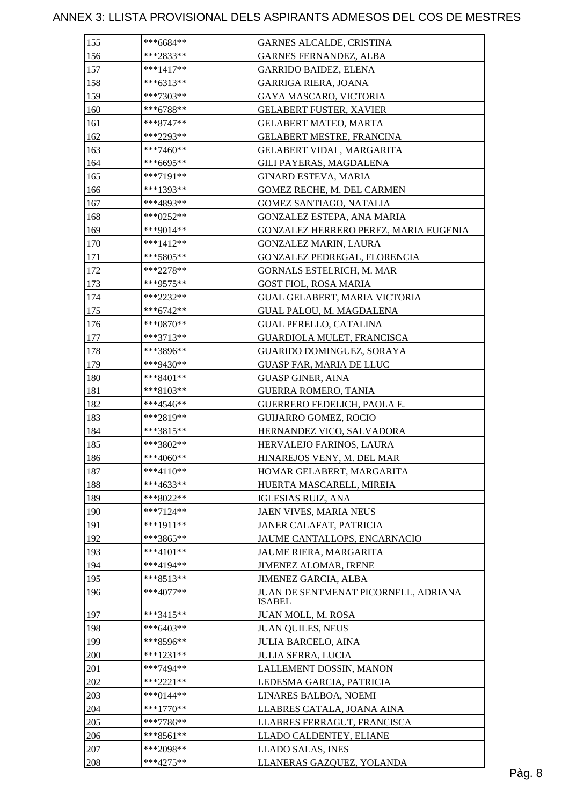| 155 | ***6684**              | GARNES ALCALDE, CRISTINA                                   |
|-----|------------------------|------------------------------------------------------------|
| 156 | ***2833**              | <b>GARNES FERNANDEZ, ALBA</b>                              |
| 157 | ***1417**              | <b>GARRIDO BAIDEZ, ELENA</b>                               |
| 158 | ***6313**              | GARRIGA RIERA, JOANA                                       |
| 159 | ***7303**              | <b>GAYA MASCARO, VICTORIA</b>                              |
| 160 | ***6788**              | <b>GELABERT FUSTER, XAVIER</b>                             |
| 161 | $***8747**$            | <b>GELABERT MATEO, MARTA</b>                               |
| 162 | ***2293**              | <b>GELABERT MESTRE, FRANCINA</b>                           |
| 163 | ***7460**              | <b>GELABERT VIDAL, MARGARITA</b>                           |
| 164 | ***6695**              | GILI PAYERAS, MAGDALENA                                    |
| 165 | ***7191**              | <b>GINARD ESTEVA, MARIA</b>                                |
| 166 | ***1393**              | GOMEZ RECHE, M. DEL CARMEN                                 |
| 167 | ***4893**              | GOMEZ SANTIAGO, NATALIA                                    |
| 168 | ***0252**              | GONZALEZ ESTEPA, ANA MARIA                                 |
| 169 | ***9014**              | GONZALEZ HERRERO PEREZ, MARIA EUGENIA                      |
| 170 | ***1412**              | GONZALEZ MARIN, LAURA                                      |
| 171 | ***5805**              | GONZALEZ PEDREGAL, FLORENCIA                               |
| 172 | ***2278**              | GORNALS ESTELRICH, M. MAR                                  |
| 173 | ***9575**              | <b>GOST FIOL, ROSA MARIA</b>                               |
| 174 | ***2232**              | <b>GUAL GELABERT, MARIA VICTORIA</b>                       |
| 175 | ***6742**              | GUAL PALOU, M. MAGDALENA                                   |
| 176 | ***0870**              | <b>GUAL PERELLO, CATALINA</b>                              |
| 177 | ***3713**              | GUARDIOLA MULET, FRANCISCA                                 |
| 178 | ***3896**              | GUARIDO DOMINGUEZ, SORAYA                                  |
| 179 | ***9430**              | GUASP FAR, MARIA DE LLUC                                   |
| 180 | ***8401**              | <b>GUASP GINER, AINA</b>                                   |
| 181 | ***8103**              |                                                            |
| 182 | ***4546**              | <b>GUERRA ROMERO, TANIA</b><br>GUERRERO FEDELICH, PAOLA E. |
| 183 |                        | <b>GUIJARRO GOMEZ, ROCIO</b>                               |
|     | ***2819**<br>***3815** |                                                            |
| 184 | ***3802**              | HERNANDEZ VICO, SALVADORA                                  |
| 185 | $***4060**$            | HERVALEJO FARINOS, LAURA                                   |
| 186 |                        | HINAREJOS VENY, M. DEL MAR                                 |
| 187 | ***4110**              | HOMAR GELABERT, MARGARITA                                  |
| 188 | ***4633**              | HUERTA MASCARELL, MIREIA                                   |
| 189 | ***8022**              | <b>IGLESIAS RUIZ, ANA</b>                                  |
| 190 | ***7124**              | JAEN VIVES, MARIA NEUS                                     |
| 191 | ***1911**              | JANER CALAFAT, PATRICIA                                    |
| 192 | ***3865**              | JAUME CANTALLOPS, ENCARNACIO                               |
| 193 | $***4101**$            | JAUME RIERA, MARGARITA                                     |
| 194 | ***4194**              | <b>JIMENEZ ALOMAR, IRENE</b>                               |
| 195 | $***8513**$            | JIMENEZ GARCIA, ALBA                                       |
| 196 | $***4077**$            | JUAN DE SENTMENAT PICORNELL, ADRIANA<br><b>ISABEL</b>      |
| 197 | ***3415**              | JUAN MOLL, M. ROSA                                         |
| 198 | ***6403**              | <b>JUAN QUILES, NEUS</b>                                   |
| 199 | ***8596**              | <b>JULIA BARCELO, AINA</b>                                 |
| 200 | ***1231**              | <b>JULIA SERRA, LUCIA</b>                                  |
| 201 | ***7494**              | LALLEMENT DOSSIN, MANON                                    |
| 202 | ***2221**              | LEDESMA GARCIA, PATRICIA                                   |
| 203 | *** $0144$ **          | LINARES BALBOA, NOEMI                                      |
| 204 | $***1770**$            | LLABRES CATALA, JOANA AINA                                 |
| 205 | $***7786**$            | LLABRES FERRAGUT, FRANCISCA                                |
| 206 | $***8561**$            | LLADO CALDENTEY, ELIANE                                    |
| 207 | ***2098**              | LLADO SALAS, INES                                          |
| 208 | $***4275**$            | LLANERAS GAZQUEZ, YOLANDA                                  |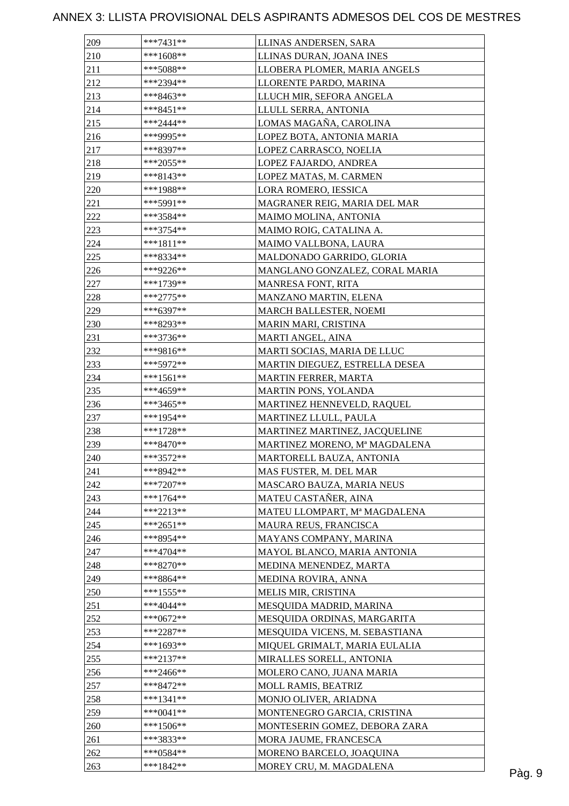| 209 | ***7431**   | LLINAS ANDERSEN, SARA          |  |
|-----|-------------|--------------------------------|--|
| 210 | $***1608**$ | LLINAS DURAN, JOANA INES       |  |
| 211 | ***5088**   | LLOBERA PLOMER, MARIA ANGELS   |  |
| 212 | ***2394**   | LLORENTE PARDO, MARINA         |  |
| 213 | ***8463**   | LLUCH MIR, SEFORA ANGELA       |  |
| 214 | ***8451**   | LLULL SERRA, ANTONIA           |  |
| 215 | $***2444**$ | LOMAS MAGAÑA, CAROLINA         |  |
| 216 | ***9995**   | LOPEZ BOTA, ANTONIA MARIA      |  |
| 217 | ***8397**   | LOPEZ CARRASCO, NOELIA         |  |
| 218 | $***2055**$ | LOPEZ FAJARDO, ANDREA          |  |
| 219 | ***8143**   | LOPEZ MATAS, M. CARMEN         |  |
| 220 | ***1988**   | LORA ROMERO, IESSICA           |  |
| 221 | ***5991**   | MAGRANER REIG, MARIA DEL MAR   |  |
| 222 | ***3584**   | MAIMO MOLINA, ANTONIA          |  |
| 223 | ***3754**   | MAIMO ROIG, CATALINA A.        |  |
| 224 | $***1811**$ | MAIMO VALLBONA, LAURA          |  |
| 225 | ***8334**   | MALDONADO GARRIDO, GLORIA      |  |
| 226 | ***9226**   | MANGLANO GONZALEZ, CORAL MARIA |  |
| 227 | ***1739**   | <b>MANRESA FONT, RITA</b>      |  |
| 228 | $***2775**$ | MANZANO MARTIN, ELENA          |  |
| 229 | ***6397**   | <b>MARCH BALLESTER, NOEMI</b>  |  |
| 230 | ***8293**   | MARIN MARI, CRISTINA           |  |
|     |             |                                |  |
| 231 | ***3736**   | MARTI ANGEL, AINA              |  |
| 232 | ***9816**   | MARTI SOCIAS, MARIA DE LLUC    |  |
| 233 | ***5972**   | MARTIN DIEGUEZ, ESTRELLA DESEA |  |
| 234 | ***1561**   | MARTIN FERRER, MARTA           |  |
| 235 | ***4659**   | MARTIN PONS, YOLANDA           |  |
| 236 | ***3465**   | MARTINEZ HENNEVELD, RAQUEL     |  |
| 237 | ***1954**   | MARTINEZ LLULL, PAULA          |  |
| 238 | ***1728**   | MARTINEZ MARTINEZ, JACQUELINE  |  |
| 239 | $***8470**$ | MARTINEZ MORENO, Mª MAGDALENA  |  |
| 240 | ***3572**   | MARTORELL BAUZA, ANTONIA       |  |
| 241 | ***8942**   | MAS FUSTER, M. DEL MAR         |  |
| 242 | $***7207**$ | MASCARO BAUZA, MARIA NEUS      |  |
| 243 | ***1764**   | MATEU CASTAÑER, AINA           |  |
| 244 | $***2213**$ | MATEU LLOMPART, Mª MAGDALENA   |  |
| 245 | ***2651**   | MAURA REUS, FRANCISCA          |  |
| 246 | ***8954**   | MAYANS COMPANY, MARINA         |  |
| 247 | ***4704**   | MAYOL BLANCO, MARIA ANTONIA    |  |
| 248 | $***8270**$ | MEDINA MENENDEZ, MARTA         |  |
| 249 | ***8864**   | MEDINA ROVIRA, ANNA            |  |
| 250 | ***1555**   | MELIS MIR, CRISTINA            |  |
| 251 | $***4044**$ | MESQUIDA MADRID, MARINA        |  |
| 252 | $***0672**$ | MESQUIDA ORDINAS, MARGARITA    |  |
| 253 | ***2287**   | MESQUIDA VICENS, M. SEBASTIANA |  |
| 254 | ***1693**   | MIQUEL GRIMALT, MARIA EULALIA  |  |
| 255 | $***2137**$ | MIRALLES SORELL, ANTONIA       |  |
| 256 | ***2466**   | MOLERO CANO, JUANA MARIA       |  |
| 257 | ***8472**   | MOLL RAMIS, BEATRIZ            |  |
| 258 | $***1341**$ | MONJO OLIVER, ARIADNA          |  |
| 259 | $***0041**$ | MONTENEGRO GARCIA, CRISTINA    |  |
| 260 | $***1506**$ | MONTESERIN GOMEZ, DEBORA ZARA  |  |
| 261 | ***3833**   | MORA JAUME, FRANCESCA          |  |
| 262 | ***0584**   | MORENO BARCELO, JOAQUINA       |  |
| 263 | ***1842**   | MOREY CRU, M. MAGDALENA        |  |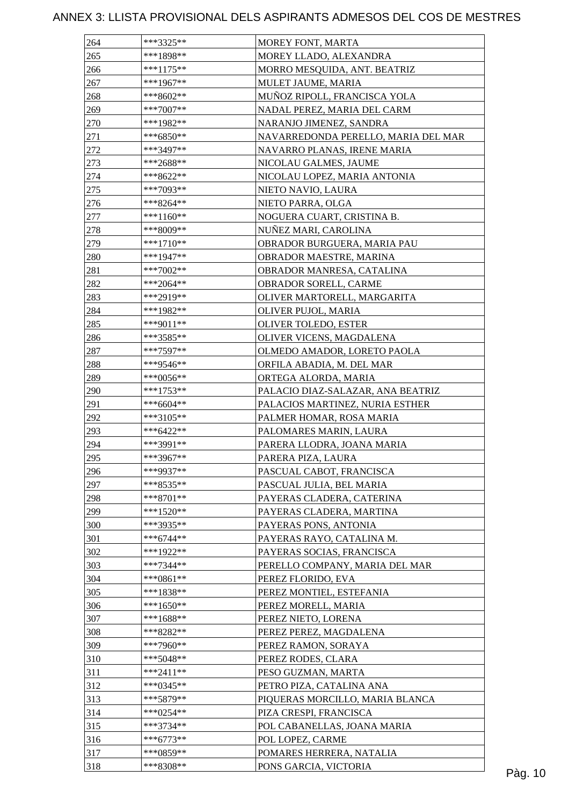| 264        | ***3325**   | MOREY FONT, MARTA                   |         |
|------------|-------------|-------------------------------------|---------|
| 265        | ***1898**   | MOREY LLADO, ALEXANDRA              |         |
| 266        | ***1175**   | MORRO MESQUIDA, ANT. BEATRIZ        |         |
| 267        | $***1967**$ | MULET JAUME, MARIA                  |         |
| 268        | $***8602**$ | MUÑOZ RIPOLL, FRANCISCA YOLA        |         |
| 269        | ***7007**   | NADAL PEREZ, MARIA DEL CARM         |         |
| 270        | ***1982**   | NARANJO JIMENEZ, SANDRA             |         |
| 271        | ***6850**   | NAVARREDONDA PERELLO, MARIA DEL MAR |         |
| 272        | ***3497**   | NAVARRO PLANAS, IRENE MARIA         |         |
| 273        | $***2688**$ | NICOLAU GALMES, JAUME               |         |
| 274        | ***8622**   | NICOLAU LOPEZ, MARIA ANTONIA        |         |
| 275        | ***7093**   | NIETO NAVIO, LAURA                  |         |
| 276        | ***8264**   | NIETO PARRA, OLGA                   |         |
| 277        | ***1160**   | NOGUERA CUART, CRISTINA B.          |         |
| 278        | ***8009**   | NUÑEZ MARI, CAROLINA                |         |
| 279        | $***1710**$ | OBRADOR BURGUERA, MARIA PAU         |         |
| 280        | ***1947**   | OBRADOR MAESTRE, MARINA             |         |
| 281        | ***7002**   | OBRADOR MANRESA, CATALINA           |         |
| 282        | $***2064**$ | OBRADOR SORELL, CARME               |         |
| 283        | ***2919**   | OLIVER MARTORELL, MARGARITA         |         |
| 284        | ***1982**   | OLIVER PUJOL, MARIA                 |         |
| 285        | ***9011**   | OLIVER TOLEDO, ESTER                |         |
| 286        | ***3585**   | OLIVER VICENS, MAGDALENA            |         |
| 287        | ***7597**   | OLMEDO AMADOR, LORETO PAOLA         |         |
|            | ***9546**   |                                     |         |
| 288<br>289 |             | ORFILA ABADIA, M. DEL MAR           |         |
|            | ***0056**   | ORTEGA ALORDA, MARIA                |         |
| 290        | ***1753**   | PALACIO DIAZ-SALAZAR, ANA BEATRIZ   |         |
| 291        | ***6604**   | PALACIOS MARTINEZ, NURIA ESTHER     |         |
| 292        | ***3105**   | PALMER HOMAR, ROSA MARIA            |         |
| 293        | $***6422**$ | PALOMARES MARIN, LAURA              |         |
| 294        | ***3991**   | PARERA LLODRA, JOANA MARIA          |         |
| 295        | $***3967**$ | PARERA PIZA, LAURA                  |         |
| 296        | ***9937**   | PASCUAL CABOT, FRANCISCA            |         |
| 297        | ***8535**   | PASCUAL JULIA, BEL MARIA            |         |
| 298        | ***8701**   | PAYERAS CLADERA, CATERINA           |         |
| 299        | $***1520**$ | PAYERAS CLADERA, MARTINA            |         |
| 300        | ***3935**   | PAYERAS PONS, ANTONIA               |         |
| 301        | $***6744**$ | PAYERAS RAYO, CATALINA M.           |         |
| 302        | ***1922**   | PAYERAS SOCIAS, FRANCISCA           |         |
| 303        | ***7344**   | PERELLO COMPANY, MARIA DEL MAR      |         |
| 304        | ***0861**   | PEREZ FLORIDO, EVA                  |         |
| 305        | $***1838**$ | PEREZ MONTIEL, ESTEFANIA            |         |
| 306        | ***1650**   | PEREZ MORELL, MARIA                 |         |
| 307        | ***1688**   | PEREZ NIETO, LORENA                 |         |
| 308        | ***8282**   | PEREZ PEREZ, MAGDALENA              |         |
| 309        | ***7960**   | PEREZ RAMON, SORAYA                 |         |
| 310        | $***5048**$ | PEREZ RODES, CLARA                  |         |
| 311        | $***2411**$ | PESO GUZMAN, MARTA                  |         |
| 312        | $***0345**$ | PETRO PIZA, CATALINA ANA            |         |
| 313        | ***5879**   | PIQUERAS MORCILLO, MARIA BLANCA     |         |
| 314        | ***0254**   | PIZA CRESPI, FRANCISCA              |         |
| 315        | ***3734**   | POL CABANELLAS, JOANA MARIA         |         |
| 316        | $***6773**$ | POL LOPEZ, CARME                    |         |
| 317        | ***0859**   | POMARES HERRERA, NATALIA            |         |
| 318        | ***8308**   | PONS GARCIA, VICTORIA               | Pàg. 10 |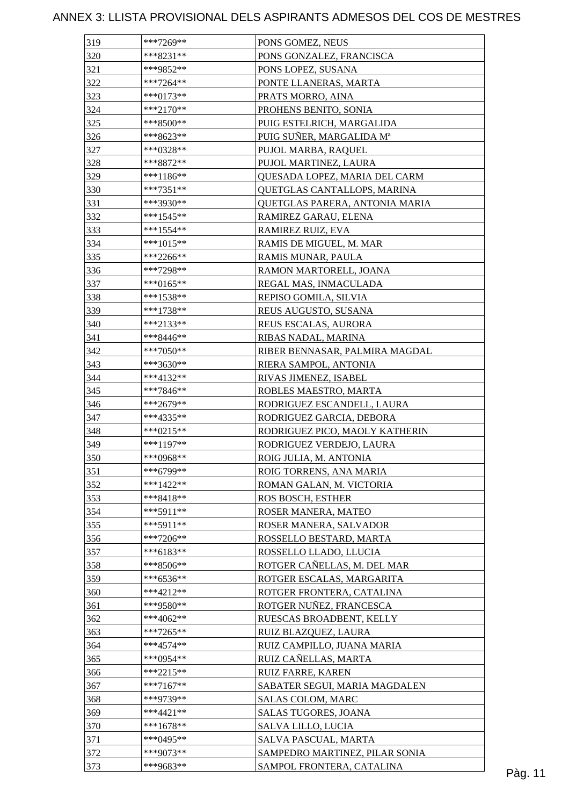| PONS GONZALEZ, FRANCISCA<br>PONS LOPEZ, SUSANA<br>PONTE LLANERAS, MARTA<br>PRATS MORRO, AINA<br>PROHENS BENITO, SONIA<br>PUIG ESTELRICH, MARGALIDA<br>PUIG SUÑER, MARGALIDA Mª<br>PUJOL MARBA, RAQUEL<br>PUJOL MARTINEZ, LAURA |
|--------------------------------------------------------------------------------------------------------------------------------------------------------------------------------------------------------------------------------|
|                                                                                                                                                                                                                                |
|                                                                                                                                                                                                                                |
|                                                                                                                                                                                                                                |
|                                                                                                                                                                                                                                |
|                                                                                                                                                                                                                                |
|                                                                                                                                                                                                                                |
|                                                                                                                                                                                                                                |
|                                                                                                                                                                                                                                |
|                                                                                                                                                                                                                                |
| QUESADA LOPEZ, MARIA DEL CARM                                                                                                                                                                                                  |
| QUETGLAS CANTALLOPS, MARINA                                                                                                                                                                                                    |
| QUETGLAS PARERA, ANTONIA MARIA                                                                                                                                                                                                 |
| RAMIREZ GARAU, ELENA                                                                                                                                                                                                           |
| RAMIREZ RUIZ, EVA                                                                                                                                                                                                              |
| RAMIS DE MIGUEL, M. MAR                                                                                                                                                                                                        |
| RAMIS MUNAR, PAULA                                                                                                                                                                                                             |
| RAMON MARTORELL, JOANA                                                                                                                                                                                                         |
| REGAL MAS, INMACULADA                                                                                                                                                                                                          |
| REPISO GOMILA, SILVIA                                                                                                                                                                                                          |
| REUS AUGUSTO, SUSANA                                                                                                                                                                                                           |
| REUS ESCALAS, AURORA                                                                                                                                                                                                           |
| RIBAS NADAL, MARINA                                                                                                                                                                                                            |
| RIBER BENNASAR, PALMIRA MAGDAL                                                                                                                                                                                                 |
| RIERA SAMPOL, ANTONIA                                                                                                                                                                                                          |
| RIVAS JIMENEZ, ISABEL                                                                                                                                                                                                          |
| ROBLES MAESTRO, MARTA                                                                                                                                                                                                          |
| RODRIGUEZ ESCANDELL, LAURA                                                                                                                                                                                                     |
| RODRIGUEZ GARCIA, DEBORA                                                                                                                                                                                                       |
| RODRIGUEZ PICO, MAOLY KATHERIN                                                                                                                                                                                                 |
| RODRIGUEZ VERDEJO, LAURA                                                                                                                                                                                                       |
| ROIG JULIA, M. ANTONIA                                                                                                                                                                                                         |
| ROIG TORRENS, ANA MARIA                                                                                                                                                                                                        |
| ROMAN GALAN, M. VICTORIA                                                                                                                                                                                                       |
| <b>ROS BOSCH, ESTHER</b>                                                                                                                                                                                                       |
| ROSER MANERA, MATEO                                                                                                                                                                                                            |
| ROSER MANERA, SALVADOR                                                                                                                                                                                                         |
| ROSSELLO BESTARD, MARTA                                                                                                                                                                                                        |
| ROSSELLO LLADO, LLUCIA                                                                                                                                                                                                         |
| ROTGER CAÑELLAS, M. DEL MAR                                                                                                                                                                                                    |
| ROTGER ESCALAS, MARGARITA                                                                                                                                                                                                      |
| ROTGER FRONTERA, CATALINA                                                                                                                                                                                                      |
| ROTGER NUÑEZ, FRANCESCA                                                                                                                                                                                                        |
| RUESCAS BROADBENT, KELLY                                                                                                                                                                                                       |
| RUIZ BLAZQUEZ, LAURA                                                                                                                                                                                                           |
| RUIZ CAMPILLO, JUANA MARIA                                                                                                                                                                                                     |
| RUIZ CAÑELLAS, MARTA                                                                                                                                                                                                           |
| RUIZ FARRE, KAREN                                                                                                                                                                                                              |
|                                                                                                                                                                                                                                |
| SABATER SEGUI, MARIA MAGDALEN                                                                                                                                                                                                  |
| <b>SALAS COLOM, MARC</b>                                                                                                                                                                                                       |
| SALAS TUGORES, JOANA                                                                                                                                                                                                           |
| SALVA LILLO, LUCIA                                                                                                                                                                                                             |
| SALVA PASCUAL, MARTA                                                                                                                                                                                                           |
| SAMPEDRO MARTINEZ, PILAR SONIA<br>SAMPOL FRONTERA, CATALINA                                                                                                                                                                    |
|                                                                                                                                                                                                                                |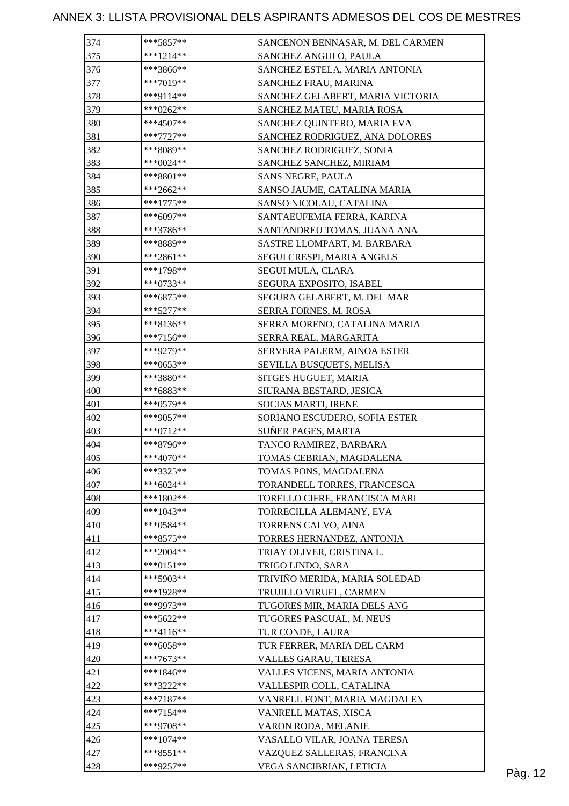| 374        | $***5857**$              | SANCENON BENNASAR, M. DEL CARMEN  |         |
|------------|--------------------------|-----------------------------------|---------|
| 375        | $***1214**$              | SANCHEZ ANGULO, PAULA             |         |
| 376        | ***3866**                | SANCHEZ ESTELA, MARIA ANTONIA     |         |
| 377        | $***7019**$              | SANCHEZ FRAU, MARINA              |         |
| 378        | ***9114**                | SANCHEZ GELABERT, MARIA VICTORIA  |         |
| 379        | $***0262**$              | SANCHEZ MATEU, MARIA ROSA         |         |
| 380        | $***4507**$              | SANCHEZ QUINTERO, MARIA EVA       |         |
| 381        | $***7727**$              | SANCHEZ RODRIGUEZ, ANA DOLORES    |         |
| 382        | ***8089**                | SANCHEZ RODRIGUEZ, SONIA          |         |
| 383        | ***0024**                | SANCHEZ SANCHEZ, MIRIAM           |         |
| 384        | $***8801**$              | SANS NEGRE, PAULA                 |         |
| 385        | $***2662**$              | SANSO JAUME, CATALINA MARIA       |         |
| 386        | $***1775**$              | SANSO NICOLAU, CATALINA           |         |
| 387        | ***6097**                | SANTAEUFEMIA FERRA, KARINA        |         |
| 388        | ***3786**                | SANTANDREU TOMAS, JUANA ANA       |         |
| 389        | ***8889**                | SASTRE LLOMPART, M. BARBARA       |         |
| 390        | ***2861**                | <b>SEGUI CRESPI, MARIA ANGELS</b> |         |
| 391        | ***1798**                | SEGUI MULA, CLARA                 |         |
| 392        | $***0733**$              | <b>SEGURA EXPOSITO, ISABEL</b>    |         |
| 393        | $***6875**$              | SEGURA GELABERT, M. DEL MAR       |         |
| 394        | $***5277**$              | <b>SERRA FORNES, M. ROSA</b>      |         |
| 395        | $***8136**$              | SERRA MORENO, CATALINA MARIA      |         |
| 396        | $***7156**$              | SERRA REAL, MARGARITA             |         |
| 397        | ***9279**                | SERVERA PALERM, AINOA ESTER       |         |
| 398        | ***0653**                | SEVILLA BUSQUETS, MELISA          |         |
| 399        | ***3880**                | SITGES HUGUET, MARIA              |         |
|            | ***6883**                | SIURANA BESTARD, JESICA           |         |
| 400<br>401 | $***0579**$              | SOCIAS MARTI, IRENE               |         |
| 402        |                          | SORIANO ESCUDERO, SOFIA ESTER     |         |
|            | ***9057**<br>$***0712**$ | SUÑER PAGES, MARTA                |         |
| 403        |                          |                                   |         |
| 404        | ***8796**                | TANCO RAMIREZ, BARBARA            |         |
| 405        | $***4070**$              | TOMAS CEBRIAN, MAGDALENA          |         |
| 406        | ***3325**                | TOMAS PONS, MAGDALENA             |         |
| 407        | $***6024**$              | TORANDELL TORRES, FRANCESCA       |         |
| 408        | ***1802**                | TORELLO CIFRE, FRANCISCA MARI     |         |
| 409        | $***1043**$              | TORRECILLA ALEMANY, EVA           |         |
| 410        | $***0584**$              | TORRENS CALVO, AINA               |         |
| 411        | $***8575**$              | TORRES HERNANDEZ, ANTONIA         |         |
| 412        | $***2004**$              | TRIAY OLIVER, CRISTINA L.         |         |
| 413        | $***0151**$              | TRIGO LINDO, SARA                 |         |
| 414        | ***5903**                | TRIVIÑO MERIDA, MARIA SOLEDAD     |         |
| 415        | ***1928**                | TRUJILLO VIRUEL, CARMEN           |         |
| 416        | ***9973**                | TUGORES MIR, MARIA DELS ANG       |         |
| 417        | $***5622**$              | TUGORES PASCUAL, M. NEUS          |         |
| 418        | $***4116**$              | TUR CONDE, LAURA                  |         |
| 419        | $***6058**$              | TUR FERRER, MARIA DEL CARM        |         |
| 420        | $***7673**$              | VALLES GARAU, TERESA              |         |
| 421        | $***1846**$              | VALLES VICENS, MARIA ANTONIA      |         |
| 422        | ***3222**                | VALLESPIR COLL, CATALINA          |         |
| 423        | $***7187**$              | VANRELL FONT, MARIA MAGDALEN      |         |
| 424        | $***7154**$              | VANRELL MATAS, XISCA              |         |
| 425        | ***9708**                | VARON RODA, MELANIE               |         |
| 426        | $***1074**$              | VASALLO VILAR, JOANA TERESA       |         |
| 427        | $***8551**$              | VAZQUEZ SALLERAS, FRANCINA        |         |
| 428        | ***9257**                | VEGA SANCIBRIAN, LETICIA          | Pàg. 12 |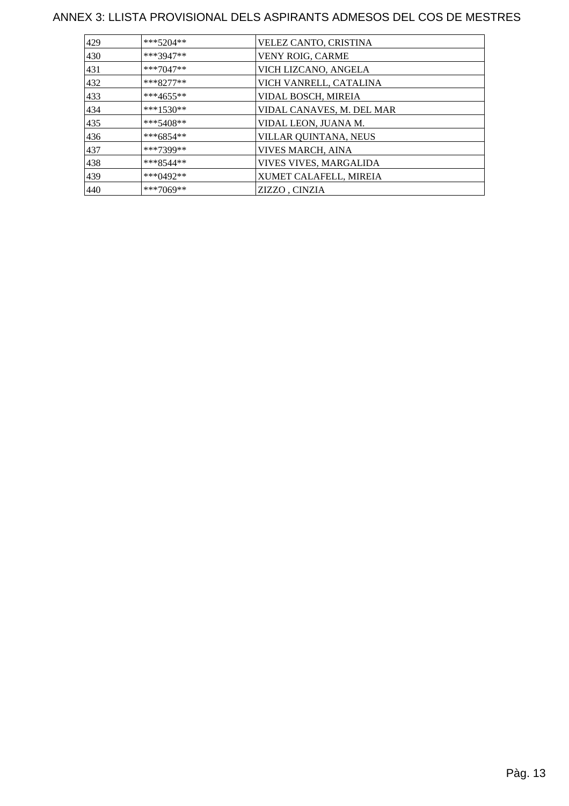| 429 | $***5204**$   | VELEZ CANTO, CRISTINA     |
|-----|---------------|---------------------------|
| 430 | ***3947**     | VENY ROIG, CARME          |
| 431 | ***7047**     | VICH LIZCANO, ANGELA      |
| 432 | $***8277**$   | VICH VANRELL, CATALINA    |
| 433 | ***4655**     | VIDAL BOSCH, MIREIA       |
| 434 | $***1530**$   | VIDAL CANAVES, M. DEL MAR |
| 435 | $***5408**$   | VIDAL LEON, JUANA M.      |
| 436 | ***6854**     | VILLAR QUINTANA, NEUS     |
| 437 | ***7399**     | VIVES MARCH, AINA         |
| 438 | $***8544**$   | VIVES VIVES, MARGALIDA    |
| 439 | *** $0.492**$ | XUMET CALAFELL, MIREIA    |
| 440 | $***7069**$   | ZIZZO, CINZIA             |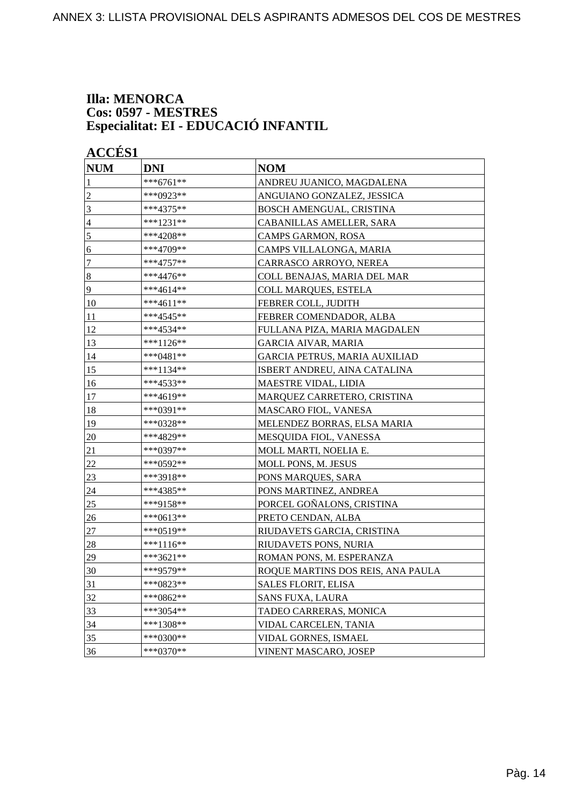#### **Illa: MENORCA Cos: 0597 - MESTRES Especialitat: EI - EDUCACIÓ INFANTIL**

**ACCÉS 1** 

| <b>NUM</b>     | <b>DNI</b>  | <b>NOM</b>                        |
|----------------|-------------|-----------------------------------|
| $\mathbf{1}$   | ***6761**   | ANDREU JUANICO, MAGDALENA         |
| $\overline{c}$ | ***0923**   | ANGUIANO GONZALEZ, JESSICA        |
| $\overline{3}$ | ***4375**   | BOSCH AMENGUAL, CRISTINA          |
| $\overline{4}$ | ***1231**   | CABANILLAS AMELLER, SARA          |
| 5              | ***4208**   | CAMPS GARMON, ROSA                |
| 6              | ***4709**   | CAMPS VILLALONGA, MARIA           |
| $\overline{7}$ | ***4757**   | CARRASCO ARROYO, NEREA            |
| $\bf 8$        | ***4476**   | COLL BENAJAS, MARIA DEL MAR       |
| 9              | ***4614**   | COLL MARQUES, ESTELA              |
| 10             | ***4611**   | FEBRER COLL, JUDITH               |
| 11             | ***4545**   | FEBRER COMENDADOR, ALBA           |
| 12             | ***4534**   | FULLANA PIZA, MARIA MAGDALEN      |
| 13             | ***1126**   | <b>GARCIA AIVAR, MARIA</b>        |
| 14             | ***0481**   | GARCIA PETRUS, MARIA AUXILIAD     |
| 15             | $***1134**$ | ISBERT ANDREU, AINA CATALINA      |
| 16             | ***4533**   | MAESTRE VIDAL, LIDIA              |
| 17             | ***4619**   | MARQUEZ CARRETERO, CRISTINA       |
| 18             | ***0391**   | MASCARO FIOL, VANESA              |
| 19             | ***0328**   | MELENDEZ BORRAS, ELSA MARIA       |
| 20             | ***4829**   | MESQUIDA FIOL, VANESSA            |
| 21             | ***0397**   | MOLL MARTI, NOELIA E.             |
| 22             | ***0592**   | <b>MOLL PONS, M. JESUS</b>        |
| 23             | ***3918**   | PONS MARQUES, SARA                |
| 24             | ***4385**   | PONS MARTINEZ, ANDREA             |
| 25             | ***9158**   | PORCEL GOÑALONS, CRISTINA         |
| 26             | ***0613**   | PRETO CENDAN, ALBA                |
| $27\,$         | ***0519**   | RIUDAVETS GARCIA, CRISTINA        |
| 28             | ***1116**   | RIUDAVETS PONS, NURIA             |
| 29             | ***3621**   | ROMAN PONS, M. ESPERANZA          |
| 30             | ***9579**   | ROQUE MARTINS DOS REIS, ANA PAULA |
| 31             | ***0823**   | SALES FLORIT, ELISA               |
| 32             | ***0862**   | SANS FUXA, LAURA                  |
| 33             | ***3054**   | TADEO CARRERAS, MONICA            |
| 34             | $***1308**$ | VIDAL CARCELEN, TANIA             |
| 35             | ***0300**   | VIDAL GORNES, ISMAEL              |
| 36             | ***0370**   | <b>VINENT MASCARO, JOSEP</b>      |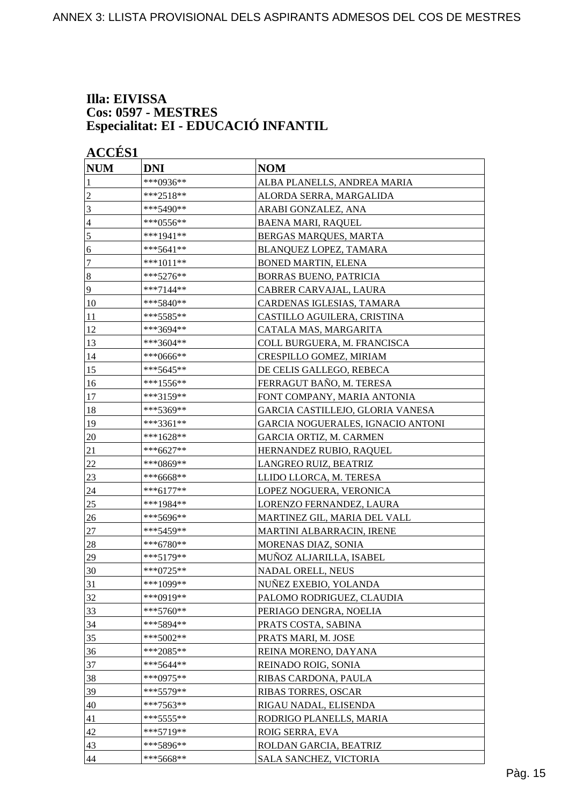#### **Illa: EIVISSA Cos: 0597 - MESTRES Especialitat: EI - EDUCACIÓ INFANTIL**

| <b>NUM</b>       | <b>DNI</b>  | <b>NOM</b>                        |
|------------------|-------------|-----------------------------------|
| 1                | ***0936**   | ALBA PLANELLS, ANDREA MARIA       |
| $\overline{c}$   | ***2518**   | ALORDA SERRA, MARGALIDA           |
| 3                | ***5490**   | ARABI GONZALEZ, ANA               |
| 4                | ***0556**   | <b>BAENA MARI, RAQUEL</b>         |
| 5                | ***1941**   | BERGAS MARQUES, MARTA             |
| 6                | ***5641**   | BLANQUEZ LOPEZ, TAMARA            |
| 7                | ***1011**   | <b>BONED MARTIN, ELENA</b>        |
| $\boldsymbol{8}$ | ***5276**   | <b>BORRAS BUENO, PATRICIA</b>     |
| 9                | ***7144**   | CABRER CARVAJAL, LAURA            |
| 10               | ***5840**   | CARDENAS IGLESIAS, TAMARA         |
| 11               | ***5585**   | CASTILLO AGUILERA, CRISTINA       |
| 12               | ***3694**   | CATALA MAS, MARGARITA             |
| 13               | ***3604**   | COLL BURGUERA, M. FRANCISCA       |
| 14               | ***0666**   | CRESPILLO GOMEZ, MIRIAM           |
| 15               | ***5645**   | DE CELIS GALLEGO, REBECA          |
| 16               | ***1556**   | FERRAGUT BAÑO, M. TERESA          |
| 17               | ***3159**   | FONT COMPANY, MARIA ANTONIA       |
| 18               | ***5369**   | GARCIA CASTILLEJO, GLORIA VANESA  |
| 19               | ***3361**   | GARCIA NOGUERALES, IGNACIO ANTONI |
| 20               | $***1628**$ | GARCIA ORTIZ, M. CARMEN           |
| 21               | ***6627**   | HERNANDEZ RUBIO, RAQUEL           |
| 22               | ***0869**   | LANGREO RUIZ, BEATRIZ             |
| 23               | ***6668**   | LLIDO LLORCA, M. TERESA           |
| 24               | ***6177**   | LOPEZ NOGUERA, VERONICA           |
| 25               | ***1984**   | LORENZO FERNANDEZ, LAURA          |
| 26               | ***5696**   | MARTINEZ GIL, MARIA DEL VALL      |
| $27\,$           | ***5459**   | <b>MARTINI ALBARRACIN, IRENE</b>  |
| 28               | $***6780**$ | MORENAS DIAZ, SONIA               |
| 29               | ***5179**   | MUÑOZ ALJARILLA, ISABEL           |
| 30               | ***0725**   | NADAL ORELL. NEUS                 |
| 31               | ***1099**   | NUÑEZ EXEBIO, YOLANDA             |
| 32               | ***0919**   | PALOMO RODRIGUEZ, CLAUDIA         |
| 33               | $***5760**$ | PERIAGO DENGRA, NOELIA            |
| 34               | ***5894**   | PRATS COSTA, SABINA               |
| 35               | ***5002**   | PRATS MARI, M. JOSE               |
| 36               | ***2085**   | REINA MORENO, DAYANA              |
| 37               | ***5644**   | REINADO ROIG, SONIA               |
| 38               | ***0975**   | RIBAS CARDONA, PAULA              |
| 39               | ***5579**   | <b>RIBAS TORRES, OSCAR</b>        |
| 40               | ***7563**   | RIGAU NADAL, ELISENDA             |
| 41               | ***5555**   | RODRIGO PLANELLS, MARIA           |
| 42               | ***5719**   | ROIG SERRA, EVA                   |
| 43               | ***5896**   | ROLDAN GARCIA, BEATRIZ            |
| 44               | ***5668**   | SALA SANCHEZ, VICTORIA            |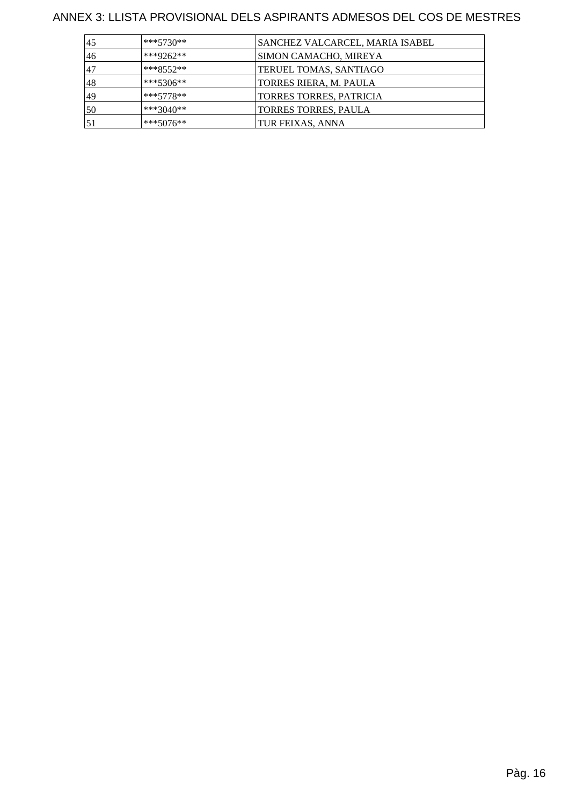| 45 | $***5730**$ | SANCHEZ VALCARCEL, MARIA ISABEL |
|----|-------------|---------------------------------|
| 46 | ***9262**   | SIMON CAMACHO, MIREYA           |
| 47 | $***8552**$ | TERUEL TOMAS, SANTIAGO          |
| 48 | $***5306**$ | TORRES RIERA, M. PAULA          |
| 49 | $***5778**$ | <b>TORRES TORRES, PATRICIA</b>  |
| 50 | $***3040**$ | <b>TORRES TORRES, PAULA</b>     |
| 51 | $***5076**$ | TUR FEIXAS, ANNA                |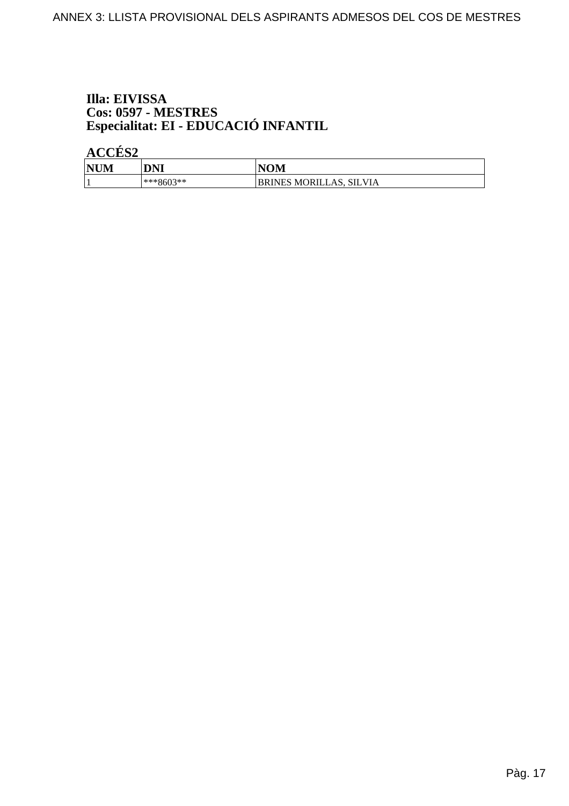## Illa: EIVISSA Cos: 0597 - MESTRES<br>Especialitat: EI - EDUCACIÓ INFANTIL

ACCÉS<sub>2</sub>

| <b>NUM</b> | <b>DNI</b> | <b>NOM</b>              |
|------------|------------|-------------------------|
|            | ***8603**  | BRINES MORILLAS, SILVIA |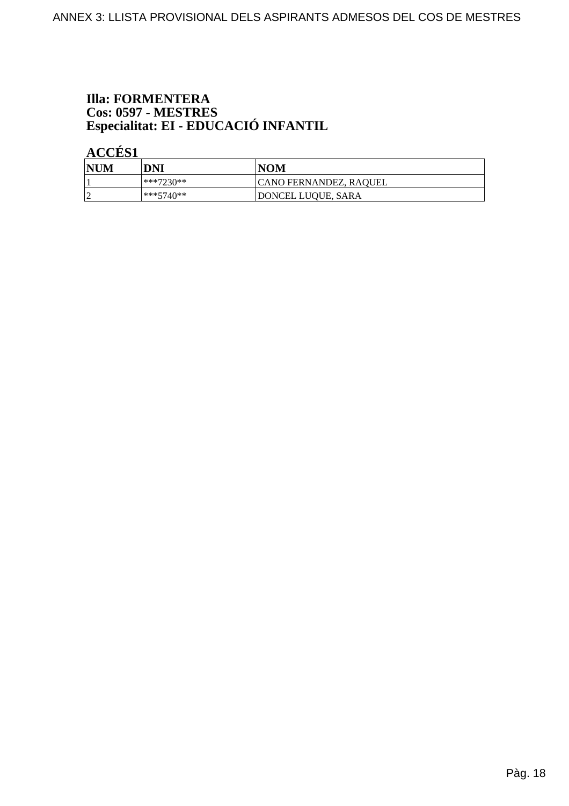## **Illa: FORMENTERA** Cos: 0597 - MESTRES<br>Especialitat: EI - EDUCACIÓ INFANTIL

**ACCÉS 1** 

| NUM | DNI          | <b>NOM</b>             |
|-----|--------------|------------------------|
|     | ***7230**    | CANO FERNANDEZ, RAQUEL |
|     | $ ***5740**$ | DONCEL LUQUE, SARA     |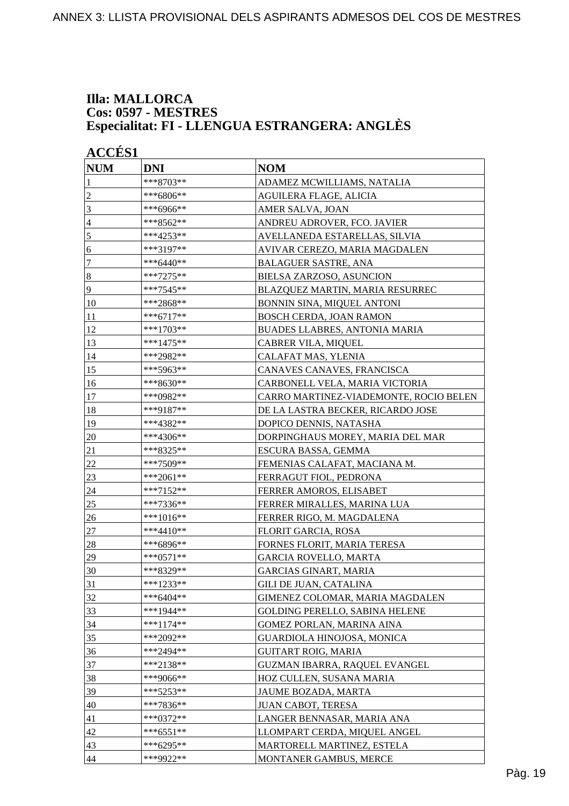#### **Illa: MALLORCA Cos: 0597 - MESTRES Especialitat: FI - LLENGUA ESTRANGERA: ANGLÈS**

|                  | <b>ACCES 1</b> |                                        |  |  |
|------------------|----------------|----------------------------------------|--|--|
| <b>NUM</b>       | <b>DNI</b>     | <b>NOM</b>                             |  |  |
| 1                | ***8703**      | ADAMEZ MCWILLIAMS, NATALIA             |  |  |
| $\overline{2}$   | ***6806**      | AGUILERA FLAGE, ALICIA                 |  |  |
| 3                | ***6966**      | AMER SALVA, JOAN                       |  |  |
| $\overline{4}$   | ***8562**      | ANDREU ADROVER, FCO. JAVIER            |  |  |
| $\sqrt{5}$       | ***4253**      | AVELLANEDA ESTARELLAS, SILVIA          |  |  |
| 6                | ***3197**      | AVIVAR CEREZO, MARIA MAGDALEN          |  |  |
| $\tau$           | ***6440**      | <b>BALAGUER SASTRE, ANA</b>            |  |  |
| $\boldsymbol{8}$ | $***7275**$    | BIELSA ZARZOSO, ASUNCION               |  |  |
| 9                | ***7545**      | BLAZQUEZ MARTIN, MARIA RESURREC        |  |  |
| 10               | ***2868**      | BONNIN SINA, MIQUEL ANTONI             |  |  |
| 11               | ***6717**      | BOSCH CERDA, JOAN RAMON                |  |  |
| 12               | ***1703**      | BUADES LLABRES, ANTONIA MARIA          |  |  |
| 13               | ***1475**      | CABRER VILA, MIQUEL                    |  |  |
| 14               | ***2982**      | CALAFAT MAS, YLENIA                    |  |  |
| 15               | ***5963**      | CANAVES CANAVES, FRANCISCA             |  |  |
| 16               | ***8630**      | CARBONELL VELA, MARIA VICTORIA         |  |  |
| 17               | ***0982**      | CARRO MARTINEZ-VIADEMONTE, ROCIO BELEN |  |  |
| 18               | ***9187**      | DE LA LASTRA BECKER, RICARDO JOSE      |  |  |
| 19               | ***4382**      | DOPICO DENNIS, NATASHA                 |  |  |
| 20               | ***4306**      | DORPINGHAUS MOREY, MARIA DEL MAR       |  |  |
| 21               | ***8325**      | ESCURA BASSA, GEMMA                    |  |  |
| 22               | ***7509**      | FEMENIAS CALAFAT, MACIANA M.           |  |  |
| 23               | ***2061**      | FERRAGUT FIOL, PEDRONA                 |  |  |
| 24               | ***7152**      | FERRER AMOROS, ELISABET                |  |  |
| 25               | ***7336**      | FERRER MIRALLES, MARINA LUA            |  |  |
| 26               | ***1016**      | FERRER RIGO, M. MAGDALENA              |  |  |
| 27               | $***4410**$    | FLORIT GARCIA, ROSA                    |  |  |
| 28               | ***6896**      | FORNES FLORIT, MARIA TERESA            |  |  |
| 29               | ***0571**      | <b>GARCIA ROVELLO, MARTA</b>           |  |  |
| 30               | ***8329**      | <b>GARCIAS GINART, MARIA</b>           |  |  |
| 31               | ***1233**      | <b>GILI DE JUAN, CATALINA</b>          |  |  |
| 32               | ***6404**      | GIMENEZ COLOMAR, MARIA MAGDALEN        |  |  |
| 33               | ***1944**      | <b>GOLDING PERELLO, SABINA HELENE</b>  |  |  |
| 34               | $***1174**$    | GOMEZ PORLAN, MARINA AINA              |  |  |
| 35               | ***2092**      | GUARDIOLA HINOJOSA, MONICA             |  |  |
| 36               | ***2494**      | <b>GUITART ROIG, MARIA</b>             |  |  |
| 37               | ***2138**      | GUZMAN IBARRA, RAQUEL EVANGEL          |  |  |
| 38               | ***9066**      | HOZ CULLEN, SUSANA MARIA               |  |  |
| 39               | ***5253**      | JAUME BOZADA, MARTA                    |  |  |
| 40               | ***7836**      | JUAN CABOT, TERESA                     |  |  |
| 41               | $***0372**$    | LANGER BENNASAR, MARIA ANA             |  |  |
| 42               | $***6551**$    | LLOMPART CERDA, MIQUEL ANGEL           |  |  |
| 43               | ***6295**      | MARTORELL MARTINEZ, ESTELA             |  |  |
| 44               | ***9922**      | MONTANER GAMBUS, MERCE                 |  |  |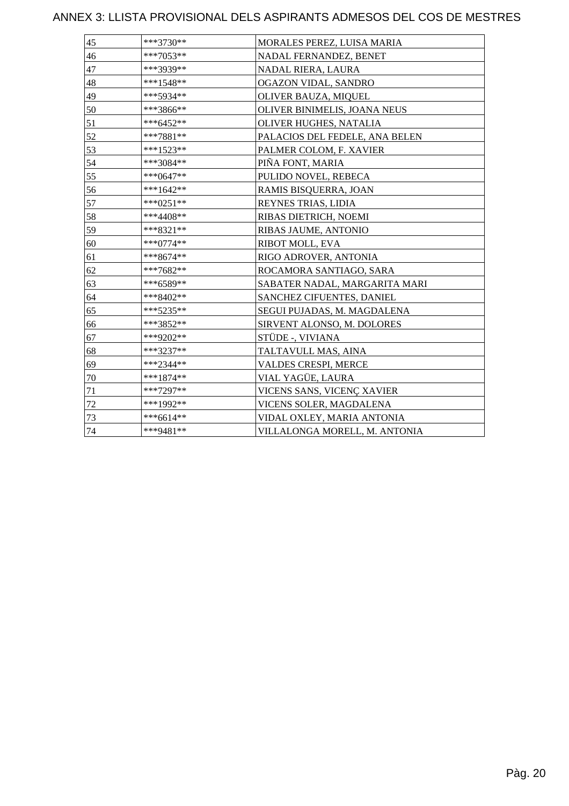| 45 | ***3730**   | MORALES PEREZ, LUISA MARIA     |
|----|-------------|--------------------------------|
| 46 | ***7053**   | NADAL FERNANDEZ, BENET         |
| 47 | ***3939**   | NADAL RIERA, LAURA             |
| 48 | ***1548**   | OGAZON VIDAL, SANDRO           |
| 49 | ***5934**   | OLIVER BAUZA, MIQUEL           |
| 50 | ***3866**   | OLIVER BINIMELIS, JOANA NEUS   |
| 51 | ***6452**   | OLIVER HUGHES, NATALIA         |
| 52 | $***7881**$ | PALACIOS DEL FEDELE, ANA BELEN |
| 53 | ***1523**   | PALMER COLOM, F. XAVIER        |
| 54 | ***3084**   | PIÑA FONT, MARIA               |
| 55 | ***0647**   | PULIDO NOVEL, REBECA           |
| 56 | ***1642**   | RAMIS BISQUERRA, JOAN          |
| 57 | $***0251**$ | REYNES TRIAS, LIDIA            |
| 58 | ***4408**   | RIBAS DIETRICH, NOEMI          |
| 59 | ***8321**   | RIBAS JAUME, ANTONIO           |
| 60 | $***0774**$ | RIBOT MOLL, EVA                |
| 61 | ***8674**   | RIGO ADROVER, ANTONIA          |
| 62 | ***7682**   | ROCAMORA SANTIAGO, SARA        |
| 63 | ***6589**   | SABATER NADAL, MARGARITA MARI  |
| 64 | ***8402**   | SANCHEZ CIFUENTES, DANIEL      |
| 65 | ***5235**   | SEGUI PUJADAS, M. MAGDALENA    |
| 66 | ***3852**   | SIRVENT ALONSO, M. DOLORES     |
| 67 | ***9202**   | STÜDE -, VIVIANA               |
| 68 | ***3237**   | TALTAVULL MAS, AINA            |
| 69 | ***2344**   | VALDES CRESPI, MERCE           |
| 70 | $***1874**$ | VIAL YAGÜE, LAURA              |
| 71 | ***7297**   | VICENS SANS, VICENÇ XAVIER     |
| 72 | ***1992**   | VICENS SOLER, MAGDALENA        |
| 73 | $***6614**$ | VIDAL OXLEY, MARIA ANTONIA     |
| 74 | ***9481**   | VILLALONGA MORELL, M. ANTONIA  |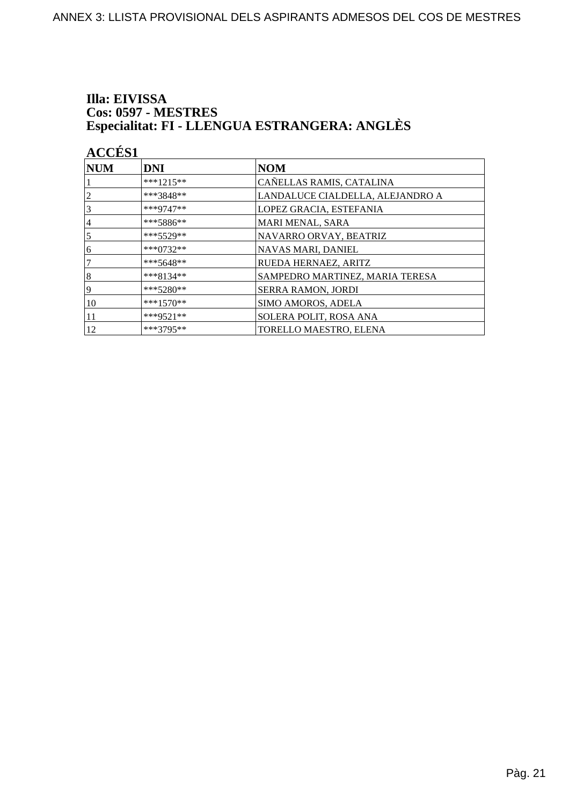#### Illa: EIVISSA **Cos: 0597 - MESTRES** Especialitat: FI - LLENGUA ESTRANGERA: ANGLÈS

|                  | <b>ACCÉS 1</b> |                                  |  |
|------------------|----------------|----------------------------------|--|
| <b>NUM</b>       | <b>DNI</b>     | <b>NOM</b>                       |  |
|                  | $***1215**$    | CAÑELLAS RAMIS, CATALINA         |  |
| 2                | ***3848**      | LANDALUCE CIALDELLA, ALEJANDRO A |  |
| 3                | ***9747**      | LOPEZ GRACIA, ESTEFANIA          |  |
| $\overline{4}$   | ***5886**      | MARI MENAL, SARA                 |  |
| 5                | ***5529**      | NAVARRO ORVAY, BEATRIZ           |  |
| 6                | $***0732**$    | NAVAS MARI, DANIEL               |  |
|                  | $***5648**$    | RUEDA HERNAEZ, ARITZ             |  |
| $\boldsymbol{8}$ | $***8134**$    | SAMPEDRO MARTINEZ, MARIA TERESA  |  |
| 9                | $***5280**$    | <b>SERRA RAMON, JORDI</b>        |  |
| 10               | $***1570**$    | <b>SIMO AMOROS, ADELA</b>        |  |
| 11               | ***9521**      | SOLERA POLIT, ROSA ANA           |  |
| 12               | $***3795**$    | TORELLO MAESTRO, ELENA           |  |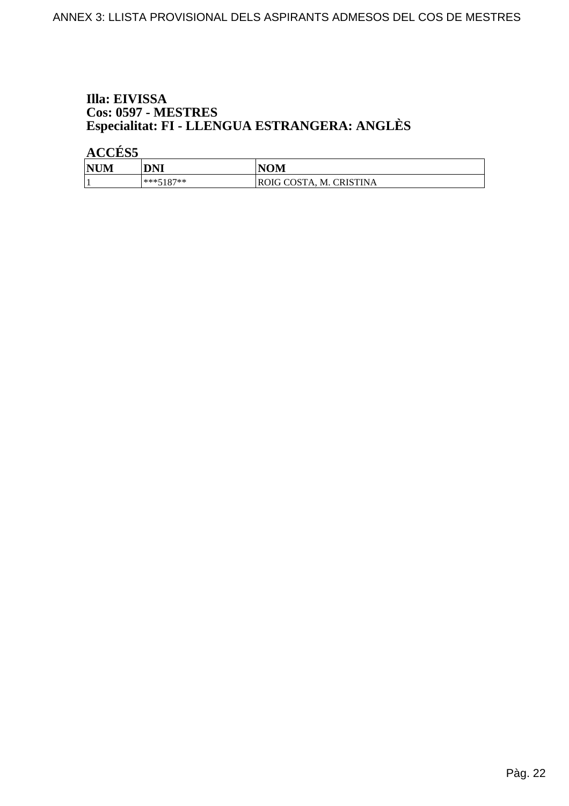#### Illa: EIVISSA **Cos: 0597 - MESTRES** Especialitat: FI - LLENGUA ESTRANGERA: ANGLÈS

**ACCÉS 5** 

| <b>NUM</b> | DNI         | <b>NOM</b>                     |
|------------|-------------|--------------------------------|
|            | $***5187**$ | <b>ROIG COSTA, M. CRISTINA</b> |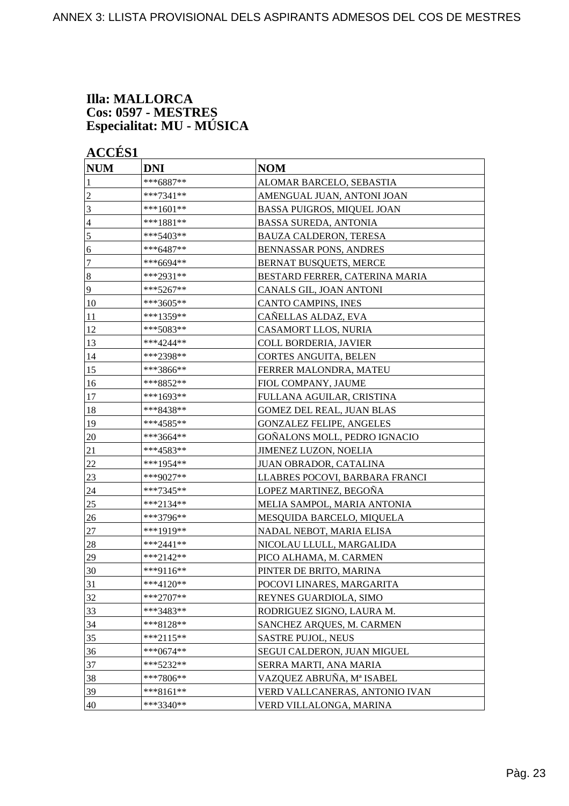#### **Illa: MALLORCA Cos: 0597 - MESTRES Especialitat: MU - MÚSICA**

**ACCÉS 1**

| <b>NUM</b>       | <b>DNI</b>  | <b>NOM</b>                        |
|------------------|-------------|-----------------------------------|
| 1                | ***6887**   | ALOMAR BARCELO, SEBASTIA          |
| $\overline{c}$   | ***7341**   | AMENGUAL JUAN, ANTONI JOAN        |
| 3                | ***1601**   | <b>BASSA PUIGROS, MIQUEL JOAN</b> |
| $\overline{4}$   | ***1881**   | <b>BASSA SUREDA, ANTONIA</b>      |
| $\mathfrak s$    | ***5403**   | <b>BAUZA CALDERON, TERESA</b>     |
| 6                | ***6487**   | <b>BENNASSAR PONS, ANDRES</b>     |
| 7                | ***6694**   | <b>BERNAT BUSQUETS, MERCE</b>     |
| $\boldsymbol{8}$ | ***2931**   | BESTARD FERRER, CATERINA MARIA    |
| 9                | ***5267**   | CANALS GIL, JOAN ANTONI           |
| 10               | ***3605**   | CANTO CAMPINS, INES               |
| 11               | ***1359**   | CAÑELLAS ALDAZ, EVA               |
| 12               | ***5083**   | CASAMORT LLOS, NURIA              |
| 13               | ***4244**   | <b>COLL BORDERIA, JAVIER</b>      |
| 14               | ***2398**   | CORTES ANGUITA, BELEN             |
| 15               | ***3866**   | FERRER MALONDRA, MATEU            |
| 16               | ***8852**   | FIOL COMPANY, JAUME               |
| 17               | ***1693**   | FULLANA AGUILAR, CRISTINA         |
| 18               | ***8438**   | <b>GOMEZ DEL REAL, JUAN BLAS</b>  |
| 19               | ***4585**   | <b>GONZALEZ FELIPE, ANGELES</b>   |
| 20               | ***3664**   | GOÑALONS MOLL, PEDRO IGNACIO      |
| 21               | ***4583**   | <b>JIMENEZ LUZON, NOELIA</b>      |
| 22               | ***1954**   | JUAN OBRADOR, CATALINA            |
| 23               | ***9027**   | LLABRES POCOVI, BARBARA FRANCI    |
| 24               | ***7345**   | LOPEZ MARTINEZ, BEGOÑA            |
| 25               | ***2134**   | MELIA SAMPOL, MARIA ANTONIA       |
| 26               | ***3796**   | MESQUIDA BARCELO, MIQUELA         |
| $27\,$           | ***1919**   | NADAL NEBOT, MARIA ELISA          |
| 28               | ***2441**   | NICOLAU LLULL, MARGALIDA          |
| 29               | $***2142**$ | PICO ALHAMA, M. CARMEN            |
| 30               | ***9116**   | PINTER DE BRITO, MARINA           |
| 31               | ***4120**   | POCOVI LINARES, MARGARITA         |
| 32               | ***2707**   | REYNES GUARDIOLA, SIMO            |
| 33               | ***3483**   | RODRIGUEZ SIGNO, LAURA M.         |
| 34               | ***8128**   | SANCHEZ ARQUES, M. CARMEN         |
| 35               | $***2115**$ | SASTRE PUJOL, NEUS                |
| 36               | ***0674**   | SEGUI CALDERON, JUAN MIGUEL       |
| 37               | ***5232**   | SERRA MARTI, ANA MARIA            |
| 38               | ***7806**   | VAZQUEZ ABRUÑA, Mª ISABEL         |
| 39               | ***8161**   | VERD VALLCANERAS, ANTONIO IVAN    |
| 40               | ***3340**   | VERD VILLALONGA, MARINA           |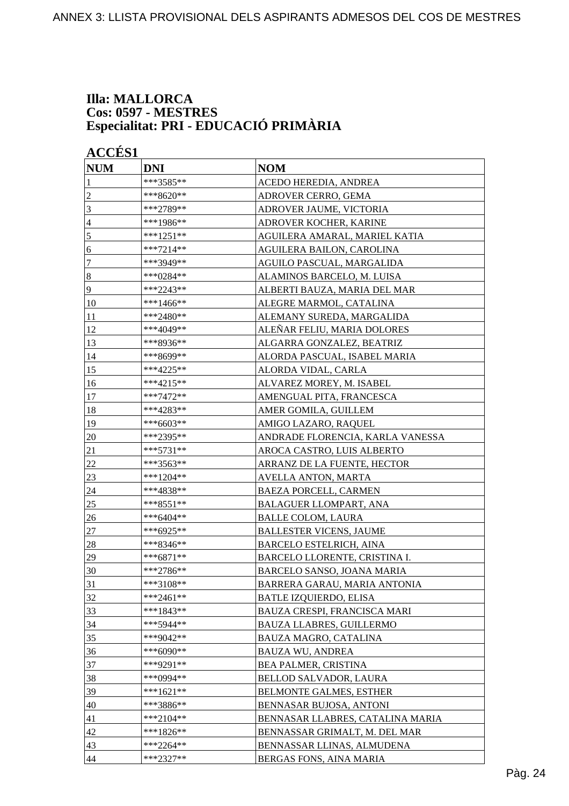#### **Illa: MALLORCA Cos: 0597 - MESTRES Especialitat: PRI - EDUCACIÓ PRIMÀRIA**

| <b>ACCÉS 1</b> |             |                                  |
|----------------|-------------|----------------------------------|
| <b>NUM</b>     | <b>DNI</b>  | <b>NOM</b>                       |
| 1              | ***3585**   | ACEDO HEREDIA, ANDREA            |
| $\overline{c}$ | ***8620**   | ADROVER CERRO, GEMA              |
| 3              | ***2789**   | ADROVER JAUME, VICTORIA          |
| $\overline{4}$ | ***1986**   | ADROVER KOCHER, KARINE           |
| 5              | ***1251**   | AGUILERA AMARAL, MARIEL KATIA    |
| 6              | $***7214**$ | AGUILERA BAILON, CAROLINA        |
| $\tau$         | ***3949**   | AGUILO PASCUAL, MARGALIDA        |
| $\vert 8$      | ***0284**   | ALAMINOS BARCELO, M. LUISA       |
| $\overline{9}$ | ***2243**   | ALBERTI BAUZA, MARIA DEL MAR     |
| 10             | ***1466**   | ALEGRE MARMOL, CATALINA          |
| 11             | ***2480**   | ALEMANY SUREDA, MARGALIDA        |
| 12             | ***4049**   | ALEÑAR FELIU, MARIA DOLORES      |
| 13             | ***8936**   | ALGARRA GONZALEZ, BEATRIZ        |
| 14             | ***8699**   | ALORDA PASCUAL, ISABEL MARIA     |
| 15             | ***4225**   | ALORDA VIDAL, CARLA              |
| 16             | ***4215**   | ALVAREZ MOREY, M. ISABEL         |
| 17             | ***7472**   | AMENGUAL PITA, FRANCESCA         |
| 18             | ***4283**   | AMER GOMILA, GUILLEM             |
| 19             | ***6603**   | AMIGO LAZARO, RAQUEL             |
| 20             | ***2395**   | ANDRADE FLORENCIA, KARLA VANESSA |
| 21             | ***5731**   | AROCA CASTRO, LUIS ALBERTO       |
| $22\,$         | ***3563**   | ARRANZ DE LA FUENTE, HECTOR      |
| 23             | ***1204**   | AVELLA ANTON, MARTA              |
| 24             | ***4838**   | <b>BAEZA PORCELL, CARMEN</b>     |
| 25             | ***8551**   | <b>BALAGUER LLOMPART, ANA</b>    |
| 26             | ***6404**   | <b>BALLE COLOM, LAURA</b>        |
| 27             | ***6925**   | <b>BALLESTER VICENS, JAUME</b>   |
| 28             | ***8346**   | <b>BARCELO ESTELRICH, AINA</b>   |
| 29             | $***6871**$ | BARCELO LLORENTE, CRISTINA I.    |
| 30             | ***2786**   | BARCELO SANSO, JOANA MARIA       |
| 31             | ***3108**   | BARRERA GARAU, MARIA ANTONIA     |
| 32             | $***2461**$ | <b>BATLE IZQUIERDO, ELISA</b>    |
| 33             | ***1843**   | BAUZA CRESPI, FRANCISCA MARI     |
| 34             | ***5944**   | <b>BAUZA LLABRES, GUILLERMO</b>  |
| 35             | ***9042**   | BAUZA MAGRO, CATALINA            |
| 36             | ***6090**   | <b>BAUZA WU, ANDREA</b>          |
| 37             | ***9291**   | BEA PALMER, CRISTINA             |
| 38             | ***0994**   | <b>BELLOD SALVADOR, LAURA</b>    |
| 39             | $***1621**$ | <b>BELMONTE GALMES, ESTHER</b>   |
| 40             | ***3886**   | BENNASAR BUJOSA, ANTONI          |
| 41             | ***2104**   | BENNASAR LLABRES, CATALINA MARIA |
| 42             | ***1826**   | BENNASSAR GRIMALT, M. DEL MAR    |
| 43             | $***2264**$ | BENNASSAR LLINAS, ALMUDENA       |
| 44             | ***2327**   | BERGAS FONS, AINA MARIA          |
|                |             |                                  |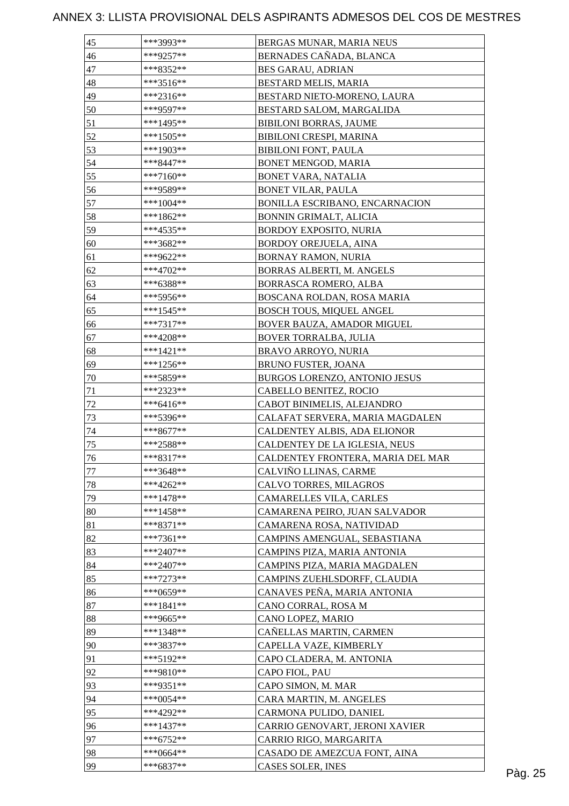| BERNADES CAÑADA, BLANCA<br>***9257**<br>46<br>47<br><b>BES GARAU, ADRIAN</b><br>***8352**<br>48<br>***3516**<br>BESTARD MELIS, MARIA<br>49<br>***2316**<br>BESTARD NIETO-MORENO, LAURA<br>50<br>***9597**<br>BESTARD SALOM, MARGALIDA<br>51<br>***1495**<br><b>BIBILONI BORRAS, JAUME</b> |         |
|-------------------------------------------------------------------------------------------------------------------------------------------------------------------------------------------------------------------------------------------------------------------------------------------|---------|
|                                                                                                                                                                                                                                                                                           |         |
|                                                                                                                                                                                                                                                                                           |         |
|                                                                                                                                                                                                                                                                                           |         |
|                                                                                                                                                                                                                                                                                           |         |
|                                                                                                                                                                                                                                                                                           |         |
|                                                                                                                                                                                                                                                                                           |         |
| 52<br>$***1505**$<br>BIBILONI CRESPI, MARINA                                                                                                                                                                                                                                              |         |
| 53<br>***1903**<br><b>BIBILONI FONT, PAULA</b>                                                                                                                                                                                                                                            |         |
| 54<br>***8447**<br>BONET MENGOD, MARIA                                                                                                                                                                                                                                                    |         |
| 55<br>$***7160**$<br>BONET VARA, NATALIA                                                                                                                                                                                                                                                  |         |
| 56<br>***9589**<br><b>BONET VILAR, PAULA</b>                                                                                                                                                                                                                                              |         |
| 57<br>***1004**<br>BONILLA ESCRIBANO, ENCARNACION                                                                                                                                                                                                                                         |         |
| 58<br>***1862**<br>BONNIN GRIMALT, ALICIA                                                                                                                                                                                                                                                 |         |
| 59<br>***4535**<br><b>BORDOY EXPOSITO, NURIA</b>                                                                                                                                                                                                                                          |         |
| 60<br>***3682**<br>BORDOY OREJUELA, AINA                                                                                                                                                                                                                                                  |         |
| ***9622**<br>BORNAY RAMON, NURIA<br>61                                                                                                                                                                                                                                                    |         |
| 62<br>***4702**<br>BORRAS ALBERTI, M. ANGELS                                                                                                                                                                                                                                              |         |
| 63<br>***6388**<br>BORRASCA ROMERO, ALBA                                                                                                                                                                                                                                                  |         |
|                                                                                                                                                                                                                                                                                           |         |
| 64<br>BOSCANA ROLDAN, ROSA MARIA<br>***5956**<br>65<br>***1545**                                                                                                                                                                                                                          |         |
| <b>BOSCH TOUS, MIQUEL ANGEL</b>                                                                                                                                                                                                                                                           |         |
| 66<br>$***7317**$<br>BOVER BAUZA, AMADOR MIGUEL                                                                                                                                                                                                                                           |         |
| 67<br>***4208**<br>BOVER TORRALBA, JULIA                                                                                                                                                                                                                                                  |         |
| 68<br>$***1421**$<br>BRAVO ARROYO, NURIA                                                                                                                                                                                                                                                  |         |
| 69<br>***1256**<br>BRUNO FUSTER, JOANA                                                                                                                                                                                                                                                    |         |
| 70<br>***5859**<br>BURGOS LORENZO, ANTONIO JESUS                                                                                                                                                                                                                                          |         |
| 71<br>***2323**<br>CABELLO BENITEZ, ROCIO                                                                                                                                                                                                                                                 |         |
| 72<br>***6416**<br>CABOT BINIMELIS, ALEJANDRO                                                                                                                                                                                                                                             |         |
| 73<br>***5396**<br>CALAFAT SERVERA, MARIA MAGDALEN                                                                                                                                                                                                                                        |         |
| 74<br>CALDENTEY ALBIS, ADA ELIONOR<br>***8677**                                                                                                                                                                                                                                           |         |
| ***2588**<br>75<br>CALDENTEY DE LA IGLESIA, NEUS                                                                                                                                                                                                                                          |         |
| ***8317**<br>CALDENTEY FRONTERA, MARIA DEL MAR<br>76                                                                                                                                                                                                                                      |         |
| ***3648**<br>CALVIÑO LLINAS, CARME<br>77                                                                                                                                                                                                                                                  |         |
| 78<br>$***4262**$<br>CALVO TORRES, MILAGROS                                                                                                                                                                                                                                               |         |
| 79<br>$***1478**$<br>CAMARELLES VILA, CARLES                                                                                                                                                                                                                                              |         |
| 80<br>$***1458**$<br>CAMARENA PEIRO, JUAN SALVADOR                                                                                                                                                                                                                                        |         |
| 81<br>$***8371**$<br>CAMARENA ROSA, NATIVIDAD                                                                                                                                                                                                                                             |         |
| 82<br>$***7361**$<br>CAMPINS AMENGUAL, SEBASTIANA                                                                                                                                                                                                                                         |         |
| 83<br>$***2407**$<br>CAMPINS PIZA, MARIA ANTONIA                                                                                                                                                                                                                                          |         |
| 84<br>***2407**<br>CAMPINS PIZA, MARIA MAGDALEN                                                                                                                                                                                                                                           |         |
| 85<br>$***7273**$<br>CAMPINS ZUEHLSDORFF, CLAUDIA                                                                                                                                                                                                                                         |         |
| 86<br>CANAVES PEÑA, MARIA ANTONIA<br>***0659**                                                                                                                                                                                                                                            |         |
| 87<br>$***1841**$<br>CANO CORRAL, ROSA M                                                                                                                                                                                                                                                  |         |
| 88<br>***9665**<br>CANO LOPEZ, MARIO                                                                                                                                                                                                                                                      |         |
| 89<br>CAÑELLAS MARTIN, CARMEN<br>***1348**                                                                                                                                                                                                                                                |         |
| 90<br>***3837**<br>CAPELLA VAZE, KIMBERLY                                                                                                                                                                                                                                                 |         |
| 91<br>***5192**<br>CAPO CLADERA, M. ANTONIA                                                                                                                                                                                                                                               |         |
| 92<br>***9810**<br>CAPO FIOL, PAU                                                                                                                                                                                                                                                         |         |
| 93<br>***9351**<br>CAPO SIMON, M. MAR                                                                                                                                                                                                                                                     |         |
| 94<br>$***0054**$<br>CARA MARTIN, M. ANGELES                                                                                                                                                                                                                                              |         |
| 95<br>***4292**<br>CARMONA PULIDO, DANIEL                                                                                                                                                                                                                                                 |         |
| 96<br>CARRIO GENOVART, JERONI XAVIER<br>$***1437**$                                                                                                                                                                                                                                       |         |
| 97<br>$***6752**$<br>CARRIO RIGO, MARGARITA                                                                                                                                                                                                                                               |         |
| 98<br>***0664**<br>CASADO DE AMEZCUA FONT, AINA                                                                                                                                                                                                                                           |         |
| 99<br>$***6837**$<br>CASES SOLER, INES                                                                                                                                                                                                                                                    | Pàg. 25 |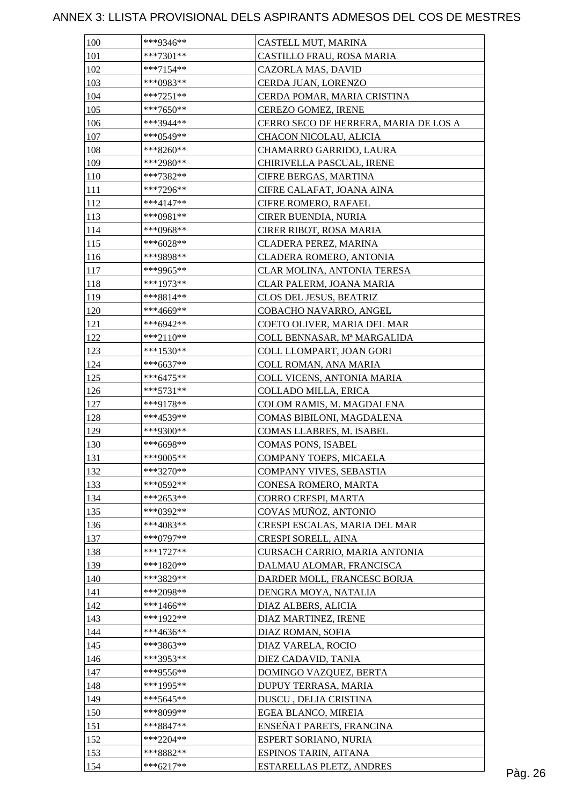| 100 | ***9346**   | CASTELL MUT, MARINA                   |         |
|-----|-------------|---------------------------------------|---------|
| 101 | $***7301**$ | CASTILLO FRAU, ROSA MARIA             |         |
| 102 | $***7154**$ | CAZORLA MAS, DAVID                    |         |
| 103 | ***0983**   | CERDA JUAN, LORENZO                   |         |
| 104 | $***7251**$ | CERDA POMAR, MARIA CRISTINA           |         |
| 105 | ***7650**   | CEREZO GOMEZ, IRENE                   |         |
| 106 | ***3944**   | CERRO SECO DE HERRERA, MARIA DE LOS A |         |
| 107 | ***0549**   | CHACON NICOLAU, ALICIA                |         |
| 108 | $***8260**$ | CHAMARRO GARRIDO, LAURA               |         |
| 109 | ***2980**   | CHIRIVELLA PASCUAL, IRENE             |         |
| 110 | ***7382**   | CIFRE BERGAS, MARTINA                 |         |
| 111 | ***7296**   | CIFRE CALAFAT, JOANA AINA             |         |
| 112 | $***4147**$ | CIFRE ROMERO, RAFAEL                  |         |
| 113 | ***0981**   | CIRER BUENDIA, NURIA                  |         |
| 114 | ***0968**   | CIRER RIBOT, ROSA MARIA               |         |
| 115 | $***6028**$ | CLADERA PEREZ, MARINA                 |         |
| 116 | ***9898**   | CLADERA ROMERO, ANTONIA               |         |
| 117 | ***9965**   | CLAR MOLINA, ANTONIA TERESA           |         |
| 118 | ***1973**   | CLAR PALERM, JOANA MARIA              |         |
| 119 | ***8814**   | CLOS DEL JESUS, BEATRIZ               |         |
| 120 | ***4669**   | COBACHO NAVARRO, ANGEL                |         |
| 121 | ***6942**   | COETO OLIVER, MARIA DEL MAR           |         |
| 122 | $***2110**$ | COLL BENNASAR, Mª MARGALIDA           |         |
| 123 | ***1530**   | COLL LLOMPART, JOAN GORI              |         |
|     |             |                                       |         |
| 124 | $***6637**$ | COLL ROMAN, ANA MARIA                 |         |
| 125 | $***6475**$ | COLL VICENS, ANTONIA MARIA            |         |
| 126 | $***5731**$ | COLLADO MILLA, ERICA                  |         |
| 127 | ***9178**   | COLOM RAMIS, M. MAGDALENA             |         |
| 128 | ***4539**   | COMAS BIBILONI, MAGDALENA             |         |
| 129 | ***9300**   | COMAS LLABRES, M. ISABEL              |         |
| 130 | ***6698**   | COMAS PONS, ISABEL                    |         |
| 131 | ***9005**   | COMPANY TOEPS, MICAELA                |         |
| 132 | ***3270**   | COMPANY VIVES, SEBASTIA               |         |
| 133 | ***0592**   | CONESA ROMERO, MARTA                  |         |
| 134 | $***2653**$ | CORRO CRESPI, MARTA                   |         |
| 135 | ***0392**   | COVAS MUÑOZ, ANTONIO                  |         |
| 136 | $***4083**$ | CRESPI ESCALAS, MARIA DEL MAR         |         |
| 137 | ***0797**   | CRESPI SORELL, AINA                   |         |
| 138 | $***1727**$ | CURSACH CARRIO, MARIA ANTONIA         |         |
| 139 | ***1820**   | DALMAU ALOMAR, FRANCISCA              |         |
| 140 | ***3829**   | DARDER MOLL, FRANCESC BORJA           |         |
| 141 | ***2098**   | DENGRA MOYA, NATALIA                  |         |
| 142 | $***1466**$ | DIAZ ALBERS, ALICIA                   |         |
| 143 | ***1922**   | DIAZ MARTINEZ, IRENE                  |         |
| 144 | ***4636**   | DIAZ ROMAN, SOFIA                     |         |
| 145 | ***3863**   | DIAZ VARELA, ROCIO                    |         |
| 146 | ***3953**   | DIEZ CADAVID, TANIA                   |         |
| 147 | ***9556**   | DOMINGO VAZQUEZ, BERTA                |         |
| 148 | ***1995**   | DUPUY TERRASA, MARIA                  |         |
| 149 | ***5645**   | DUSCU, DELIA CRISTINA                 |         |
| 150 | ***8099**   | EGEA BLANCO, MIREIA                   |         |
| 151 | ***8847**   | ENSEÑAT PARETS, FRANCINA              |         |
| 152 | $***2204**$ | ESPERT SORIANO, NURIA                 |         |
| 153 | ***8882**   | ESPINOS TARIN, AITANA                 |         |
| 154 | $***6217**$ | ESTARELLAS PLETZ, ANDRES              | Pàg. 26 |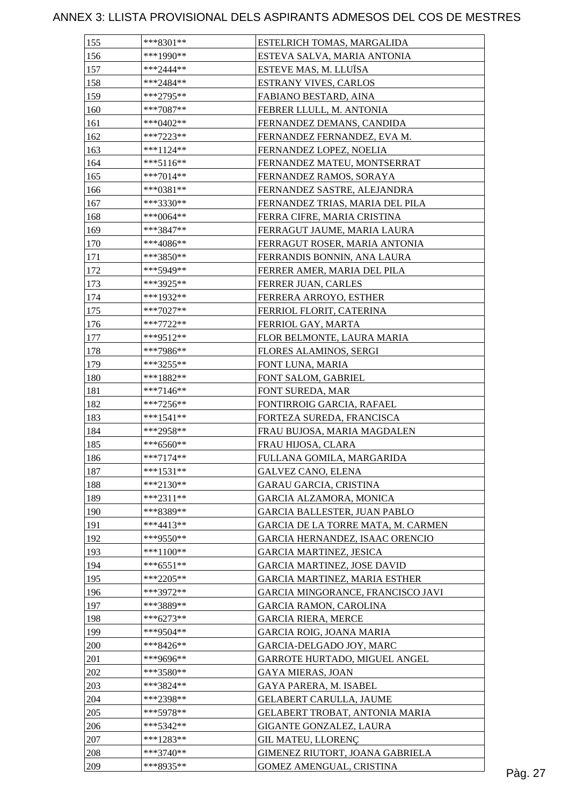| 155 | $***8301**$ | ESTELRICH TOMAS, MARGALIDA           |         |
|-----|-------------|--------------------------------------|---------|
| 156 | $***1990**$ | ESTEVA SALVA, MARIA ANTONIA          |         |
| 157 | ***2444**   | ESTEVE MAS, M. LLUÏSA                |         |
| 158 | $***2484**$ | <b>ESTRANY VIVES, CARLOS</b>         |         |
| 159 | ***2795**   | FABIANO BESTARD, AINA                |         |
| 160 | $***7087**$ | FEBRER LLULL, M. ANTONIA             |         |
| 161 | $***0402**$ | FERNANDEZ DEMANS, CANDIDA            |         |
| 162 | $***7223**$ | FERNANDEZ FERNANDEZ, EVA M.          |         |
| 163 | ***1124**   | FERNANDEZ LOPEZ, NOELIA              |         |
| 164 | $***5116**$ | FERNANDEZ MATEU, MONTSERRAT          |         |
| 165 | $***7014**$ | FERNANDEZ RAMOS, SORAYA              |         |
| 166 | $***0381**$ | FERNANDEZ SASTRE, ALEJANDRA          |         |
| 167 | ***3330**   | FERNANDEZ TRIAS, MARIA DEL PILA      |         |
| 168 | ***0064**   | FERRA CIFRE, MARIA CRISTINA          |         |
| 169 | ***3847**   | FERRAGUT JAUME, MARIA LAURA          |         |
| 170 | ***4086**   | FERRAGUT ROSER, MARIA ANTONIA        |         |
| 171 | ***3850**   | FERRANDIS BONNIN, ANA LAURA          |         |
| 172 | ***5949**   | FERRER AMER, MARIA DEL PILA          |         |
| 173 | ***3925**   | FERRER JUAN, CARLES                  |         |
| 174 | ***1932**   | FERRERA ARROYO, ESTHER               |         |
| 175 | $***7027**$ | FERRIOL FLORIT, CATERINA             |         |
| 176 | ***7722**   | FERRIOL GAY, MARTA                   |         |
| 177 | ***9512**   | FLOR BELMONTE, LAURA MARIA           |         |
| 178 | ***7986**   | FLORES ALAMINOS, SERGI               |         |
| 179 | ***3255**   |                                      |         |
| 180 | $***1882**$ | FONT LUNA, MARIA                     |         |
| 181 | $***7146**$ | FONT SALOM, GABRIEL                  |         |
|     |             | FONT SUREDA, MAR                     |         |
| 182 | $***7256**$ | FONTIRROIG GARCIA, RAFAEL            |         |
| 183 | $***1541**$ | FORTEZA SUREDA, FRANCISCA            |         |
| 184 | ***2958**   | FRAU BUJOSA, MARIA MAGDALEN          |         |
| 185 | $***6560**$ | FRAU HIJOSA, CLARA                   |         |
| 186 | $***7174**$ | FULLANA GOMILA, MARGARIDA            |         |
| 187 | $***1531**$ | <b>GALVEZ CANO, ELENA</b>            |         |
| 188 | ***2130**   | <b>GARAU GARCIA, CRISTINA</b>        |         |
| 189 | $***2311**$ | GARCIA ALZAMORA, MONICA              |         |
| 190 | ***8389**   | <b>GARCIA BALLESTER, JUAN PABLO</b>  |         |
| 191 | $***4413**$ | GARCIA DE LA TORRE MATA, M. CARMEN   |         |
| 192 | ***9550**   | GARCIA HERNANDEZ, ISAAC ORENCIO      |         |
| 193 | ***1100**   | <b>GARCIA MARTINEZ, JESICA</b>       |         |
| 194 | ***6551**   | <b>GARCIA MARTINEZ, JOSE DAVID</b>   |         |
| 195 | $***2205**$ | <b>GARCIA MARTINEZ, MARIA ESTHER</b> |         |
| 196 | ***3972**   | GARCIA MINGORANCE, FRANCISCO JAVI    |         |
| 197 | ***3889**   | <b>GARCIA RAMON, CAROLINA</b>        |         |
| 198 | $***6273**$ | <b>GARCIA RIERA, MERCE</b>           |         |
| 199 | ***9504**   | GARCIA ROIG, JOANA MARIA             |         |
| 200 | ***8426**   | GARCIA-DELGADO JOY, MARC             |         |
| 201 | ***9696**   | GARROTE HURTADO, MIGUEL ANGEL        |         |
| 202 | ***3580**   | <b>GAYA MIERAS, JOAN</b>             |         |
| 203 | ***3824**   | GAYA PARERA, M. ISABEL               |         |
| 204 | ***2398**   | GELABERT CARULLA, JAUME              |         |
| 205 | ***5978**   | GELABERT TROBAT, ANTONIA MARIA       |         |
| 206 | ***5342**   | GIGANTE GONZALEZ, LAURA              |         |
| 207 | $***1283**$ | <b>GIL MATEU, LLORENÇ</b>            |         |
| 208 | ***3740**   | GIMENEZ RIUTORT, JOANA GABRIELA      |         |
| 209 | ***8935**   | GOMEZ AMENGUAL, CRISTINA             | Pàg. 27 |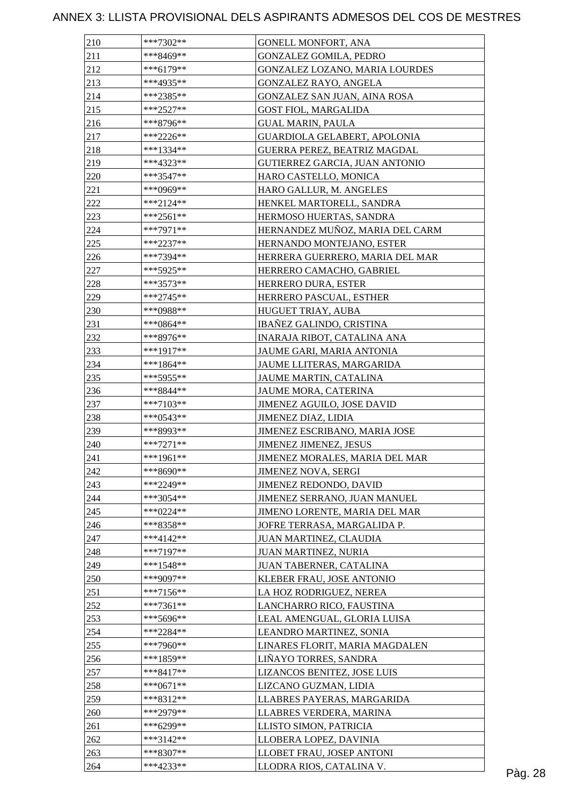| 210 | ***7302**   | GONELL MONFORT, ANA             |         |
|-----|-------------|---------------------------------|---------|
| 211 | ***8469**   | <b>GONZALEZ GOMILA, PEDRO</b>   |         |
| 212 | $***6179**$ | GONZALEZ LOZANO, MARIA LOURDES  |         |
| 213 | ***4935**   | GONZALEZ RAYO, ANGELA           |         |
| 214 | $***2385**$ | GONZALEZ SAN JUAN, AINA ROSA    |         |
| 215 | $***2527**$ | <b>GOST FIOL, MARGALIDA</b>     |         |
| 216 | ***8796**   | <b>GUAL MARIN, PAULA</b>        |         |
| 217 | $***2226**$ | GUARDIOLA GELABERT, APOLONIA    |         |
| 218 | $***1334**$ | GUERRA PEREZ, BEATRIZ MAGDAL    |         |
| 219 | ***4323**   | GUTIERREZ GARCIA, JUAN ANTONIO  |         |
| 220 | ***3547**   | HARO CASTELLO, MONICA           |         |
| 221 | ***0969**   | HARO GALLUR, M. ANGELES         |         |
| 222 | $***2124**$ | HENKEL MARTORELL, SANDRA        |         |
| 223 | $***2561**$ | HERMOSO HUERTAS, SANDRA         |         |
| 224 | ***7971**   | HERNANDEZ MUÑOZ, MARIA DEL CARM |         |
| 225 | $***2237**$ | HERNANDO MONTEJANO, ESTER       |         |
| 226 | ***7394**   | HERRERA GUERRERO, MARIA DEL MAR |         |
| 227 | ***5925**   | HERRERO CAMACHO, GABRIEL        |         |
| 228 | $***3573**$ | HERRERO DURA, ESTER             |         |
| 229 | $***2745**$ | HERRERO PASCUAL, ESTHER         |         |
| 230 | ***0988**   | HUGUET TRIAY, AUBA              |         |
| 231 | ***0864**   | <b>IBAÑEZ GALINDO, CRISTINA</b> |         |
| 232 | ***8976**   | INARAJA RIBOT, CATALINA ANA     |         |
|     |             |                                 |         |
| 233 | ***1917**   | JAUME GARI, MARIA ANTONIA       |         |
| 234 | ***1864**   | JAUME LLITERAS, MARGARIDA       |         |
| 235 | ***5955**   | JAUME MARTIN, CATALINA          |         |
| 236 | ***8844**   | JAUME MORA, CATERINA            |         |
| 237 | ***7103**   | JIMENEZ AGUILO, JOSE DAVID      |         |
| 238 | $***0543**$ | JIMENEZ DIAZ, LIDIA             |         |
| 239 | ***8993**   | JIMENEZ ESCRIBANO, MARIA JOSE   |         |
| 240 | $***7271**$ | <b>JIMENEZ JIMENEZ, JESUS</b>   |         |
| 241 | ***1961**   | JIMENEZ MORALES, MARIA DEL MAR  |         |
| 242 | ***8690**   | <b>JIMENEZ NOVA, SERGI</b>      |         |
| 243 | ***2249**   | JIMENEZ REDONDO, DAVID          |         |
| 244 | $***3054**$ | JIMENEZ SERRANO, JUAN MANUEL    |         |
| 245 | $***0224**$ | JIMENO LORENTE, MARIA DEL MAR   |         |
| 246 | ***8358**   | JOFRE TERRASA, MARGALIDA P.     |         |
| 247 | $***4142**$ | JUAN MARTINEZ, CLAUDIA          |         |
| 248 | $***7197**$ | JUAN MARTINEZ, NURIA            |         |
| 249 | ***1548**   | JUAN TABERNER, CATALINA         |         |
| 250 | ***9097**   | KLEBER FRAU, JOSE ANTONIO       |         |
| 251 | $***7156**$ | LA HOZ RODRIGUEZ, NEREA         |         |
| 252 | $***7361**$ | LANCHARRO RICO, FAUSTINA        |         |
| 253 | $***5696**$ | LEAL AMENGUAL, GLORIA LUISA     |         |
| 254 | $***2284**$ | LEANDRO MARTINEZ, SONIA         |         |
| 255 | ***7960**   | LINARES FLORIT, MARIA MAGDALEN  |         |
| 256 | ***1859**   | LIÑAYO TORRES, SANDRA           |         |
| 257 | ***8417**   | LIZANCOS BENITEZ, JOSE LUIS     |         |
| 258 | $***0671**$ | LIZCANO GUZMAN, LIDIA           |         |
| 259 | $***8312**$ | LLABRES PAYERAS, MARGARIDA      |         |
| 260 | ***2979**   | LLABRES VERDERA, MARINA         |         |
| 261 | ***6299**   | LLISTO SIMON, PATRICIA          |         |
| 262 | $***3142**$ | LLOBERA LOPEZ, DAVINIA          |         |
| 263 | ***8307**   | LLOBET FRAU, JOSEP ANTONI       |         |
| 264 | ***4233**   | LLODRA RIOS, CATALINA V.        | Pàg. 28 |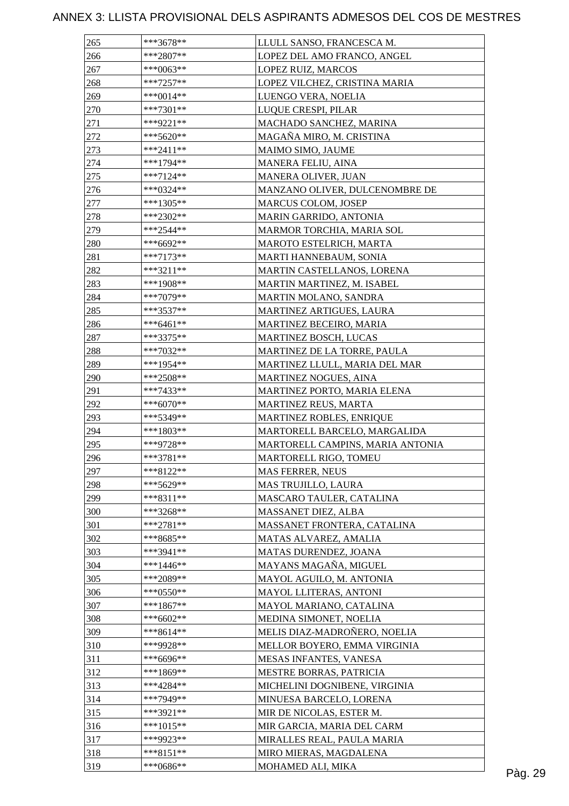| 265 | ***3678**   | LLULL SANSO, FRANCESCA M.         |  |
|-----|-------------|-----------------------------------|--|
| 266 | $***2807**$ | LOPEZ DEL AMO FRANCO, ANGEL       |  |
| 267 | ***0063**   | LOPEZ RUIZ, MARCOS                |  |
| 268 | $***7257**$ | LOPEZ VILCHEZ, CRISTINA MARIA     |  |
| 269 | $***0014**$ | LUENGO VERA, NOELIA               |  |
| 270 | ***7301**   | LUQUE CRESPI, PILAR               |  |
| 271 | $***9221**$ | MACHADO SANCHEZ, MARINA           |  |
| 272 | $***5620**$ | MAGAÑA MIRO, M. CRISTINA          |  |
| 273 | $***2411**$ | MAIMO SIMO, JAUME                 |  |
| 274 | ***1794**   | MANERA FELIU, AINA                |  |
| 275 | $***7124**$ | MANERA OLIVER, JUAN               |  |
| 276 | ***0324**   | MANZANO OLIVER, DULCENOMBRE DE    |  |
| 277 | ***1305**   | MARCUS COLOM, JOSEP               |  |
| 278 | ***2302**   | MARIN GARRIDO, ANTONIA            |  |
| 279 | ***2544**   | MARMOR TORCHIA, MARIA SOL         |  |
| 280 | ***6692**   | MAROTO ESTELRICH, MARTA           |  |
| 281 | $***7173**$ | MARTI HANNEBAUM, SONIA            |  |
| 282 | ***3211**   | <b>MARTIN CASTELLANOS, LORENA</b> |  |
| 283 | ***1908**   | MARTIN MARTINEZ, M. ISABEL        |  |
| 284 | ***7079**   | MARTIN MOLANO, SANDRA             |  |
| 285 | ***3537**   | MARTINEZ ARTIGUES, LAURA          |  |
| 286 | $***6461**$ |                                   |  |
|     |             | <b>MARTINEZ BECEIRO, MARIA</b>    |  |
| 287 | ***3375**   | MARTINEZ BOSCH, LUCAS             |  |
| 288 | ***7032**   | MARTINEZ DE LA TORRE, PAULA       |  |
| 289 | ***1954**   | MARTINEZ LLULL, MARIA DEL MAR     |  |
| 290 | ***2508**   | MARTINEZ NOGUES, AINA             |  |
| 291 | ***7433**   | MARTINEZ PORTO, MARIA ELENA       |  |
| 292 | ***6070**   | MARTINEZ REUS, MARTA              |  |
| 293 | ***5349**   | MARTINEZ ROBLES, ENRIQUE          |  |
| 294 | ***1803**   | MARTORELL BARCELO, MARGALIDA      |  |
| 295 | ***9728**   | MARTORELL CAMPINS, MARIA ANTONIA  |  |
| 296 | ***3781**   | MARTORELL RIGO, TOMEU             |  |
| 297 | ***8122**   | <b>MAS FERRER, NEUS</b>           |  |
| 298 | ***5629**   | MAS TRUJILLO, LAURA               |  |
| 299 | ***8311**   | MASCARO TAULER, CATALINA          |  |
| 300 | ***3268**   | MASSANET DIEZ, ALBA               |  |
| 301 | $***2781**$ | MASSANET FRONTERA, CATALINA       |  |
| 302 | ***8685**   | MATAS ALVAREZ, AMALIA             |  |
| 303 | ***3941**   | MATAS DURENDEZ, JOANA             |  |
| 304 | ***1446**   | MAYANS MAGAÑA, MIGUEL             |  |
| 305 | ***2089**   | MAYOL AGUILO, M. ANTONIA          |  |
| 306 | $***0550**$ | MAYOL LLITERAS, ANTONI            |  |
| 307 | $***1867**$ | MAYOL MARIANO, CATALINA           |  |
| 308 | ***6602**   | MEDINA SIMONET, NOELIA            |  |
| 309 | ***8614**   | MELIS DIAZ-MADROÑERO, NOELIA      |  |
| 310 | ***9928**   | MELLOR BOYERO, EMMA VIRGINIA      |  |
| 311 | ***6696**   | MESAS INFANTES, VANESA            |  |
| 312 | ***1869**   | MESTRE BORRAS, PATRICIA           |  |
| 313 | ***4284**   | MICHELINI DOGNIBENE, VIRGINIA     |  |
| 314 | ***7949**   | MINUESA BARCELO, LORENA           |  |
| 315 | ***3921**   | MIR DE NICOLAS, ESTER M.          |  |
| 316 | $***1015**$ | MIR GARCIA, MARIA DEL CARM        |  |
| 317 | ***9923**   | MIRALLES REAL, PAULA MARIA        |  |
| 318 | $***8151**$ | MIRO MIERAS, MAGDALENA            |  |
| 319 | ***0686**   | MOHAMED ALI, MIKA                 |  |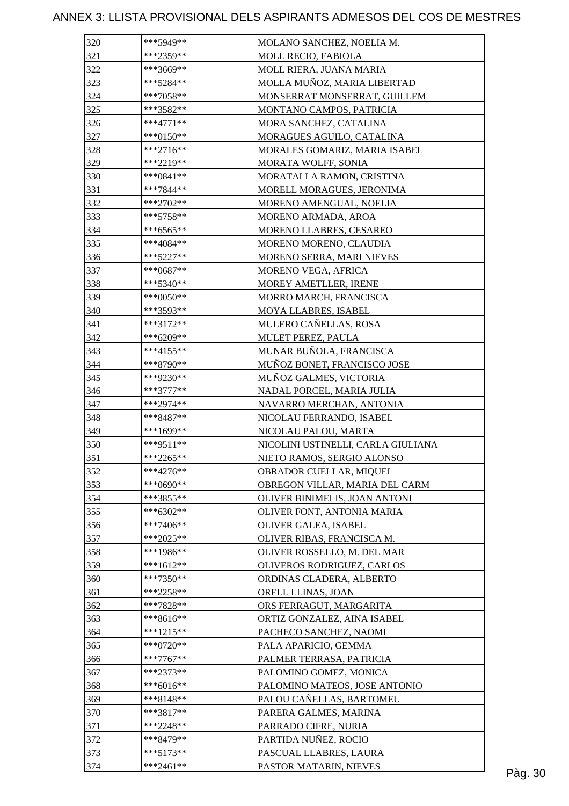| 320 | ***5949**    | MOLANO SANCHEZ, NOELIA M.          |  |
|-----|--------------|------------------------------------|--|
| 321 | ***2359**    | MOLL RECIO, FABIOLA                |  |
| 322 | ***3669**    | MOLL RIERA, JUANA MARIA            |  |
| 323 | ***5284**    | MOLLA MUÑOZ, MARIA LIBERTAD        |  |
| 324 | $***7058**$  | MONSERRAT MONSERRAT, GUILLEM       |  |
| 325 | ***3582**    | MONTANO CAMPOS, PATRICIA           |  |
| 326 | $***4771**$  | MORA SANCHEZ, CATALINA             |  |
| 327 | ***0150**    | MORAGUES AGUILO, CATALINA          |  |
| 328 | $***2716**$  | MORALES GOMARIZ, MARIA ISABEL      |  |
| 329 | ***2219**    | MORATA WOLFF, SONIA                |  |
| 330 | ***0841**    | MORATALLA RAMON, CRISTINA          |  |
| 331 | ***7844**    | MORELL MORAGUES, JERONIMA          |  |
| 332 | $***2702**$  | MORENO AMENGUAL, NOELIA            |  |
| 333 | $***5758**$  | MORENO ARMADA, AROA                |  |
| 334 | $***6565**$  | MORENO LLABRES, CESAREO            |  |
| 335 | ***4084**    | MORENO MORENO, CLAUDIA             |  |
| 336 | $***5227**$  | MORENO SERRA, MARI NIEVES          |  |
| 337 | $***0687**$  | MORENO VEGA, AFRICA                |  |
| 338 | ***5340**    | MOREY AMETLLER, IRENE              |  |
| 339 | ***0050**    | MORRO MARCH, FRANCISCA             |  |
| 340 | ***3593**    | MOYA LLABRES, ISABEL               |  |
| 341 | $***3172**$  | MULERO CAÑELLAS, ROSA              |  |
| 342 |              |                                    |  |
|     | ***6209**    | MULET PEREZ, PAULA                 |  |
| 343 | $***4155**$  | MUNAR BUÑOLA, FRANCISCA            |  |
| 344 | ***8790**    | MUÑOZ BONET, FRANCISCO JOSE        |  |
| 345 | ***9230**    | MUÑOZ GALMES, VICTORIA             |  |
| 346 | $***3777***$ | NADAL PORCEL, MARIA JULIA          |  |
| 347 | ***2974**    | NAVARRO MERCHAN, ANTONIA           |  |
| 348 | ***8487**    | NICOLAU FERRANDO, ISABEL           |  |
| 349 | ***1699**    | NICOLAU PALOU, MARTA               |  |
| 350 | $***9511**$  | NICOLINI USTINELLI, CARLA GIULIANA |  |
| 351 | ***2265**    | NIETO RAMOS, SERGIO ALONSO         |  |
| 352 | ***4276**    | OBRADOR CUELLAR, MIQUEL            |  |
| 353 | ***0690**    | OBREGON VILLAR, MARIA DEL CARM     |  |
| 354 | ***3855**    | OLIVER BINIMELIS, JOAN ANTONI      |  |
| 355 | $***6302**$  | OLIVER FONT, ANTONIA MARIA         |  |
| 356 | $***7406**$  | OLIVER GALEA, ISABEL               |  |
| 357 | $***2025**$  | OLIVER RIBAS, FRANCISCA M.         |  |
| 358 | ***1986**    | OLIVER ROSSELLO, M. DEL MAR        |  |
| 359 | $***1612**$  | OLIVEROS RODRIGUEZ, CARLOS         |  |
| 360 | $***7350**$  | ORDINAS CLADERA, ALBERTO           |  |
| 361 | $***2258**$  | ORELL LLINAS, JOAN                 |  |
| 362 | ***7828**    | ORS FERRAGUT, MARGARITA            |  |
| 363 | ***8616**    | ORTIZ GONZALEZ, AINA ISABEL        |  |
| 364 | $***1215**$  | PACHECO SANCHEZ, NAOMI             |  |
| 365 | $***0720**$  | PALA APARICIO, GEMMA               |  |
| 366 | $***7767**$  | PALMER TERRASA, PATRICIA           |  |
| 367 | ***2373**    | PALOMINO GOMEZ, MONICA             |  |
| 368 | $***6016**$  | PALOMINO MATEOS, JOSE ANTONIO      |  |
| 369 | $***8148**$  | PALOU CAÑELLAS, BARTOMEU           |  |
| 370 | ***3817**    | PARERA GALMES, MARINA              |  |
| 371 | ***2248**    | PARRADO CIFRE, NURIA               |  |
| 372 | ***8479**    | PARTIDA NUÑEZ, ROCIO               |  |
| 373 | $***5173**$  | PASCUAL LLABRES, LAURA             |  |
| 374 | ***2461**    | PASTOR MATARIN, NIEVES             |  |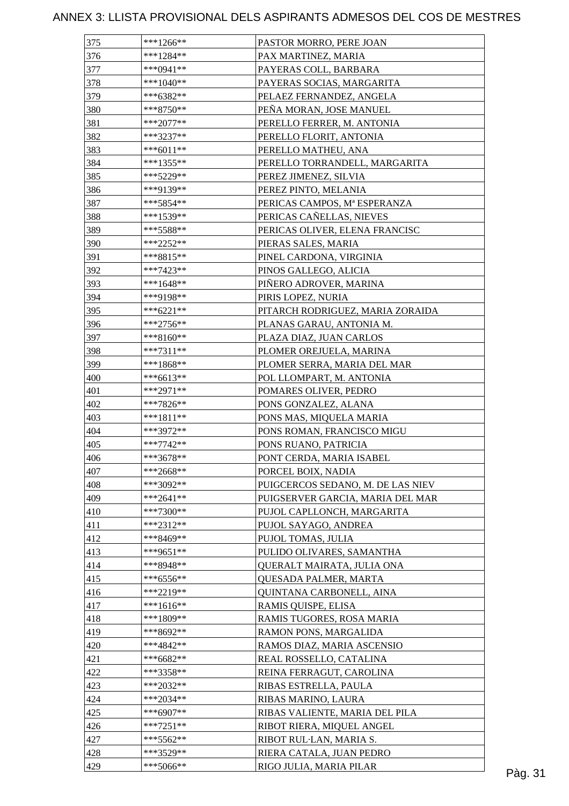| 375 | ***1266**   | PASTOR MORRO, PERE JOAN           |         |
|-----|-------------|-----------------------------------|---------|
| 376 | $***1284**$ | PAX MARTINEZ, MARIA               |         |
| 377 | ***0941**   | PAYERAS COLL, BARBARA             |         |
| 378 | ***1040**   | PAYERAS SOCIAS, MARGARITA         |         |
| 379 | ***6382**   | PELAEZ FERNANDEZ, ANGELA          |         |
| 380 | ***8750**   | PEÑA MORAN, JOSE MANUEL           |         |
| 381 | ***2077**   | PERELLO FERRER, M. ANTONIA        |         |
| 382 | ***3237**   | PERELLO FLORIT, ANTONIA           |         |
| 383 | ***6011**   | PERELLO MATHEU, ANA               |         |
| 384 | ***1355**   | PERELLO TORRANDELL, MARGARITA     |         |
| 385 | ***5229**   | PEREZ JIMENEZ, SILVIA             |         |
| 386 | ***9139**   | PEREZ PINTO, MELANIA              |         |
| 387 | ***5854**   | PERICAS CAMPOS, Mª ESPERANZA      |         |
| 388 | ***1539**   | PERICAS CAÑELLAS, NIEVES          |         |
| 389 | ***5588**   | PERICAS OLIVER, ELENA FRANCISC    |         |
| 390 | ***2252**   | PIERAS SALES, MARIA               |         |
| 391 | ***8815**   | PINEL CARDONA, VIRGINIA           |         |
| 392 | ***7423**   | PINOS GALLEGO, ALICIA             |         |
| 393 | ***1648**   | PIÑERO ADROVER, MARINA            |         |
| 394 | ***9198**   | PIRIS LOPEZ, NURIA                |         |
| 395 | $***6221**$ | PITARCH RODRIGUEZ, MARIA ZORAIDA  |         |
| 396 | $***2756**$ | PLANAS GARAU, ANTONIA M.          |         |
| 397 | $***8160**$ | PLAZA DIAZ, JUAN CARLOS           |         |
| 398 |             |                                   |         |
|     | $***7311**$ | PLOMER OREJUELA, MARINA           |         |
| 399 | $***1868**$ | PLOMER SERRA, MARIA DEL MAR       |         |
| 400 | $***6613**$ | POL LLOMPART, M. ANTONIA          |         |
| 401 | ***2971**   | POMARES OLIVER, PEDRO             |         |
| 402 | ***7826**   | PONS GONZALEZ, ALANA              |         |
| 403 | $***1811**$ | PONS MAS, MIQUELA MARIA           |         |
| 404 | ***3972**   | PONS ROMAN, FRANCISCO MIGU        |         |
| 405 | ***7742**   | PONS RUANO, PATRICIA              |         |
| 406 | ***3678**   | PONT CERDA, MARIA ISABEL          |         |
| 407 | ***2668**   | PORCEL BOIX, NADIA                |         |
| 408 | ***3092**   | PUIGCERCOS SEDANO, M. DE LAS NIEV |         |
| 409 | $***2641**$ | PUIGSERVER GARCIA, MARIA DEL MAR  |         |
| 410 | ***7300**   | PUJOL CAPLLONCH, MARGARITA        |         |
| 411 | ***2312**   | PUJOL SAYAGO, ANDREA              |         |
| 412 | ***8469**   | PUJOL TOMAS, JULIA                |         |
| 413 | ***9651**   | PULIDO OLIVARES, SAMANTHA         |         |
| 414 | ***8948**   | QUERALT MAIRATA, JULIA ONA        |         |
| 415 | $***6556**$ | QUESADA PALMER, MARTA             |         |
| 416 | ***2219**   | QUINTANA CARBONELL, AINA          |         |
| 417 | $***1616**$ | RAMIS QUISPE, ELISA               |         |
| 418 | ***1809**   | RAMIS TUGORES, ROSA MARIA         |         |
| 419 | ***8692**   | RAMON PONS, MARGALIDA             |         |
| 420 | ***4842**   | RAMOS DIAZ, MARIA ASCENSIO        |         |
| 421 | $***6682**$ | REAL ROSSELLO, CATALINA           |         |
| 422 | ***3358**   | REINA FERRAGUT, CAROLINA          |         |
| 423 | $***2032**$ | RIBAS ESTRELLA, PAULA             |         |
| 424 | $***2034**$ | RIBAS MARINO, LAURA               |         |
| 425 | $***6907**$ | RIBAS VALIENTE, MARIA DEL PILA    |         |
| 426 | ***7251**   | RIBOT RIERA, MIQUEL ANGEL         |         |
| 427 | $***5562**$ | RIBOT RUL-LAN, MARIA S.           |         |
| 428 | ***3529**   | RIERA CATALA, JUAN PEDRO          |         |
| 429 | ***5066**   | RIGO JULIA, MARIA PILAR           | Pàg. 31 |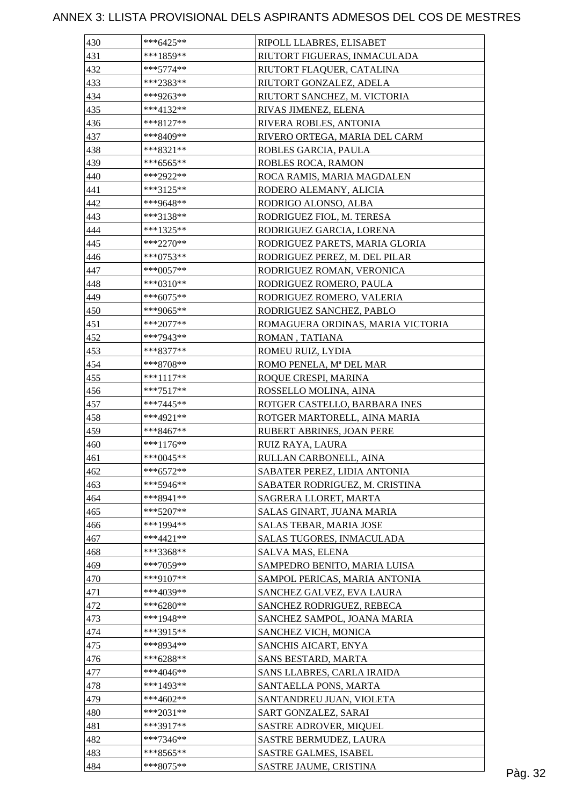| 430 | $***6425**$ | RIPOLL LLABRES, ELISABET          |         |
|-----|-------------|-----------------------------------|---------|
| 431 | ***1859**   | RIUTORT FIGUERAS, INMACULADA      |         |
| 432 | $***5774**$ | RIUTORT FLAQUER, CATALINA         |         |
| 433 | ***2383**   | RIUTORT GONZALEZ, ADELA           |         |
| 434 | ***9263**   | RIUTORT SANCHEZ, M. VICTORIA      |         |
| 435 | ***4132**   | RIVAS JIMENEZ, ELENA              |         |
| 436 | ***8127**   | RIVERA ROBLES, ANTONIA            |         |
| 437 | ***8409**   | RIVERO ORTEGA, MARIA DEL CARM     |         |
| 438 | ***8321**   | ROBLES GARCIA, PAULA              |         |
| 439 | $***6565**$ | ROBLES ROCA, RAMON                |         |
| 440 | ***2922**   | ROCA RAMIS, MARIA MAGDALEN        |         |
| 441 | ***3125**   | RODERO ALEMANY, ALICIA            |         |
| 442 | ***9648**   | RODRIGO ALONSO, ALBA              |         |
| 443 | ***3138**   | RODRIGUEZ FIOL, M. TERESA         |         |
| 444 | ***1325**   | RODRIGUEZ GARCIA, LORENA          |         |
| 445 | $***2270**$ | RODRIGUEZ PARETS, MARIA GLORIA    |         |
| 446 | ***0753**   | RODRIGUEZ PEREZ, M. DEL PILAR     |         |
| 447 | $***0057**$ | RODRIGUEZ ROMAN, VERONICA         |         |
| 448 | ***0310**   | RODRIGUEZ ROMERO, PAULA           |         |
| 449 | ***6075**   | RODRIGUEZ ROMERO, VALERIA         |         |
| 450 | ***9065**   | RODRIGUEZ SANCHEZ, PABLO          |         |
| 451 | $***2077**$ | ROMAGUERA ORDINAS, MARIA VICTORIA |         |
| 452 | ***7943**   | ROMAN, TATIANA                    |         |
| 453 | ***8377**   | ROMEU RUIZ, LYDIA                 |         |
| 454 |             |                                   |         |
|     | ***8708**   | ROMO PENELA, Mª DEL MAR           |         |
| 455 | ***1117**   | ROQUE CRESPI, MARINA              |         |
| 456 | $***7517**$ | ROSSELLO MOLINA, AINA             |         |
| 457 | $***7445**$ | ROTGER CASTELLO, BARBARA INES     |         |
| 458 | ***4921**   | ROTGER MARTORELL, AINA MARIA      |         |
| 459 | $***8467**$ | RUBERT ABRINES, JOAN PERE         |         |
| 460 | ***1176**   | RUIZ RAYA, LAURA                  |         |
| 461 | ***0045**   | RULLAN CARBONELL, AINA            |         |
| 462 | $***6572**$ | SABATER PEREZ, LIDIA ANTONIA      |         |
| 463 | $***5946**$ | SABATER RODRIGUEZ, M. CRISTINA    |         |
| 464 | ***8941**   | SAGRERA LLORET, MARTA             |         |
| 465 | $***5207**$ | SALAS GINART, JUANA MARIA         |         |
| 466 | ***1994**   | SALAS TEBAR, MARIA JOSE           |         |
| 467 | $***4421**$ | SALAS TUGORES, INMACULADA         |         |
| 468 | ***3368**   | SALVA MAS, ELENA                  |         |
| 469 | ***7059**   | SAMPEDRO BENITO, MARIA LUISA      |         |
| 470 | ***9107**   | SAMPOL PERICAS, MARIA ANTONIA     |         |
| 471 | ***4039**   | SANCHEZ GALVEZ, EVA LAURA         |         |
| 472 | ***6280**   | SANCHEZ RODRIGUEZ, REBECA         |         |
| 473 | ***1948**   | SANCHEZ SAMPOL, JOANA MARIA       |         |
| 474 | ***3915**   | SANCHEZ VICH, MONICA              |         |
| 475 | ***8934**   | SANCHIS AICART, ENYA              |         |
| 476 | ***6288**   | SANS BESTARD, MARTA               |         |
| 477 | ***4046**   | SANS LLABRES, CARLA IRAIDA        |         |
| 478 | $***1493**$ | SANTAELLA PONS, MARTA             |         |
| 479 | ***4602**   | SANTANDREU JUAN, VIOLETA          |         |
| 480 | $***2031**$ | SART GONZALEZ, SARAI              |         |
| 481 | $***3917**$ | <b>SASTRE ADROVER, MIQUEL</b>     |         |
| 482 | ***7346**   | SASTRE BERMUDEZ, LAURA            |         |
| 483 | ***8565**   | <b>SASTRE GALMES, ISABEL</b>      |         |
| 484 | ***8075**   | SASTRE JAUME, CRISTINA            | Pàg. 32 |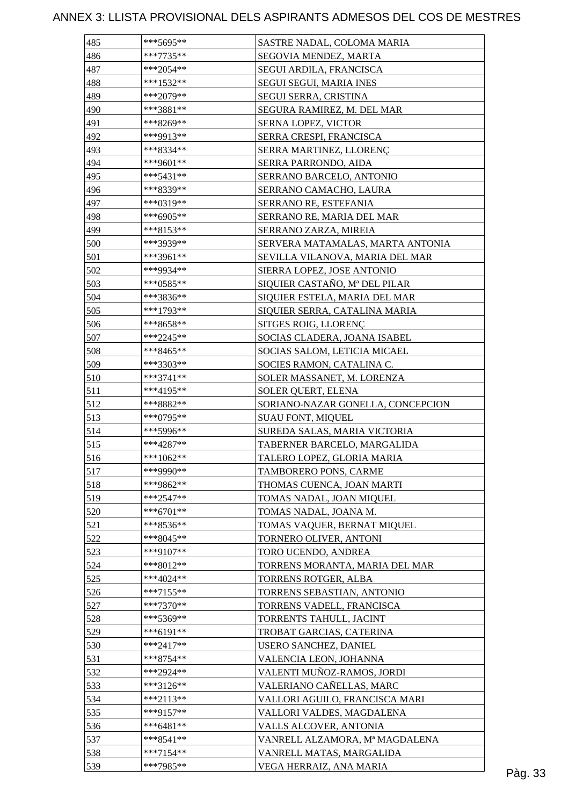| 485 | ***5695**   | SASTRE NADAL, COLOMA MARIA        |         |
|-----|-------------|-----------------------------------|---------|
| 486 | $***7735**$ | SEGOVIA MENDEZ, MARTA             |         |
| 487 | ***2054**   | SEGUI ARDILA, FRANCISCA           |         |
| 488 | $***1532**$ | <b>SEGUI SEGUI, MARIA INES</b>    |         |
| 489 | ***2079**   | SEGUI SERRA, CRISTINA             |         |
| 490 | ***3881**   | SEGURA RAMIREZ, M. DEL MAR        |         |
| 491 | ***8269**   | SERNA LOPEZ, VICTOR               |         |
| 492 | ***9913**   | SERRA CRESPI, FRANCISCA           |         |
| 493 | ***8334**   | SERRA MARTINEZ, LLORENÇ           |         |
| 494 | ***9601**   | SERRA PARRONDO, AIDA              |         |
| 495 | $***5431**$ | SERRANO BARCELO, ANTONIO          |         |
| 496 | ***8339**   | SERRANO CAMACHO, LAURA            |         |
| 497 | ***0319**   | SERRANO RE, ESTEFANIA             |         |
| 498 | $***6905**$ | SERRANO RE, MARIA DEL MAR         |         |
| 499 | ***8153**   | SERRANO ZARZA, MIREIA             |         |
| 500 | ***3939**   | SERVERA MATAMALAS, MARTA ANTONIA  |         |
| 501 | ***3961**   | SEVILLA VILANOVA, MARIA DEL MAR   |         |
| 502 | ***9934**   | SIERRA LOPEZ, JOSE ANTONIO        |         |
| 503 | $***0585**$ | SIQUIER CASTAÑO, Mª DEL PILAR     |         |
| 504 | ***3836**   | SIQUIER ESTELA, MARIA DEL MAR     |         |
| 505 | ***1793**   | SIQUIER SERRA, CATALINA MARIA     |         |
| 506 | ***8658**   | SITGES ROIG, LLORENÇ              |         |
| 507 | $***2245**$ | SOCIAS CLADERA, JOANA ISABEL      |         |
| 508 | ***8465**   | SOCIAS SALOM, LETICIA MICAEL      |         |
| 509 | ***3303**   |                                   |         |
| 510 | $***3741**$ | SOCIES RAMON, CATALINA C.         |         |
| 511 | ***4195**   | SOLER MASSANET, M. LORENZA        |         |
|     |             | SOLER QUERT, ELENA                |         |
| 512 | ***8882**   | SORIANO-NAZAR GONELLA, CONCEPCION |         |
| 513 | $***0795**$ | <b>SUAU FONT, MIQUEL</b>          |         |
| 514 | ***5996**   | SUREDA SALAS, MARIA VICTORIA      |         |
| 515 | $***4287**$ | TABERNER BARCELO, MARGALIDA       |         |
| 516 | ***1062**   | TALERO LOPEZ, GLORIA MARIA        |         |
| 517 | ***9990**   | TAMBORERO PONS, CARME             |         |
| 518 | ***9862**   | THOMAS CUENCA, JOAN MARTI         |         |
| 519 | $***2547**$ | TOMAS NADAL, JOAN MIQUEL          |         |
| 520 | ***6701**   | TOMAS NADAL, JOANA M.             |         |
| 521 | $***8536**$ | TOMAS VAQUER, BERNAT MIQUEL       |         |
| 522 | $***8045**$ | TORNERO OLIVER, ANTONI            |         |
| 523 | ***9107**   | TORO UCENDO, ANDREA               |         |
| 524 | ***8012**   | TORRENS MORANTA, MARIA DEL MAR    |         |
| 525 | $***4024**$ | TORRENS ROTGER, ALBA              |         |
| 526 | $***7155**$ | TORRENS SEBASTIAN, ANTONIO        |         |
| 527 | $***7370**$ | TORRENS VADELL, FRANCISCA         |         |
| 528 | ***5369**   | TORRENTS TAHULL, JACINT           |         |
| 529 | $***6191**$ | TROBAT GARCIAS, CATERINA          |         |
| 530 | ***2417**   | USERO SANCHEZ, DANIEL             |         |
| 531 | $***8754**$ | VALENCIA LEON, JOHANNA            |         |
| 532 | ***2924**   | VALENTI MUÑOZ-RAMOS, JORDI        |         |
| 533 | ***3126**   | VALERIANO CAÑELLAS, MARC          |         |
| 534 | $***2113**$ | VALLORI AGUILO, FRANCISCA MARI    |         |
| 535 | ***9157**   | VALLORI VALDES, MAGDALENA         |         |
| 536 | $***6481**$ | VALLS ALCOVER, ANTONIA            |         |
| 537 | $***8541**$ | VANRELL ALZAMORA, Mª MAGDALENA    |         |
| 538 | $***7154**$ | VANRELL MATAS, MARGALIDA          |         |
| 539 | ***7985**   | VEGA HERRAIZ, ANA MARIA           | Pàg. 33 |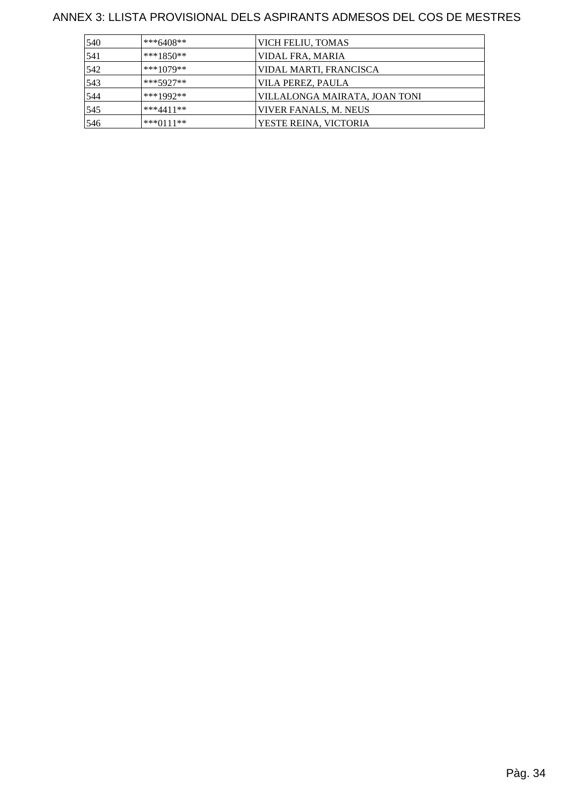| 540 | ***6408**     | VICH FELIU, TOMAS             |
|-----|---------------|-------------------------------|
| 541 | $***1850**$   | VIDAL FRA, MARIA              |
| 542 | $***1079**$   | VIDAL MARTI, FRANCISCA        |
| 543 | $***5927**$   | VILA PEREZ, PAULA             |
| 544 | ***1992**     | VILLALONGA MAIRATA, JOAN TONI |
| 545 | $***4411**$   | VIVER FANALS, M. NEUS         |
| 546 | *** $0111$ ** | YESTE REINA, VICTORIA         |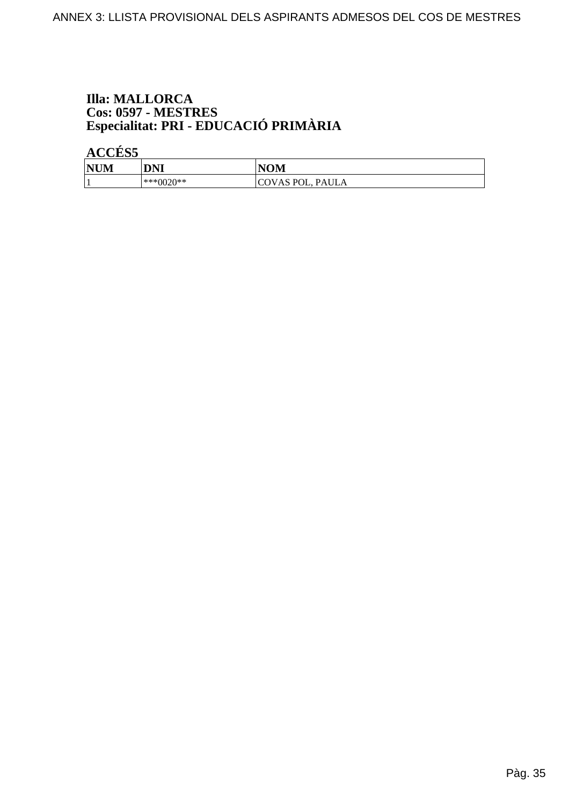## **Illa: MALLORCA** Cos: 0597 - MESTRES<br>Especialitat: PRI - EDUCACIÓ PRIMÀRIA

**ACCÉS 5** 

| NU <sup>N</sup> | DNI<br><b>DIAL</b> | JAR 1<br>n<br>NUIVI.                      |
|-----------------|--------------------|-------------------------------------------|
|                 | 'በ**<br>***()(`    | P <sub>0</sub><br>PAULA<br>$\sim$ vnu vu, |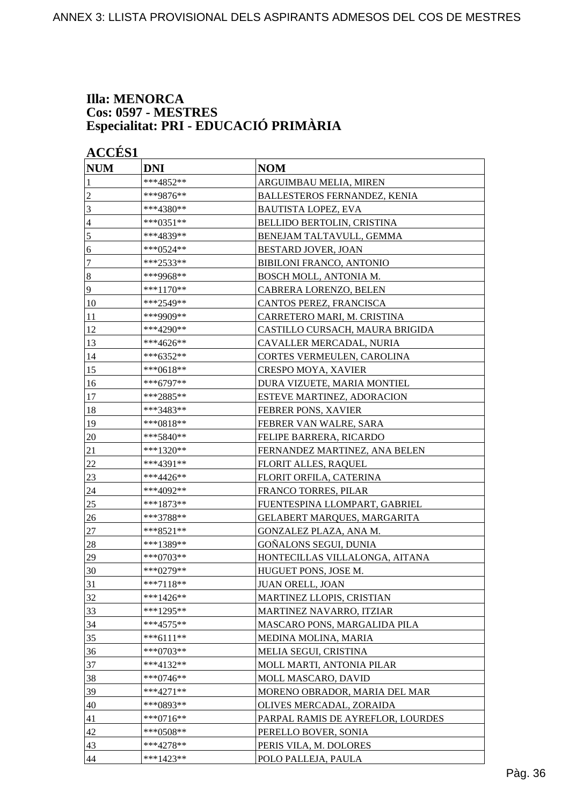#### **Illa: MENORCA Cos: 0597 - MESTRES Especialitat: PRI - EDUCACIÓ PRIMÀRIA**

| <b>ACCÉS 1</b> |             |                                     |  |
|----------------|-------------|-------------------------------------|--|
| <b>NUM</b>     | <b>DNI</b>  | <b>NOM</b>                          |  |
| 1              | ***4852**   | ARGUIMBAU MELIA, MIREN              |  |
| $\overline{c}$ | ***9876**   | <b>BALLESTEROS FERNANDEZ, KENIA</b> |  |
| 3              | ***4380**   | <b>BAUTISTA LOPEZ, EVA</b>          |  |
| 4              | ***0351**   | BELLIDO BERTOLIN, CRISTINA          |  |
| 5              | ***4839**   | BENEJAM TALTAVULL, GEMMA            |  |
| 6              | ***0524**   | BESTARD JOVER, JOAN                 |  |
| 7              | ***2533**   | BIBILONI FRANCO, ANTONIO            |  |
| $\vert 8$      | ***9968**   | BOSCH MOLL, ANTONIA M.              |  |
| $\overline{9}$ | ***1170**   | CABRERA LORENZO, BELEN              |  |
| 10             | ***2549**   | CANTOS PEREZ, FRANCISCA             |  |
| 11             | ***9909**   | CARRETERO MARI, M. CRISTINA         |  |
| 12             | ***4290**   | CASTILLO CURSACH, MAURA BRIGIDA     |  |
| 13             | ***4626**   | CAVALLER MERCADAL, NURIA            |  |
| 14             | ***6352**   | CORTES VERMEULEN, CAROLINA          |  |
| 15             | ***0618**   | <b>CRESPO MOYA, XAVIER</b>          |  |
| 16             | ***6797**   | DURA VIZUETE, MARIA MONTIEL         |  |
| 17             | ***2885**   | <b>ESTEVE MARTINEZ, ADORACION</b>   |  |
| 18             | ***3483**   | FEBRER PONS, XAVIER                 |  |
| 19             | ***0818**   | FEBRER VAN WALRE, SARA              |  |
| 20             | ***5840**   | FELIPE BARRERA, RICARDO             |  |
| 21             | ***1320**   | FERNANDEZ MARTINEZ, ANA BELEN       |  |
| $22\,$         | ***4391**   | <b>FLORIT ALLES, RAQUEL</b>         |  |
| 23             | ***4426**   | FLORIT ORFILA, CATERINA             |  |
| 24             | ***4092**   | FRANCO TORRES, PILAR                |  |
| 25             | ***1873**   | FUENTESPINA LLOMPART, GABRIEL       |  |
| 26             | ***3788**   | GELABERT MARQUES, MARGARITA         |  |
| 27             | ***8521**   | GONZALEZ PLAZA, ANA M.              |  |
| 28             | ***1389**   | GOÑALONS SEGUI, DUNIA               |  |
| 29             | ***0703**   | HONTECILLAS VILLALONGA, AITANA      |  |
| 30             | ***0279**   | HUGUET PONS, JOSE M.                |  |
| 31             | $***7118**$ | <b>JUAN ORELL, JOAN</b>             |  |
| 32             | ***1426**   | MARTINEZ LLOPIS, CRISTIAN           |  |
| 33             | ***1295**   | MARTINEZ NAVARRO, ITZIAR            |  |
| 34             | $***4575**$ | MASCARO PONS, MARGALIDA PILA        |  |
| 35             | ***6111**   | MEDINA MOLINA, MARIA                |  |
| 36             | $***0703**$ | MELIA SEGUI, CRISTINA               |  |
| 37             | ***4132**   | MOLL MARTI, ANTONIA PILAR           |  |
| 38             | $***0746**$ | MOLL MASCARO, DAVID                 |  |
| 39             | ***4271**   | MORENO OBRADOR, MARIA DEL MAR       |  |
| 40             | ***0893**   | OLIVES MERCADAL, ZORAIDA            |  |
| 41             | $***0716**$ | PARPAL RAMIS DE AYREFLOR, LOURDES   |  |
| 42             | ***0508**   | PERELLO BOVER, SONIA                |  |
| 43             | ***4278**   | PERIS VILA, M. DOLORES              |  |
| 44             | ***1423**   | POLO PALLEJA, PAULA                 |  |
|                |             |                                     |  |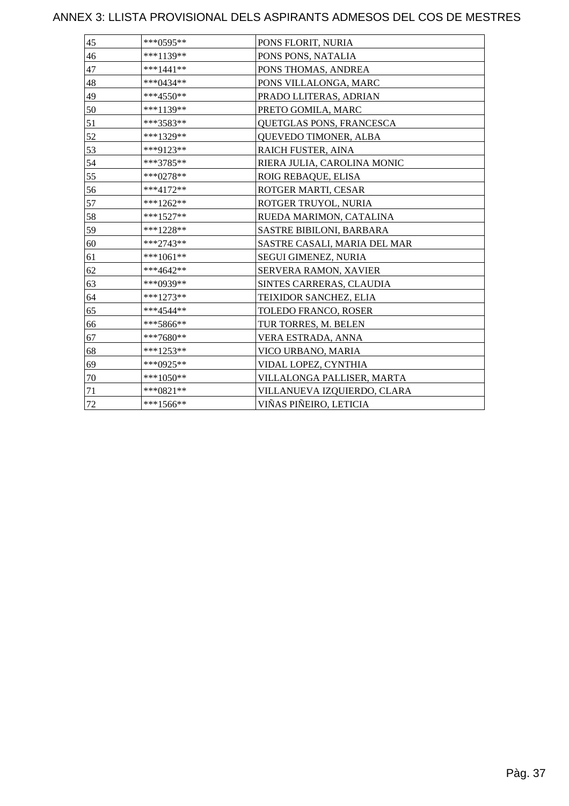| 45 | ***0595**   | PONS FLORIT, NURIA              |
|----|-------------|---------------------------------|
| 46 | ***1139**   | PONS PONS, NATALIA              |
| 47 | $***1441**$ | PONS THOMAS, ANDREA             |
| 48 | ***0434**   | PONS VILLALONGA, MARC           |
| 49 | ***4550**   | PRADO LLITERAS, ADRIAN          |
| 50 | ***1139**   | PRETO GOMILA, MARC              |
| 51 | ***3583**   | QUETGLAS PONS, FRANCESCA        |
| 52 | ***1329**   | QUEVEDO TIMONER, ALBA           |
| 53 | ***9123**   | RAICH FUSTER, AINA              |
| 54 | ***3785**   | RIERA JULIA, CAROLINA MONIC     |
| 55 | $***0278**$ | ROIG REBAQUE, ELISA             |
| 56 | ***4172**   | ROTGER MARTI, CESAR             |
| 57 | $***1262**$ | ROTGER TRUYOL, NURIA            |
| 58 | $***1527**$ | RUEDA MARIMON, CATALINA         |
| 59 | ***1228**   | <b>SASTRE BIBILONI, BARBARA</b> |
| 60 | ***2743**   | SASTRE CASALI, MARIA DEL MAR    |
| 61 | ***1061**   | SEGUI GIMENEZ, NURIA            |
| 62 | ***4642**   | SERVERA RAMON, XAVIER           |
| 63 | ***0939**   | SINTES CARRERAS, CLAUDIA        |
| 64 | $***1273**$ | TEIXIDOR SANCHEZ, ELIA          |
| 65 | ***4544**   | TOLEDO FRANCO, ROSER            |
| 66 | ***5866**   | TUR TORRES, M. BELEN            |
| 67 | ***7680**   | VERA ESTRADA, ANNA              |
| 68 | ***1253**   | VICO URBANO, MARIA              |
| 69 | ***0925**   | VIDAL LOPEZ, CYNTHIA            |
| 70 | ***1050**   | VILLALONGA PALLISER, MARTA      |
| 71 | $***0821**$ | VILLANUEVA IZQUIERDO, CLARA     |
| 72 | $***1566**$ | VIÑAS PIÑEIRO, LETICIA          |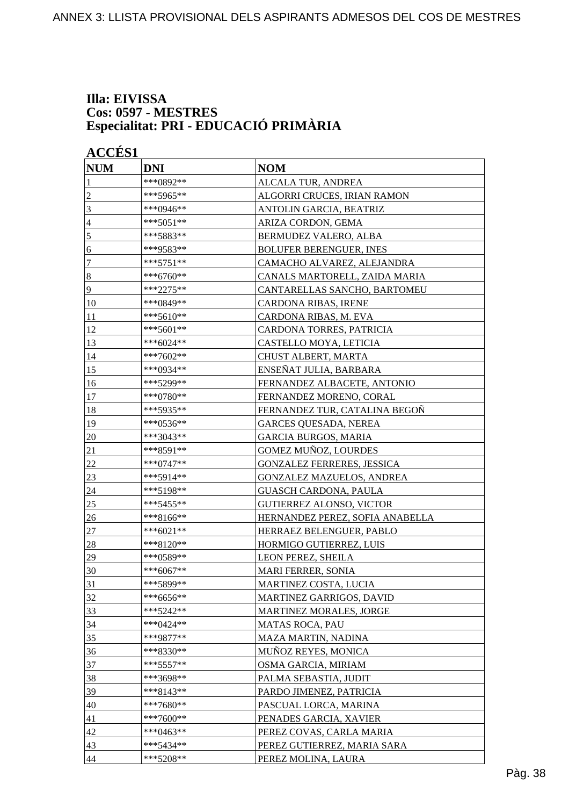#### **Illa: EIVISSA Cos: 0597 - MESTRES Especialitat: PRI - EDUCACIÓ PRIMÀRIA**

| <b>ACCÉS 1</b> |                                                    |  |
|----------------|----------------------------------------------------|--|
| <b>DNI</b>     | <b>NOM</b>                                         |  |
| ***0892**      | ALCALA TUR, ANDREA                                 |  |
| ***5965**      | ALGORRI CRUCES, IRIAN RAMON                        |  |
| ***0946**      | ANTOLIN GARCIA, BEATRIZ                            |  |
| ***5051**      | ARIZA CORDON, GEMA                                 |  |
| ***5883**      | BERMUDEZ VALERO, ALBA                              |  |
| ***9583**      | <b>BOLUFER BERENGUER, INES</b>                     |  |
| ***5751**      | CAMACHO ALVAREZ, ALEJANDRA                         |  |
| ***6760**      | CANALS MARTORELL, ZAIDA MARIA                      |  |
| ***2275**      | CANTARELLAS SANCHO, BARTOMEU                       |  |
| ***0849**      | CARDONA RIBAS, IRENE                               |  |
| ***5610**      | CARDONA RIBAS, M. EVA                              |  |
| $***5601**$    | CARDONA TORRES, PATRICIA                           |  |
| ***6024**      | CASTELLO MOYA, LETICIA                             |  |
| ***7602**      | CHUST ALBERT, MARTA                                |  |
| ***0934**      | ENSEÑAT JULIA, BARBARA                             |  |
| ***5299**      | FERNANDEZ ALBACETE, ANTONIO                        |  |
| ***0780**      | FERNANDEZ MORENO, CORAL                            |  |
|                | FERNANDEZ TUR, CATALINA BEGOÑ                      |  |
| ***0536**      | <b>GARCES QUESADA, NEREA</b>                       |  |
| ***3043**      | <b>GARCIA BURGOS, MARIA</b>                        |  |
| ***8591**      | GOMEZ MUÑOZ, LOURDES                               |  |
| ***0747**      | <b>GONZALEZ FERRERES, JESSICA</b>                  |  |
| ***5914**      | <b>GONZALEZ MAZUELOS, ANDREA</b>                   |  |
| ***5198**      | <b>GUASCH CARDONA, PAULA</b>                       |  |
| ***5455**      | <b>GUTIERREZ ALONSO, VICTOR</b>                    |  |
| ***8166**      | HERNANDEZ PEREZ, SOFIA ANABELLA                    |  |
| ***6021**      | HERRAEZ BELENGUER, PABLO                           |  |
| ***8120**      | HORMIGO GUTIERREZ, LUIS                            |  |
| ***0589**      | LEON PEREZ, SHEILA                                 |  |
|                | MARI FERRER, SONIA                                 |  |
| ***5899**      | MARTINEZ COSTA, LUCIA                              |  |
| ***6656**      | MARTINEZ GARRIGOS, DAVID                           |  |
|                | MARTINEZ MORALES, JORGE                            |  |
| ***0424**      | <b>MATAS ROCA, PAU</b>                             |  |
| ***9877**      | MAZA MARTIN, NADINA                                |  |
|                | MUÑOZ REYES, MONICA                                |  |
| *** 5557**     | OSMA GARCIA, MIRIAM                                |  |
| ***3698**      | PALMA SEBASTIA, JUDIT                              |  |
| ***8143**      | PARDO JIMENEZ, PATRICIA                            |  |
| ***7680**      | PASCUAL LORCA, MARINA                              |  |
| ***7600**      | PENADES GARCIA, XAVIER                             |  |
| ***0463**      | PEREZ COVAS, CARLA MARIA                           |  |
| ***5434**      | PEREZ GUTIERREZ, MARIA SARA                        |  |
| ***5208**      | PEREZ MOLINA, LAURA                                |  |
|                | ***5935**<br>$***6067**$<br>***5242**<br>***8330** |  |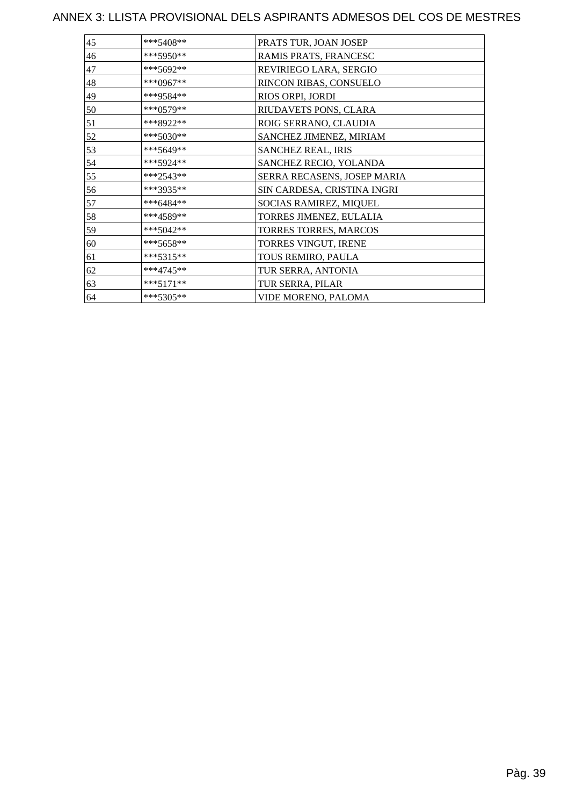| 45 | ***5408**   | PRATS TUR, JOAN JOSEP       |
|----|-------------|-----------------------------|
| 46 | ***5950**   | RAMIS PRATS, FRANCESC       |
| 47 | ***5692**   | REVIRIEGO LARA, SERGIO      |
| 48 | ***0967**   | RINCON RIBAS, CONSUELO      |
| 49 | ***9584**   | RIOS ORPI, JORDI            |
| 50 | ***0579**   | RIUDAVETS PONS, CLARA       |
| 51 | ***8922**   | ROIG SERRANO, CLAUDIA       |
| 52 | ***5030**   | SANCHEZ JIMENEZ, MIRIAM     |
| 53 | ***5649**   | SANCHEZ REAL, IRIS          |
| 54 | ***5924**   | SANCHEZ RECIO, YOLANDA      |
| 55 | ***2543**   | SERRA RECASENS, JOSEP MARIA |
| 56 | ***3935**   | SIN CARDESA, CRISTINA INGRI |
| 57 | ***6484**   | SOCIAS RAMIREZ, MIQUEL      |
| 58 | ***4589**   | TORRES JIMENEZ, EULALIA     |
| 59 | ***5042**   | TORRES TORRES, MARCOS       |
| 60 | ***5658**   | TORRES VINGUT, IRENE        |
| 61 | $***5315**$ | TOUS REMIRO, PAULA          |
| 62 | $***4745**$ | TUR SERRA, ANTONIA          |
| 63 | $***5171**$ | TUR SERRA, PILAR            |
| 64 | ***5305**   | VIDE MORENO, PALOMA         |
|    |             |                             |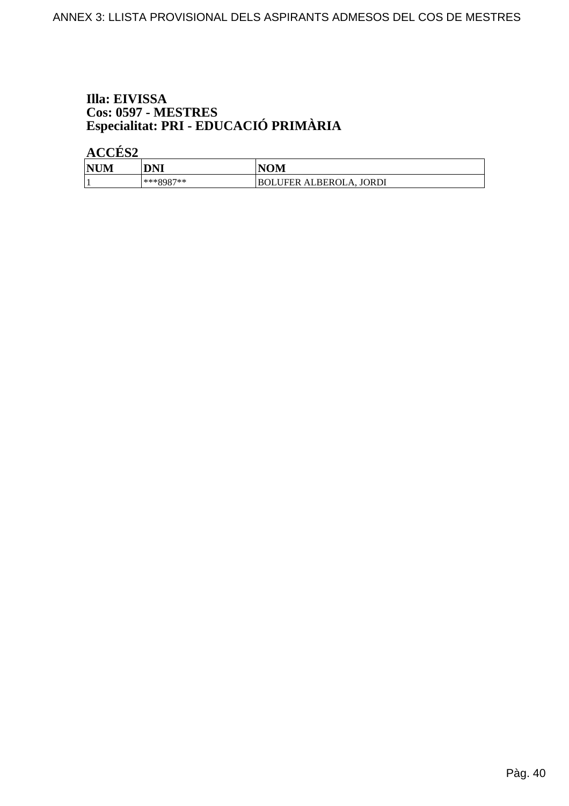## Illa: EIVISSA Cos: 0597 - MESTRES<br>Especialitat: PRI - EDUCACIÓ PRIMÀRIA

ACCÉS<sub>2</sub>

| <b>NUM</b> | DNI         | VOM                                  |
|------------|-------------|--------------------------------------|
|            | $***QQQ7**$ | FER ALBEROLA, JORDI<br>IFER.<br>BOLU |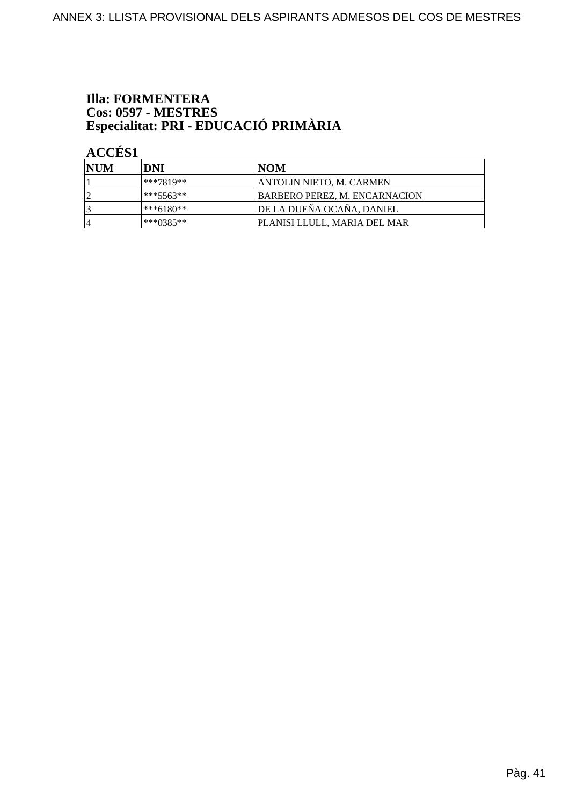## **Illa: FORMENTERA** Cos: 0597 - MESTRES<br>Especialitat: PRI - EDUCACIÓ PRIMÀRIA

**ACCÉS 1** 

| <b>NUM</b> | DNI       | <b>INOM</b>                          |
|------------|-----------|--------------------------------------|
|            | ***7819** | ANTOLIN NIETO, M. CARMEN             |
| ി          | ***5563** | <b>BARBERO PEREZ, M. ENCARNACION</b> |
| 3          | ***6180** | DE LA DUEÑA OCAÑA, DANIEL            |
| 14         | ***0385** | IPLANISI LLULL. MARIA DEL MAR        |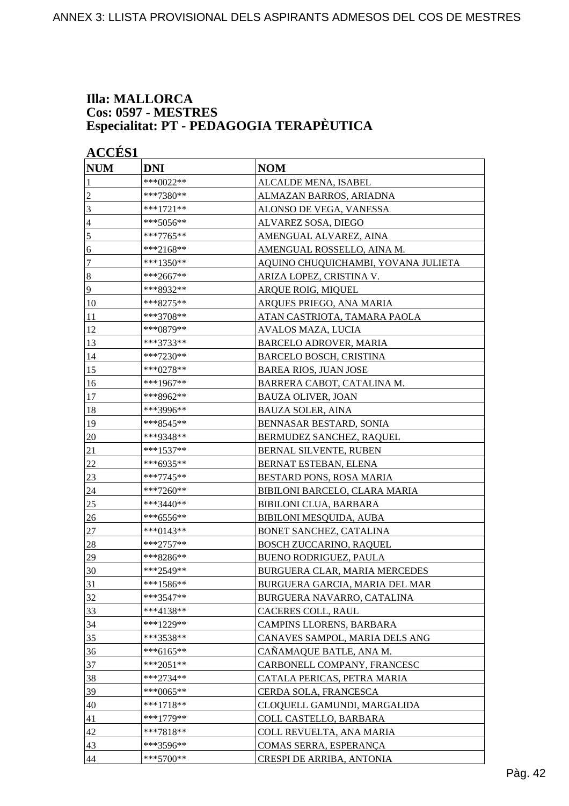#### **Illa: MALLORCA Cos: 0597 - MESTRES Especialitat: PT - PEDAGOGIA TERAPÈUTICA**

| <b>NUM</b>       | <b>DNI</b>  | <b>NOM</b>                          |
|------------------|-------------|-------------------------------------|
| 1                | ***0022**   | ALCALDE MENA, ISABEL                |
| $\overline{c}$   | ***7380**   | ALMAZAN BARROS, ARIADNA             |
| 3                | ***1721**   | ALONSO DE VEGA, VANESSA             |
| 4                | ***5056**   | ALVAREZ SOSA, DIEGO                 |
| 5                | ***7765**   | AMENGUAL ALVAREZ, AINA              |
| 6                | ***2168**   | AMENGUAL ROSSELLO, AINA M.          |
| 7                | ***1350**   | AQUINO CHUQUICHAMBI, YOVANA JULIETA |
| $\boldsymbol{8}$ | ***2667**   | ARIZA LOPEZ, CRISTINA V.            |
| 9                | ***8932**   | ARQUE ROIG, MIQUEL                  |
| 10               | ***8275**   | ARQUES PRIEGO, ANA MARIA            |
| 11               | ***3708**   | ATAN CASTRIOTA, TAMARA PAOLA        |
| 12               | ***0879**   | AVALOS MAZA, LUCIA                  |
| 13               | ***3733**   | <b>BARCELO ADROVER, MARIA</b>       |
| 14               | ***7230**   | <b>BARCELO BOSCH, CRISTINA</b>      |
| 15               | ***0278**   | <b>BAREA RIOS, JUAN JOSE</b>        |
| 16               | ***1967**   | BARRERA CABOT, CATALINA M.          |
| 17               | ***8962**   | <b>BAUZA OLIVER, JOAN</b>           |
| 18               | ***3996**   | <b>BAUZA SOLER, AINA</b>            |
| 19               | ***8545**   | BENNASAR BESTARD, SONIA             |
| $20\,$           | ***9348**   | BERMUDEZ SANCHEZ, RAQUEL            |
| 21               | ***1537**   | BERNAL SILVENTE, RUBEN              |
| 22               | ***6935**   | BERNAT ESTEBAN, ELENA               |
| 23               | ***7745**   | BESTARD PONS, ROSA MARIA            |
| 24               | ***7260**   | BIBILONI BARCELO, CLARA MARIA       |
| 25               | ***3440**   | <b>BIBILONI CLUA, BARBARA</b>       |
| 26               | ***6556**   | BIBILONI MESQUIDA, AUBA             |
| 27               | ***0143**   | BONET SANCHEZ, CATALINA             |
| 28               | ***2757**   | <b>BOSCH ZUCCARINO, RAQUEL</b>      |
| 29               | ***8286**   | BUENO RODRIGUEZ, PAULA              |
| 30               | ***2549**   | BURGUERA CLAR, MARIA MERCEDES       |
| 31               | ***1586**   | BURGUERA GARCIA, MARIA DEL MAR      |
| 32               | ***3547**   | BURGUERA NAVARRO, CATALINA          |
| 33               | ***4138**   | CACERES COLL, RAUL                  |
| 34               | ***1229**   | CAMPINS LLORENS, BARBARA            |
| 35               | ***3538**   | CANAVES SAMPOL, MARIA DELS ANG      |
| 36               | ***6165**   | CAÑAMAQUE BATLE, ANA M.             |
| 37               | ***2051**   | CARBONELL COMPANY, FRANCESC         |
| 38               | $***2734**$ | CATALA PERICAS, PETRA MARIA         |
| 39               | ***0065**   | CERDA SOLA, FRANCESCA               |
| 40               | ***1718**   | CLOQUELL GAMUNDI, MARGALIDA         |
| 41               | ***1779**   | COLL CASTELLO, BARBARA              |
| 42               | ***7818**   | COLL REVUELTA, ANA MARIA            |
| 43               | ***3596**   | COMAS SERRA, ESPERANÇA              |
| 44               | ***5700**   | CRESPI DE ARRIBA, ANTONIA           |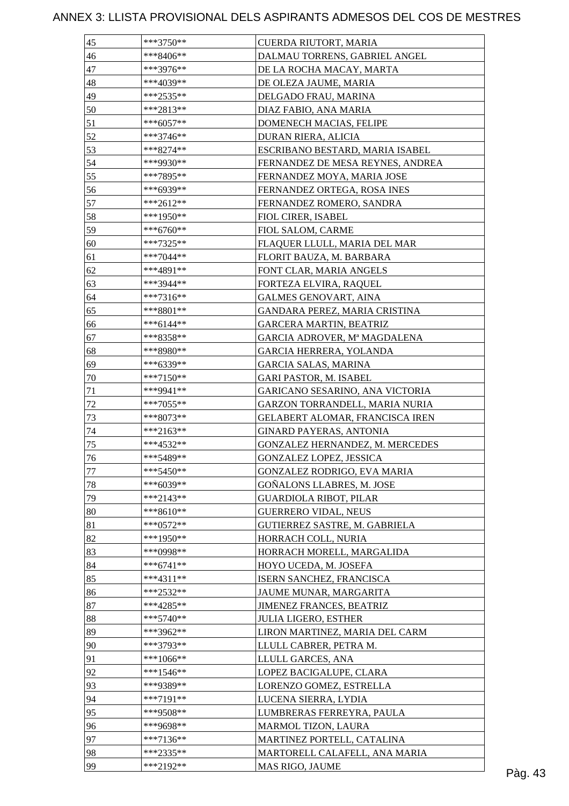| 45 | ***3750**   | CUERDA RIUTORT, MARIA            |  |
|----|-------------|----------------------------------|--|
| 46 | ***8406**   | DALMAU TORRENS, GABRIEL ANGEL    |  |
| 47 | ***3976**   | DE LA ROCHA MACAY, MARTA         |  |
| 48 | ***4039**   | DE OLEZA JAUME, MARIA            |  |
| 49 | ***2535**   | DELGADO FRAU, MARINA             |  |
| 50 | ***2813**   | DIAZ FABIO, ANA MARIA            |  |
| 51 | $***6057**$ | DOMENECH MACIAS, FELIPE          |  |
| 52 | ***3746**   | DURAN RIERA, ALICIA              |  |
| 53 | ***8274**   | ESCRIBANO BESTARD, MARIA ISABEL  |  |
| 54 | ***9930**   | FERNANDEZ DE MESA REYNES, ANDREA |  |
| 55 | ***7895**   | FERNANDEZ MOYA, MARIA JOSE       |  |
| 56 | ***6939**   | FERNANDEZ ORTEGA, ROSA INES      |  |
| 57 | ***2612**   |                                  |  |
|    |             | FERNANDEZ ROMERO, SANDRA         |  |
| 58 | ***1950**   | FIOL CIRER, ISABEL               |  |
| 59 | ***6760**   | FIOL SALOM, CARME                |  |
| 60 | ***7325**   | FLAQUER LLULL, MARIA DEL MAR     |  |
| 61 | $***7044**$ | FLORIT BAUZA, M. BARBARA         |  |
| 62 | ***4891**   | FONT CLAR, MARIA ANGELS          |  |
| 63 | ***3944**   | FORTEZA ELVIRA, RAQUEL           |  |
| 64 | $***7316**$ | <b>GALMES GENOVART, AINA</b>     |  |
| 65 | ***8801**   | GANDARA PEREZ, MARIA CRISTINA    |  |
| 66 | ***6144**   | <b>GARCERA MARTIN, BEATRIZ</b>   |  |
| 67 | ***8358**   | GARCIA ADROVER, Mª MAGDALENA     |  |
| 68 | ***8980**   | GARCIA HERRERA, YOLANDA          |  |
| 69 | ***6339**   | <b>GARCIA SALAS, MARINA</b>      |  |
| 70 | ***7150**   | GARI PASTOR, M. ISABEL           |  |
| 71 | ***9941**   | GARICANO SESARINO, ANA VICTORIA  |  |
| 72 | $***7055**$ | GARZON TORRANDELL, MARIA NURIA   |  |
| 73 | ***8073**   | GELABERT ALOMAR, FRANCISCA IREN  |  |
| 74 | ***2163**   | <b>GINARD PAYERAS, ANTONIA</b>   |  |
| 75 | ***4532**   | GONZALEZ HERNANDEZ, M. MERCEDES  |  |
| 76 | ***5489**   | GONZALEZ LOPEZ, JESSICA          |  |
| 77 | ***5450**   | GONZALEZ RODRIGO, EVA MARIA      |  |
| 78 | ***6039**   | <b>GOÑALONS LLABRES, M. JOSE</b> |  |
| 79 | ***2143**   | <b>GUARDIOLA RIBOT, PILAR</b>    |  |
| 80 | $***8610**$ | <b>GUERRERO VIDAL, NEUS</b>      |  |
| 81 | $***0572**$ | GUTIERREZ SASTRE, M. GABRIELA    |  |
| 82 | ***1950**   | HORRACH COLL, NURIA              |  |
| 83 | ***0998**   | HORRACH MORELL, MARGALIDA        |  |
| 84 | $***6741**$ | HOYO UCEDA, M. JOSEFA            |  |
| 85 | ***4311**   |                                  |  |
|    | ***2532**   | ISERN SANCHEZ, FRANCISCA         |  |
| 86 |             | JAUME MUNAR, MARGARITA           |  |
| 87 | $***4285**$ | JIMENEZ FRANCES, BEATRIZ         |  |
| 88 | $***5740**$ | <b>JULIA LIGERO, ESTHER</b>      |  |
| 89 | ***3962**   | LIRON MARTINEZ, MARIA DEL CARM   |  |
| 90 | ***3793**   | LLULL CABRER, PETRA M.           |  |
| 91 | ***1066**   | LLULL GARCES, ANA                |  |
| 92 | $***1546**$ | LOPEZ BACIGALUPE, CLARA          |  |
| 93 | ***9389**   | LORENZO GOMEZ, ESTRELLA          |  |
| 94 | $***7191**$ | LUCENA SIERRA, LYDIA             |  |
| 95 | ***9508**   | LUMBRERAS FERREYRA, PAULA        |  |
| 96 | ***9698**   | MARMOL TIZON, LAURA              |  |
| 97 | ***7136**   | MARTINEZ PORTELL, CATALINA       |  |
| 98 | ***2335**   | MARTORELL CALAFELL, ANA MARIA    |  |
| 99 | ***2192**   | MAS RIGO, JAUME                  |  |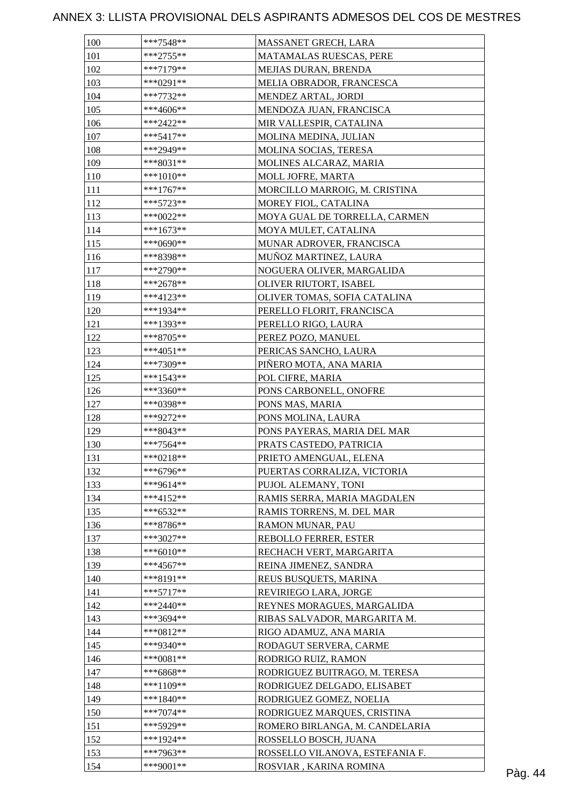| 100 | ***7548**   | MASSANET GRECH, LARA            |  |
|-----|-------------|---------------------------------|--|
| 101 | $***2755**$ | MATAMALAS RUESCAS, PERE         |  |
| 102 | ***7179**   | MEJIAS DURAN, BRENDA            |  |
| 103 | ***0291**   | MELIA OBRADOR, FRANCESCA        |  |
| 104 | $***7732**$ | MENDEZ ARTAL, JORDI             |  |
| 105 | ***4606**   | MENDOZA JUAN, FRANCISCA         |  |
| 106 | $***2422**$ | MIR VALLESPIR, CATALINA         |  |
| 107 | $***5417**$ | MOLINA MEDINA, JULIAN           |  |
| 108 | ***2949**   | MOLINA SOCIAS, TERESA           |  |
| 109 | ***8031**   | MOLINES ALCARAZ, MARIA          |  |
| 110 | ***1010**   | MOLL JOFRE, MARTA               |  |
| 111 | $***1767**$ | MORCILLO MARROIG, M. CRISTINA   |  |
| 112 | $***5723**$ | MOREY FIOL, CATALINA            |  |
| 113 | ***0022**   | MOYA GUAL DE TORRELLA, CARMEN   |  |
| 114 | $***1673**$ | MOYA MULET, CATALINA            |  |
| 115 | ***0690**   | MUNAR ADROVER, FRANCISCA        |  |
| 116 | ***8398**   | MUÑOZ MARTINEZ, LAURA           |  |
| 117 | ***2790**   | NOGUERA OLIVER, MARGALIDA       |  |
| 118 | $***2678**$ | OLIVER RIUTORT, ISABEL          |  |
| 119 | ***4123**   | OLIVER TOMAS, SOFIA CATALINA    |  |
| 120 | ***1934**   | PERELLO FLORIT, FRANCISCA       |  |
| 121 | ***1393**   | PERELLO RIGO, LAURA             |  |
| 122 | ***8705**   | PEREZ POZO, MANUEL              |  |
| 123 | ***4051**   | PERICAS SANCHO, LAURA           |  |
| 124 | ***7309**   |                                 |  |
|     |             | PIÑERO MOTA, ANA MARIA          |  |
| 125 | ***1543**   | POL CIFRE, MARIA                |  |
| 126 | ***3360**   | PONS CARBONELL, ONOFRE          |  |
| 127 | ***0398**   | PONS MAS, MARIA                 |  |
| 128 | ***9272**   | PONS MOLINA, LAURA              |  |
| 129 | ***8043**   | PONS PAYERAS, MARIA DEL MAR     |  |
| 130 | ***7564**   | PRATS CASTEDO, PATRICIA         |  |
| 131 | $***0218**$ | PRIETO AMENGUAL, ELENA          |  |
| 132 | ***6796**   | PUERTAS CORRALIZA, VICTORIA     |  |
| 133 | ***9614**   | PUJOL ALEMANY, TONI             |  |
| 134 | ***4152**   | RAMIS SERRA, MARIA MAGDALEN     |  |
| 135 | $***6532**$ | RAMIS TORRENS, M. DEL MAR       |  |
| 136 | ***8786**   | RAMON MUNAR, PAU                |  |
| 137 | ***3027**   | REBOLLO FERRER, ESTER           |  |
| 138 | $***6010**$ | RECHACH VERT, MARGARITA         |  |
| 139 | $***4567**$ | REINA JIMENEZ, SANDRA           |  |
| 140 | ***8191**   | REUS BUSQUETS, MARINA           |  |
| 141 | $***5717**$ | REVIRIEGO LARA, JORGE           |  |
| 142 | $***2440**$ | REYNES MORAGUES, MARGALIDA      |  |
| 143 | ***3694**   | RIBAS SALVADOR, MARGARITA M.    |  |
| 144 | $***0812**$ | RIGO ADAMUZ, ANA MARIA          |  |
| 145 | ***9340**   | RODAGUT SERVERA, CARME          |  |
| 146 | $***0081**$ | RODRIGO RUIZ, RAMON             |  |
| 147 | $***6868**$ | RODRIGUEZ BUITRAGO, M. TERESA   |  |
| 148 | ***1109**   | RODRIGUEZ DELGADO, ELISABET     |  |
| 149 | ***1840**   | RODRIGUEZ GOMEZ, NOELIA         |  |
| 150 | $***7074**$ | RODRIGUEZ MARQUES, CRISTINA     |  |
| 151 | ***5929**   | ROMERO BIRLANGA, M. CANDELARIA  |  |
| 152 | ***1924**   | ROSSELLO BOSCH, JUANA           |  |
| 153 | ***7963**   | ROSSELLO VILANOVA, ESTEFANIA F. |  |
| 154 | ***9001**   | ROSVIAR, KARINA ROMINA          |  |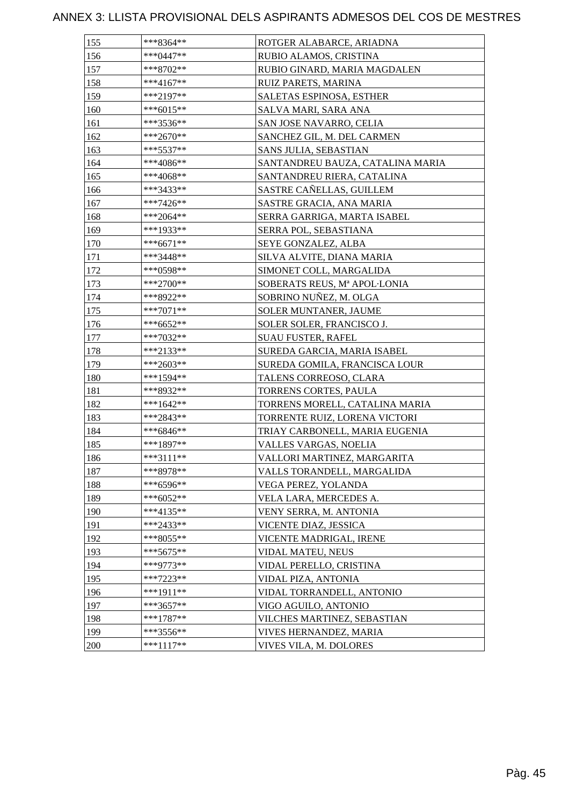| 155 | ***8364**   | ROTGER ALABARCE, ARIADNA         |
|-----|-------------|----------------------------------|
| 156 | ***0447**   | RUBIO ALAMOS, CRISTINA           |
| 157 | ***8702**   | RUBIO GINARD, MARIA MAGDALEN     |
| 158 | ***4167**   | RUIZ PARETS, MARINA              |
| 159 | ***2197**   | <b>SALETAS ESPINOSA, ESTHER</b>  |
| 160 | ***6015**   | SALVA MARI, SARA ANA             |
| 161 | ***3536**   | SAN JOSE NAVARRO, CELIA          |
| 162 | $***2670**$ | SANCHEZ GIL, M. DEL CARMEN       |
| 163 | $***5537**$ | <b>SANS JULIA, SEBASTIAN</b>     |
| 164 | ***4086**   | SANTANDREU BAUZA, CATALINA MARIA |
| 165 | ***4068**   | SANTANDREU RIERA, CATALINA       |
| 166 | ***3433**   | SASTRE CAÑELLAS, GUILLEM         |
| 167 | ***7426**   | SASTRE GRACIA, ANA MARIA         |
| 168 | ***2064**   | SERRA GARRIGA, MARTA ISABEL      |
| 169 | ***1933**   | SERRA POL, SEBASTIANA            |
| 170 | ***6671**   | SEYE GONZALEZ, ALBA              |
| 171 | ***3448**   | SILVA ALVITE, DIANA MARIA        |
| 172 | ***0598**   | SIMONET COLL, MARGALIDA          |
| 173 | ***2700**   | SOBERATS REUS, Mª APOL·LONIA     |
| 174 | ***8922**   | SOBRINO NUÑEZ, M. OLGA           |
| 175 | ***7071**   | <b>SOLER MUNTANER, JAUME</b>     |
| 176 | $***6652**$ | SOLER SOLER, FRANCISCO J.        |
| 177 | ***7032**   | <b>SUAU FUSTER, RAFEL</b>        |
| 178 | ***2133**   | SUREDA GARCIA, MARIA ISABEL      |
| 179 | $***2603**$ | SUREDA GOMILA, FRANCISCA LOUR    |
| 180 | ***1594**   | TALENS CORREOSO, CLARA           |
| 181 | ***8932**   | TORRENS CORTES, PAULA            |
| 182 | ***1642**   | TORRENS MORELL, CATALINA MARIA   |
| 183 | ***2843**   | TORRENTE RUIZ, LORENA VICTORI    |
| 184 | ***6846**   | TRIAY CARBONELL, MARIA EUGENIA   |
| 185 | ***1897**   | VALLES VARGAS, NOELIA            |
| 186 | ***3111**   | VALLORI MARTINEZ, MARGARITA      |
| 187 | ***8978**   | VALLS TORANDELL, MARGALIDA       |
| 188 | ***6596**   | VEGA PEREZ, YOLANDA              |
| 189 | ***6052**   | VELA LARA, MERCEDES A.           |
| 190 | $***4135**$ | VENY SERRA, M. ANTONIA           |
| 191 | ***2433**   | VICENTE DIAZ, JESSICA            |
| 192 | ***8055**   | VICENTE MADRIGAL, IRENE          |
| 193 | $***5675**$ | VIDAL MATEU, NEUS                |
| 194 | ***9773**   | VIDAL PERELLO, CRISTINA          |
| 195 | $***7223**$ | VIDAL PIZA, ANTONIA              |
| 196 | $***1911**$ | VIDAL TORRANDELL, ANTONIO        |
| 197 | ***3657**   | VIGO AGUILO, ANTONIO             |
| 198 | ***1787**   | VILCHES MARTINEZ, SEBASTIAN      |
| 199 | $***3556**$ | VIVES HERNANDEZ, MARIA           |
| 200 | $***1117**$ | VIVES VILA, M. DOLORES           |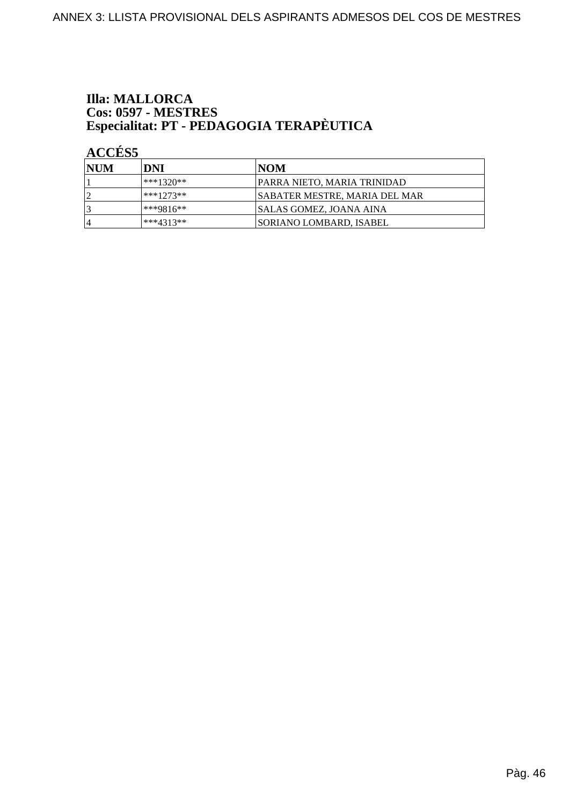# **Illa: MALLORCA** Cos: 0597 - MESTRES<br>Especialitat: PT - PEDAGOGIA TERAPÈUTICA

**ACCÉS 5** 

| <b>INUM</b> | DNI         | INOM                                 |
|-------------|-------------|--------------------------------------|
|             | ***1320**   | <b>PARRA NIETO, MARIA TRINIDAD</b>   |
|             | ***1273**   | <b>SABATER MESTRE, MARIA DEL MAR</b> |
|             | $***9816**$ | <b>SALAS GOMEZ, JOANA AINA</b>       |
| 4           | ***4313**   | <b>ISORIANO LOMBARD. ISABEL</b>      |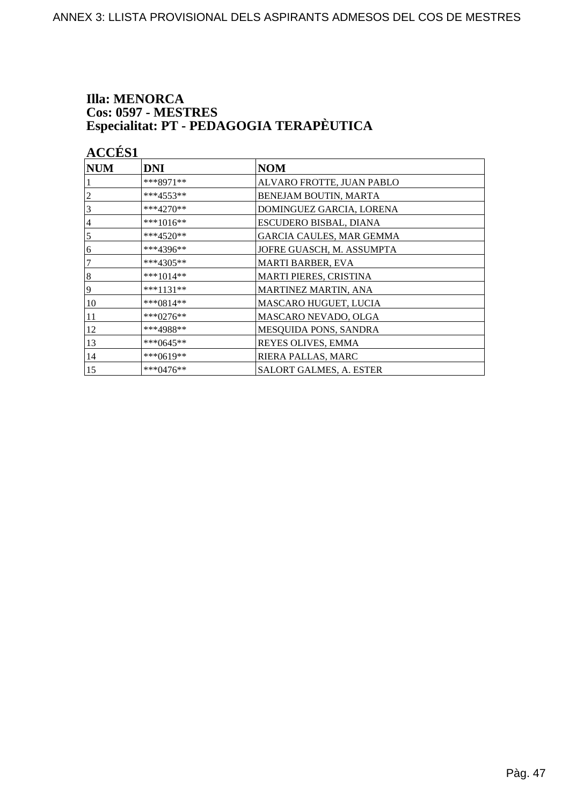# **Illa: MENORCA Cos: 0597 - MESTRES<br>Especialitat: PT - PEDAGOGIA TERAPÈUTICA**

| <b>ACCÉS 1</b>   |             |                                |
|------------------|-------------|--------------------------------|
| $\bf NUM$        | <b>DNI</b>  | <b>NOM</b>                     |
|                  | ***8971**   | ALVARO FROTTE, JUAN PABLO      |
| 2                | ***4553**   | BENEJAM BOUTIN, MARTA          |
| 3                | $***4270**$ | DOMINGUEZ GARCIA, LORENA       |
| $\overline{4}$   | ***1016**   | ESCUDERO BISBAL, DIANA         |
| 5                | ***4520**   | GARCIA CAULES, MAR GEMMA       |
| 6                | ***4396**   | JOFRE GUASCH, M. ASSUMPTA      |
| 7                | ***4305**   | <b>MARTI BARBER, EVA</b>       |
| $\boldsymbol{8}$ | ***1014**   | <b>MARTI PIERES, CRISTINA</b>  |
| 9                | ***1131**   | MARTINEZ MARTIN, ANA           |
| 10               | ***0814**   | MASCARO HUGUET, LUCIA          |
| 11               | ***0276**   | MASCARO NEVADO, OLGA           |
| 12               | ***4988**   | MESQUIDA PONS, SANDRA          |
| 13               | ***0645**   | REYES OLIVES, EMMA             |
| 14               | ***0619**   | RIERA PALLAS, MARC             |
| 15               | ***0476**   | <b>SALORT GALMES, A. ESTER</b> |